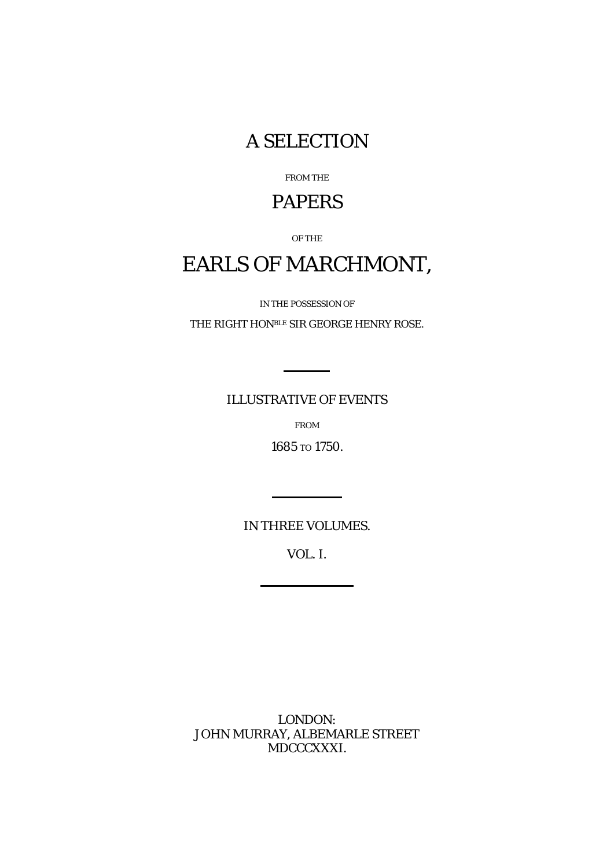A SELECTION

FROM THE

## PAPERS

OF THE

## EARLS OF MARCHMONT,

IN THE POSSESSION OF

THE RIGHT HONBLE SIR GEORGE HENRY ROSE.

ILLUSTRATIVE OF EVENTS

FROM

1685 TO 1750.

*IN THREE VOLUMES.*

VOL. I.

LONDON: JOHN MURRAY, ALBEMARLE STREET MDCCCXXXI.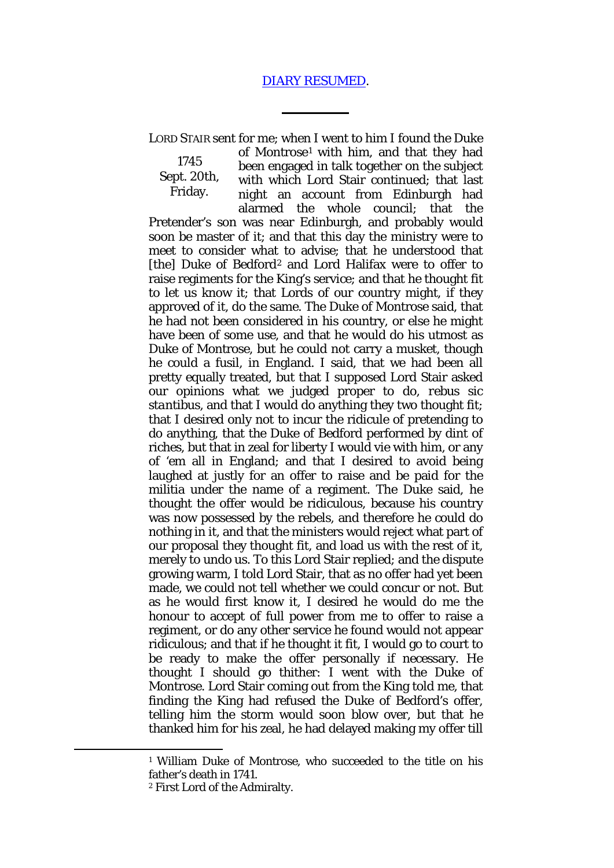## [DIARY RESUMED.](http://books.google.com/books?id=-2oBAAAAYAAJ&dq=Earl%20of%20Marchmont%E2%80%99s%20Diary&pg=PA98#v=onepage&q&f=false)

LORD STAIR sent for me; when I went to him I found the Duke

of Montrose[1](#page-1-0) with him, and that they had been engaged in talk together on the subject

1745 Sept. 20th, Friday.

with which Lord Stair continued; that last night an account from Edinburgh had alarmed the whole council; that the Pretender's son was near Edinburgh, and probably would soon be master of it; and that this day the ministry were to meet to consider what to advise; that he understood that [the] Duke of Bedford<sup>[2](#page-1-1)</sup> and Lord Halifax were to offer to raise regiments for the King's service; and that he thought fit to let us know it; that Lords of our country might, if they approved of it, do the same. The Duke of Montrose said, that he had not been considered in his country, or else he might have been of some use, and that he would do his utmost as Duke of Montrose, but he could not carry a musket, though he could a fusil, in England. I said, that we had been all pretty equally treated, but that I supposed Lord Stair asked our opinions what we judged proper to do, *rebus sic stantibus,* and that I would do anything they two thought fit; that I desired only not to incur the ridicule of pretending to do anything, that the Duke of Bedford performed by dint of riches, but that in zeal for liberty I would vie with him, or any of 'em all in England; and that I desired to avoid being laughed at justly for an offer to raise and be paid for the militia under the name of a regiment. The Duke said, he thought the offer would be ridiculous, because his country was now possessed by the rebels, and therefore he could do nothing in it, and that the ministers would reject what part of our proposal they thought fit, and load us with the rest of it, merely to undo us. To this Lord Stair replied; and the dispute growing warm, I told Lord Stair, that as no offer had yet been made, we could not tell whether we could concur or not. But as he would first know it, I desired he would do me the honour to accept of full power from me to offer to raise a regiment, or do any other service he found would not appear ridiculous; and that if he thought it fit, I would go to court to be ready to make the offer personally if necessary. He thought I should go thither: I went with the Duke of Montrose. Lord Stair coming out from the King told me, that finding the King had refused the Duke of Bedford's offer, telling him the storm would soon blow over, but that he thanked him for his zeal, he had delayed making my offer till

<span id="page-1-1"></span><span id="page-1-0"></span>**.** 

<sup>1</sup> William Duke of Montrose, who succeeded to the title on his father's death in 1741.

<sup>2</sup> First Lord of the Admiralty.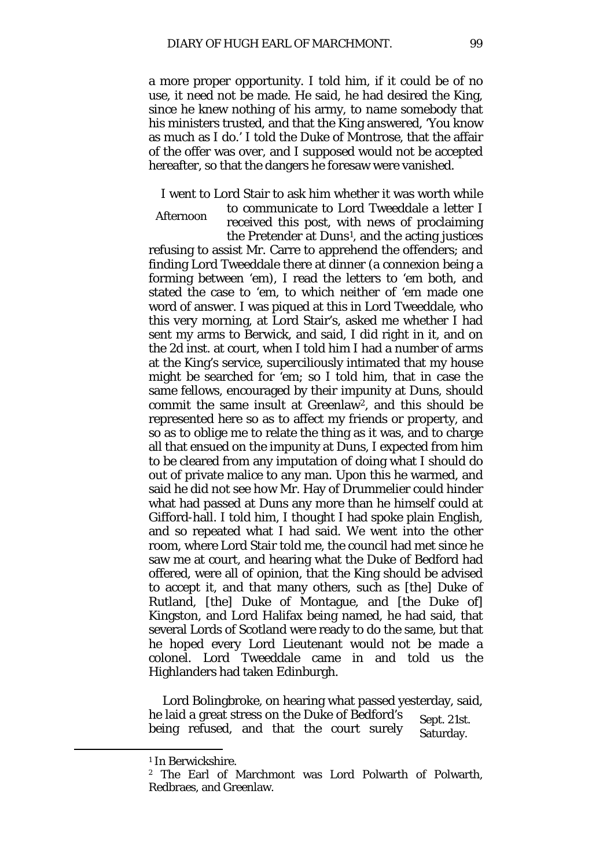a more proper opportunity. I told him, if it could be of no use, it need not be made. He said, he had desired the King, since he knew nothing of his army, to name somebody that his ministers trusted, and that the King answered, 'You know as much as I do.' I told the Duke of Montrose, that the affair of the offer was over, and I supposed would not be accepted hereafter, so that the dangers he foresaw were vanished.

I went to Lord Stair to ask him whether it was worth while to communicate to Lord Tweeddale a letter I

Afternoon received this post, with news of proclaiming the Pretender at Duns[1](#page-2-0), and the acting justices

refusing to assist Mr. Carre to apprehend the offenders; and finding Lord Tweeddale there at dinner (a connexion being a forming between 'em), I read the letters to 'em both, and stated the case to 'em, to which neither of 'em made one word of answer. I was piqued at this in Lord Tweeddale, who this very morning, at Lord Stair's, asked me whether I had sent my arms to Berwick, and said, I did right in it, and on the 2d inst. at court, when I told him I had a number of arms at the King's service, superciliously intimated that my house might be searched for 'em; so I told him, that in case the same fellows, encouraged by their impunity at Duns, should commit the same insult at Greenlaw[2,](#page-2-1) and this should be represented here so as to affect my friends or property, and so as to oblige me to relate the thing as it was, and to charge all that ensued on the impunity at Duns, I expected from him to be cleared from any imputation of doing what I should do out of private malice to any man. Upon this he warmed, and said he did not see how Mr. Hay of Drummelier could hinder what had passed at Duns any more than he himself could at Gifford-hall. I told him, I thought I had spoke plain English, and so repeated what I had said. We went into the other room, where Lord Stair told me, the council had met since he saw me at court, and hearing what the Duke of Bedford had offered, were all of opinion, that the King should be advised to accept it, and that many others, such as [the] Duke of Rutland, [the] Duke of Montague, and [the Duke of] Kingston, and Lord Halifax being named, he had said, that several Lords of Scotland were ready to do the same, but that he hoped every Lord Lieutenant would not be made a colonel. Lord Tweeddale came in and told us the Highlanders had taken Edinburgh.

Sept. 21st. Saturday. Lord Bolingbroke, on hearing what passed yesterday, said, he laid a great stress on the Duke of Bedford's being refused, and that the court surely

<span id="page-2-1"></span><span id="page-2-0"></span>**.** 

<sup>1</sup> In Berwickshire.

<sup>2</sup> The Earl of Marchmont was Lord Polwarth of Polwarth, Redbraes, and Greenlaw.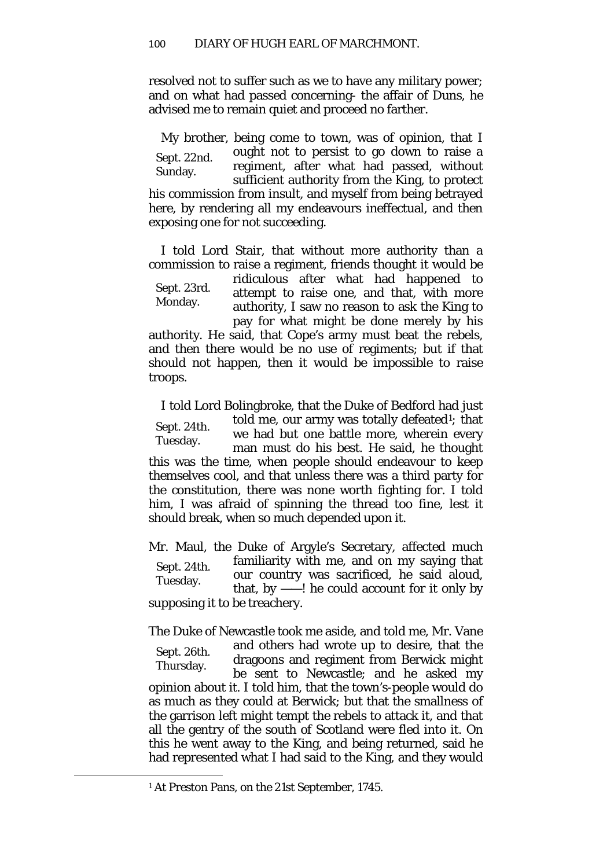resolved not to suffer such as we to have any military power; and on what had passed concerning- the affair of Duns, he advised me to remain quiet and proceed no farther.

Sept. 22nd. Sunday. My brother, being come to town, was of opinion, that I ought not to persist to go down to raise a regiment, after what had passed, without sufficient authority from the King, to protect his commission from insult, and myself from being betrayed here, by rendering all my endeavours ineffectual, and then exposing one for not succeeding.

I told Lord Stair, that without more authority than a commission to raise a regiment, friends thought it would be

Sept. 23rd. Monday.

ridiculous after what had happened to attempt to raise one, and that, with more authority, I saw no reason to ask the King to pay for what might be done merely by his

authority. He said, that Cope's army must beat the rebels, and then there would be no use of regiments; but if that should not happen, then it would be impossible to raise troops.

Sept. 24th. Tuesday. I told Lord Bolingbroke, that the Duke of Bedford had just told me, our army was totally defeated[1](#page-3-0)*;* that we had but one battle more, wherein every man must do his best. He said, he thought this was the time, when people should endeavour to keep themselves cool, and that unless there was a third party for the constitution, there was none worth fighting for. I told him, I was afraid of spinning the thread too fine, lest it should break, when so much depended upon it.

Sept. 24th. Tuesday. Mr. Maul, the Duke of Argyle's Secretary, affected much familiarity with me, and on my saying that our country was sacrificed, he said aloud, that, by  $-\ell$ ! he could account for it only by supposing it to be treachery.

Sept. 26th. Thursday. The Duke of Newcastle took me aside, and told me, Mr. Vane and others had wrote up to desire, that the dragoons and regiment from Berwick might be sent to Newcastle; and he asked my opinion about it. I told him, that the town's-people would do as much as they could at Berwick; but that the smallness of the garrison left might tempt the rebels to attack it, and that all the gentry of the south of Scotland were fled into it. On this he went away to the King, and being returned, said he had represented what I had said to the King, and they would

<span id="page-3-0"></span> $\overline{\phantom{a}}$ 

<sup>1</sup> At Preston Pans, on the 21st September, 1745.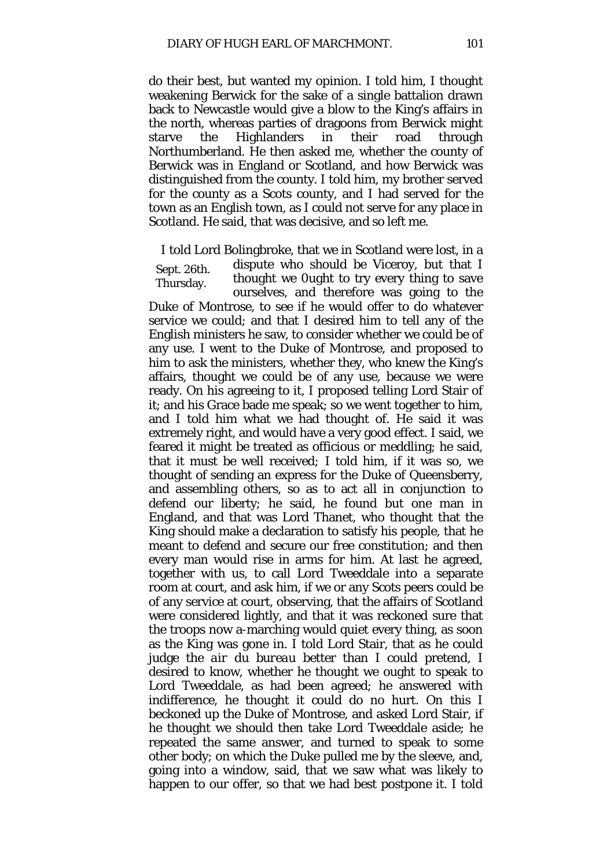do their best, but wanted my opinion. I told him, I thought weakening Berwick for the sake of a single battalion drawn back to Newcastle would give a blow to the King's affairs in the north, whereas parties of dragoons from Berwick might starve the Highlanders in their road through Northumberland. He then asked me, whether the county of Berwick was in England or Scotland, and how Berwick was distinguished from the county. I told him, my brother served for the county as a Scots county, and I had served for the town as an English town, as I could not serve for any place in Scotland. He said, that was decisive, and so left me.

Sept. 26th. I told Lord Bolingbroke, that we in Scotland were lost, in a dispute who should be Viceroy, but that I

Thursday. thought we 0ught to try every thing to save ourselves, and therefore was going to the Duke of Montrose, to see if he would offer to do whatever service we could; and that I desired him to tell any of the English ministers he saw, to consider whether we could be of any use. I went to the Duke of Montrose, and proposed to him to ask the ministers, whether they, who knew the King's affairs, thought we could be of any use, because we were ready. On his agreeing to it, I proposed telling Lord Stair of it; and his Grace bade me speak; so we went together to him, and I told him what we had thought of. He said it was extremely right, and would have a very good effect. I said, we feared it might be treated as officious or meddling; he said, that it must be well received*;* I told him, if it was so, we thought of sending an express for the Duke of Queensberry, and assembling others, so as to act all in conjunction to defend our liberty; he said, he found but one man in England, and that was Lord Thanet, who thought that the King should make a declaration to satisfy his people, that he meant to defend and secure our free constitution; and then every man would rise in arms for him. At last he agreed, together with us, to call Lord Tweeddale into a separate room at court, and ask him, if we or any Scots peers could be of any service at court, observing, that the affairs of Scotland were considered lightly, and that it was reckoned sure that the troops now a-marching would quiet every thing, as soon as the King was gone in. I told Lord Stair, that as he could judge the *air du bureau* better than I could pretend, I desired to know, whether he thought we ought to speak to Lord Tweeddale, as had been agreed; he answered with indifference, he thought it could do no hurt. On this I beckoned up the Duke of Montrose, and asked Lord Stair, if he thought we should then take Lord Tweeddale aside; he repeated the same answer, and turned to speak to some other body; on which the Duke pulled me by the sleeve, and, going into a window, said, that we saw what was likely to happen to our offer, so that we had best postpone it. I told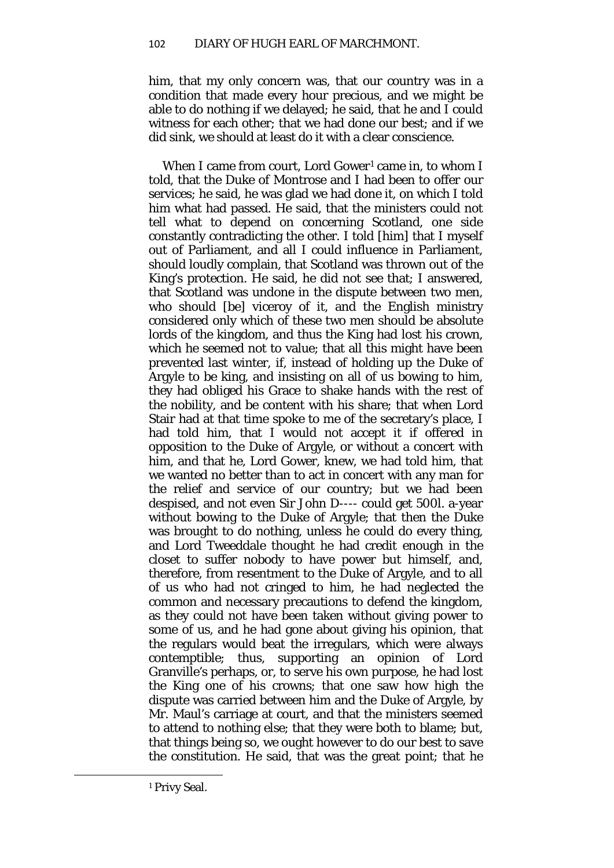him, that my only concern was, that our country was in a condition that made every hour precious, and we might be able to do nothing if we delayed; he said, that he and I could witness for each other; that we had done our best; and if we did sink, we should at least do it with a clear conscience.

When I came from court, Lord Gower<sup>[1](#page-5-0)</sup> came in, to whom I told, that the Duke of Montrose and I had been to offer our services; he said, he was glad we had done it, on which I told him what had passed. He said, that the ministers could not tell what to depend on concerning Scotland, one side constantly contradicting the other. I told [him] that I myself out of Parliament, and all I could influence in Parliament, should loudly complain, that Scotland was thrown out of the King's protection. He said, he did not see that; I answered, that Scotland was undone in the dispute between two men, who should [be] viceroy of it, and the English ministry considered only which of these two men should be absolute lords of the kingdom, and thus the King had lost his crown, which he seemed not to value; that all this might have been prevented last winter, if, instead of holding up the Duke of Argyle to be king, and insisting on all of us bowing to him, they had obliged his Grace to shake hands with the rest of the nobility, and be content with his share; that when Lord Stair had at that time spoke to me of the secretary's place, I had told him, that I would not accept it if offered in opposition to the Duke of Argyle, or without a concert with him, and that he, Lord Gower, knew, we had told him, that we wanted no better than to act in concert with any man for the relief and service of our country; but we had been despised, and not even Sir John D---- could get 500*l*. a-year without bowing to the Duke of Argyle; that then the Duke was brought to do nothing, unless he could do every thing, and Lord Tweeddale thought he had credit enough in the closet to suffer nobody to have power but himself, and, therefore, from resentment to the Duke of Argyle, and to all of us who had not cringed to him, he had neglected the common and necessary precautions to defend the kingdom, as they could not have been taken without giving power to some of us, and he had gone about giving his opinion, that the regulars would beat the irregulars, which were always contemptible; thus, supporting an opinion of Lord Granville's perhaps, or, to serve his own purpose, he had lost the King one of his crowns; that one saw how high the dispute was carried between him and the Duke of Argyle, by Mr. Maul's carriage at court, and that the ministers seemed to attend to nothing else; that they were both to blame; but, that things being so, we ought however to do our best to save the constitution. He said, that was the great point; that he

<span id="page-5-0"></span> $\overline{\phantom{a}}$ 

<sup>&</sup>lt;sup>1</sup> Privy Seal.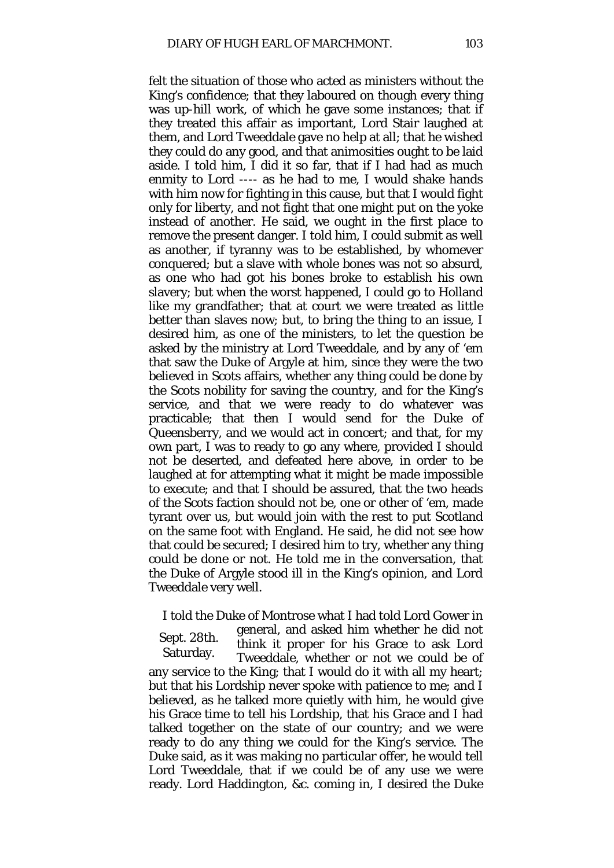felt the situation of those who acted as ministers without the King's confidence; that they laboured on though every thing was up-hill work, of which he gave some instances; that if they treated this affair as important, Lord Stair laughed at them, and Lord Tweeddale gave no help at all; that he wished they could do any good, and that animosities ought to be laid aside. I told him, I did it so far, that if I had had as much enmity to Lord ---- as he had to me, I would shake hands with him now for fighting in this cause, but that I would fight only for liberty, and not fight that one might put on the yoke instead of another. He said, we ought in the first place to remove the present danger. I told him, I could submit as well as another, if tyranny was to be established, by whomever conquered; but a slave with whole bones was not so absurd, as one who had got his bones broke to establish his own slavery; but when the worst happened, I could go to Holland like my grandfather; that at court we were treated as little better than slaves now; but, to bring the thing to an issue, I desired him, as one of the ministers, to let the question be asked by the ministry at Lord Tweeddale, and by any of 'em that saw the Duke of Argyle at him, since they were the two believed in Scots affairs, whether any thing could be done by the Scots nobility for saving the country, and for the King's service, and that we were ready to do whatever was practicable; that then I would send for the Duke of Queensberry, and we would act in concert; and that, for my own part, I was to ready to go any where, provided I should not be deserted, and defeated here above, in order to be laughed at for attempting what it might be made impossible to execute; and that I should be assured, that the two heads of the Scots faction should not be, one or other of 'em, made tyrant over us, but would join with the rest to put Scotland on the same foot with England. He said, he did not see how that could be secured; I desired him to try, whether any thing could be done or not. He told me in the conversation, that the Duke of Argyle stood ill in the King's opinion, and Lord Tweeddale very well.

Sept. 28th. Saturday. I told the Duke of Montrose what I had told Lord Gower in general, and asked him whether he did not think it proper for his Grace to ask Lord Tweeddale, whether or not we could be of any service to the King; that I would do it with all my heart; but that his Lordship never spoke with patience to me; and I believed, as he talked more quietly with him, he would give his Grace time to tell his Lordship, that his Grace and I had talked together on the state of our country; and we were ready to do any thing we could for the King's service. The Duke said, as it was making no particular offer, he would tell Lord Tweeddale, that if we could be of any use we were ready. Lord Haddington, &c. coming in, I desired the Duke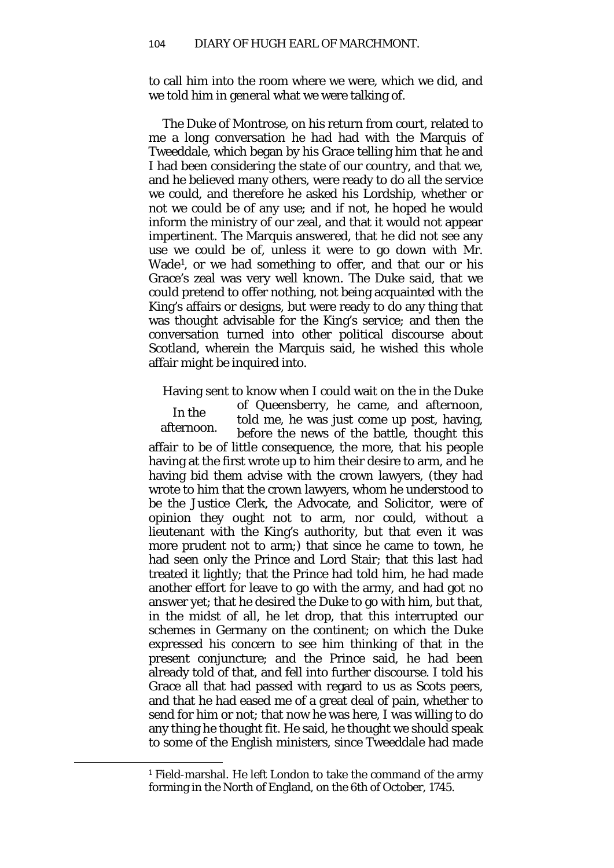to call him into the room where we were, which we did, and we told him in general what we were talking of.

The Duke of Montrose, on his return from court, related to me a long conversation he had had with the Marquis of Tweeddale, which began by his Grace telling him that he and I had been considering the state of our country, and that we, and he believed many others, were ready to do all the service we could, and therefore he asked his Lordship, whether or not we could be of any use; and if not, he hoped he would inform the ministry of our zeal, and that it would not appear impertinent. The Marquis answered, that he did not see any use we could be of, unless it were to go down with Mr. Wade[1](#page-7-0), or we had something to offer, and that our or his Grace's zeal was very well known. The Duke said, that we could pretend to offer nothing, not being acquainted with the King's affairs or designs, but were ready to do any thing that was thought advisable for the King's service; and then the conversation turned into other political discourse about Scotland, wherein the Marquis said, he wished this whole affair might be inquired into.

Having sent to know when I could wait on the in the Duke

In the afternoon. of Queensberry, he came, and afternoon, told me, he was just come up post, having, before the news of the battle, thought this affair to be of little consequence, the more, that his people having at the first wrote up to him their desire to arm, and he having bid them advise with the crown lawyers, (they had wrote to him that the crown lawyers, whom he understood to be the Justice Clerk, the Advocate, and Solicitor, were of opinion they ought not to arm, nor could, without a lieutenant with the King's authority, but that even it was more prudent not to arm;) that since he came to town, he had seen only the Prince and Lord Stair; that this last had treated it lightly; that the Prince had told him, he had made another effort for leave to go with the army, and had got no answer yet; that he desired the Duke to go with him, but that, in the midst of all, he let drop, that this interrupted our schemes in Germany on the continent; on which the Duke expressed his concern to see him thinking of that in the present conjuncture; and the Prince said, he had been already told of that, and fell into further discourse. I told his Grace all that had passed with regard to us as Scots peers, and that he had eased me of a great deal of pain, whether to send for him or not; that now he was here, I was willing to do any thing he thought fit. He said, he thought we should speak to some of the English ministers, since Tweeddale had made

<span id="page-7-0"></span> $\overline{\phantom{a}}$ 

<sup>1</sup> Field-marshal. He left London to take the command of the army forming in the North of England, on the 6th of October, 1745.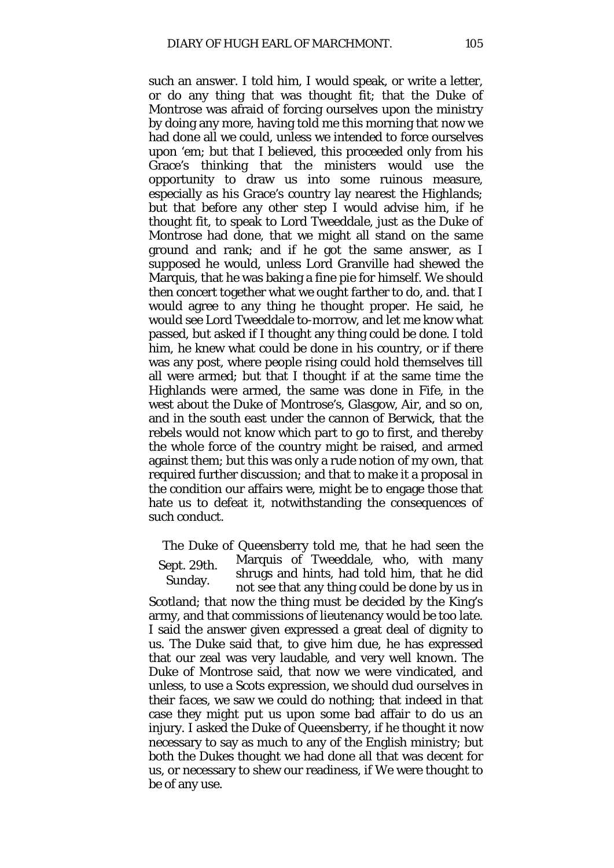such an answer. I told him, I would speak, or write a letter, or do any thing that was thought fit; that the Duke of Montrose was afraid of forcing ourselves upon the ministry by doing any more, having told me this morning that now we had done all we could, unless we intended to force ourselves upon 'em; but that I believed, this proceeded only from his Grace's thinking that the ministers would use the opportunity to draw us into some ruinous measure, especially as his Grace's country lay nearest the Highlands; but that before any other step I would advise him, if he thought fit, to speak to Lord Tweeddale, just as the Duke of Montrose had done, that we might all stand on the same ground and rank; and if he got the same answer, as I supposed he would, unless Lord Granville had shewed the Marquis, that he was baking a fine pie for himself. We should then concert together what we ought farther to do, and. that I would agree to any thing he thought proper. He said, he would see Lord Tweeddale to-morrow, and let me know what passed, but asked if I thought any thing could be done. I told him, he knew what could be done in his country, or if there was any post, where people rising could hold themselves till all were armed; but that I thought if at the same time the Highlands were armed, the same was done in Fife, in the west about the Duke of Montrose's, Glasgow, Air, and so on, and in the south east under the cannon of Berwick, that the rebels would not know which part to go to first, and thereby the whole force of the country might be raised, and armed against them; but this was only a rude notion of my own, that required further discussion; and that to make it a proposal in the condition our affairs were, might be to engage those that hate us to defeat it, notwithstanding the consequences of such conduct.

Sept. 29th. Sunday. The Duke of Queensberry told me, that he had seen the Marquis of Tweeddale, who, with many shrugs and hints, had told him, that he did not see that any thing could be done by us in

Scotland; that now the thing must be decided by the King's army, and that commissions of lieutenancy would be too late. I said the answer given expressed a great deal of dignity to us. The Duke said that, to give him due, he has expressed that our zeal was very laudable, and very well known. The Duke of Montrose said, that now we were vindicated, and unless, to use a Scots expression, we should *dud ourselves in their faces,* we saw we could do nothing; that indeed in that case they might put us upon some bad affair to do us an injury. I asked the Duke of Queensberry, if he thought it now necessary to say as much to any of the English ministry; but both the Dukes thought we had done all that was decent for us, or necessary to shew our readiness, if We were thought to be of any use.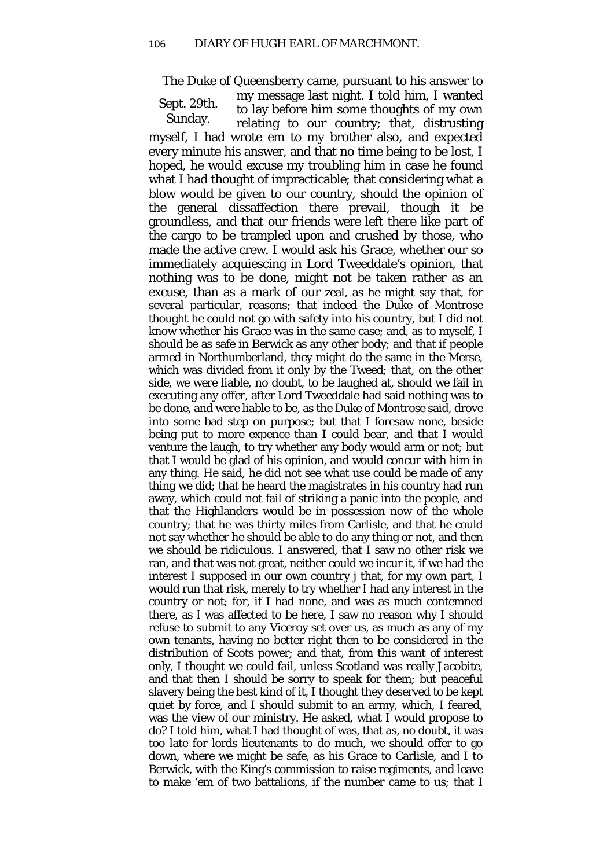The Duke of Queensberry came, pursuant to his answer to

Sept. 29th. Sunday. my message last night. I told him*,* I wanted to lay before him some thoughts of my own relating to our country; that, distrusting myself, I had wrote em to my brother also, and expected every minute his answer, and that no time being to be lost, I hoped, he would excuse my troubling him in case he found what I had thought of impracticable; that considering what a blow would be given to our country, should the opinion of the general dissaffection there prevail, though it be groundless, and that our friends were left there like part of the cargo to be trampled upon and crushed by those, who made the active crew. I would ask his Grace, whether our so immediately acquiescing in Lord Tweeddale's opinion, that nothing was to be done, might not be taken rather as an excuse, than as a mark of our zeal, as he might say that, for several particular, reasons; that indeed the Duke of Montrose thought he could not go with safety into his country, but I did not know whether his Grace was in the same case; and, as to myself, I should be as safe in Berwick as any other body; and that if people armed in Northumberland, they might do the same in the Merse, which was divided from it only by the Tweed; that, on the other side, we were liable, no doubt, to be laughed at, should we fail in executing any offer, after Lord Tweeddale had said nothing was to be done, and were liable to be, as the Duke of Montrose said, drove into some bad step on purpose; but that I foresaw none, beside being put to more expence than I could bear, and that I would venture the laugh, to try whether any body would arm or not; but that I would be glad of his opinion, and would concur with him in any thing. He said, he did not see what use could be made of any thing we did; that he heard the magistrates in his country had run away, which could not fail of striking a panic into the people, and that the Highlanders would be in possession now of the whole country; that he was thirty miles from Carlisle, and that he could not say whether he should be able to do any thing or not, and then we should be ridiculous. I answered, that I saw no other risk we ran, and that was not great, neither could we incur it, if we had the interest I supposed in our own country j that, for my own part, I would run that risk, merely to try whether I had any interest in the country or not; for, if I had none, and was as much contemned there, as I was affected to be here, I saw no reason why I should refuse to submit to any Viceroy set over us, as much as any of my own tenants, having no better right then to be considered in the distribution of Scots power; and that, from this want of interest only, I thought we could fail, unless Scotland was really Jacobite, and that then I should be sorry to speak for them; but peaceful slavery being the best kind of it, I thought they deserved to be kept quiet by force, and I should submit to an army, which, I feared, was the view of our ministry. He asked, what I would propose to do? I told him, what I had thought of was, that as, no doubt, it was too late for lords lieutenants to do much, we should offer to go down, where we might be safe, as his Grace to Carlisle, and I to Berwick, with the King's commission to raise regiments, and leave to make 'em of two battalions, if the number came to us; that I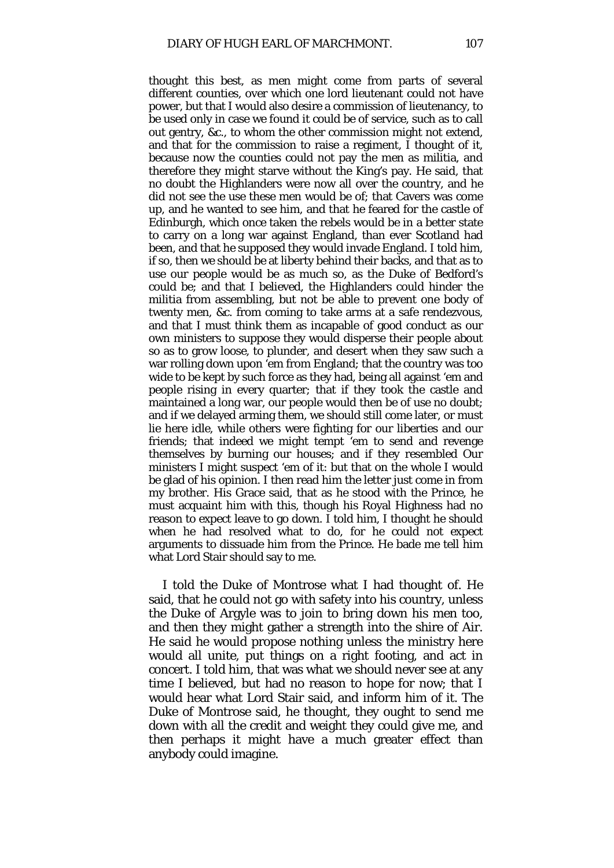thought this best, as men might come from parts of several different counties, over which one lord lieutenant could not have power, but that I would also desire a commission of lieutenancy, to be used only in case we found it could be of service, such as to call out gentry, &c., to whom the other commission might not extend, and that for the commission to raise a regiment, I thought of it, because now the counties could not pay the men as militia, and therefore they might starve without the King's pay. He said, that no doubt the Highlanders were now all over the country, and he did not see the use these men would be of; that Cavers was come up, and he wanted to see him, and that he feared for the castle of Edinburgh, which once taken the rebels would be in a better state to carry on a long war against England, than ever Scotland had been, and that he supposed they would invade England. I told him, if so, then we should be at liberty behind their backs, and that as to use our people would be as much so, as the Duke of Bedford's could be; and that I believed, the Highlanders could hinder the militia from assembling, but not be able to prevent one body of twenty men, &c. from coming to take arms at a safe rendezvous, and that I must think them as incapable of good conduct as our own ministers to suppose they would disperse their people about so as to grow loose, to plunder, and desert when they saw such a war rolling down upon 'em from England; that the country was too wide to be kept by such force as they had, being all against 'em and people rising in every quarter; that if they took the castle and maintained a long war, our people would then be of use no doubt; and if we delayed arming them, we should still come later, or must lie here idle, while others were fighting for our liberties and our friends; that indeed we might tempt 'em to send and revenge themselves by burning our houses; and if they resembled Our ministers I might suspect 'em of it: but that on the whole I would be glad of his opinion. I then read him the letter just come in from my brother. His Grace said, that as he stood with the Prince, he must acquaint him with this, though his Royal Highness had no reason to expect leave to go down. I told him, I thought he should when he had resolved what to do, for he could not expect arguments to dissuade him from the Prince. He bade me tell him what Lord Stair should say to me.

I told the Duke of Montrose what I had thought of. He said, that he could not go with safety into his country, unless the Duke of Argyle was to join to bring down his men too, and then they might gather a strength into the shire of Air. He said he would propose nothing unless the ministry here would all unite, put things on a right footing, and act in concert. I told him, that was what we should never see at any time I believed, but had no reason to hope for now; that I would hear what Lord Stair said, and inform him of it. The Duke of Montrose said, he thought, they ought to send me down with all the credit and weight they could give me, and then perhaps it might have a much greater effect than anybody could imagine.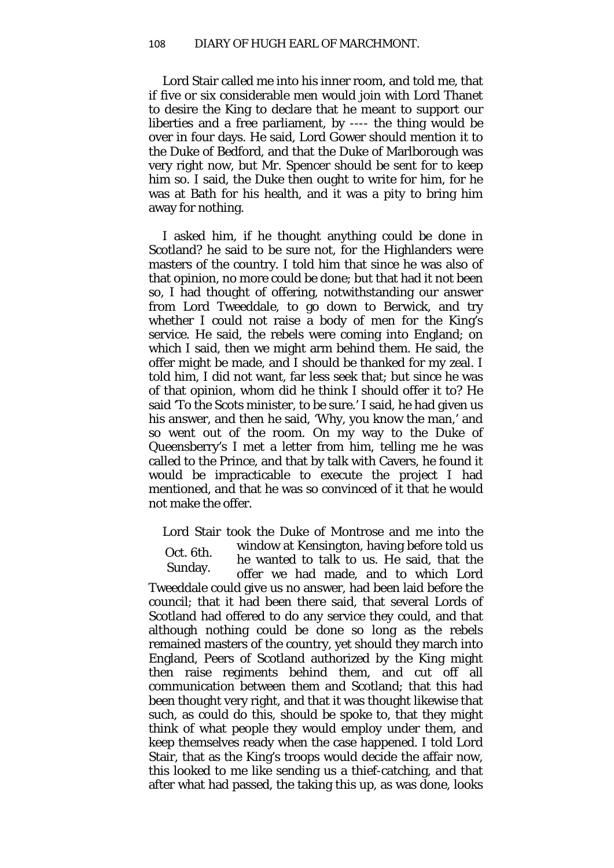Lord Stair called me into his inner room, and told me, that if five or six considerable men would join with Lord Thanet to desire the King to declare that he meant to support our liberties and a free parliament, by ---- the thing would be over in four days. He said, Lord Gower should mention it to the Duke of Bedford, and that the Duke of Marlborough was very right now, but Mr. Spencer should be sent for to keep him so. I said, the Duke then ought to write for him, for he was at Bath for his health, and it was a pity to bring him away for nothing.

I asked him, if he thought anything could be done in Scotland? he said to be sure not, for the Highlanders were masters of the country. I told him that since he was also of that opinion, no more could be done; but that had it not been so, I had thought of offering, notwithstanding our answer from Lord Tweeddale, to go down to Berwick, and try whether I could not raise a body of men for the King's service. He said, the rebels were coming into England; on which I said, then we might arm behind them. He said, the offer might be made, and I should be thanked for my zeal. I told him, I did not want, far less seek that; but since he was of that opinion, whom did he think I should offer it to? He said 'To the Scots minister, to be sure.' I said, he had given us his answer, and then he said, 'Why, you know the man,' and so went out of the room. On my way to the Duke of Queensberry's I met a letter from him, telling me he was called to the Prince, and that by talk with Cavers, he found it would be impracticable to execute the project I had mentioned, and that he was so convinced of it that he would not make the offer.

Oct. 6th. Sunday. Lord Stair took the Duke of Montrose and me into the window at Kensington, having before told us he wanted to talk to us. He said, that the offer we had made, and to which Lord Tweeddale could give us no answer, had been laid before the council; that it had been there said, that several Lords of Scotland had offered to do any service they could, and that although nothing could be done so long as the rebels remained masters of the country, yet should they march into England, Peers of Scotland authorized by the King might then raise regiments behind them, and cut off all communication between them and Scotland; that this had been thought very right, and that it was thought likewise that such, as could do this, should be spoke to, that they might think of what people they would employ under them, and keep themselves ready when the case happened. I told Lord Stair, that as the King's troops would decide the affair now, this looked to me like sending us a thief-catching, and that after what had passed, the taking this up, as was done, looks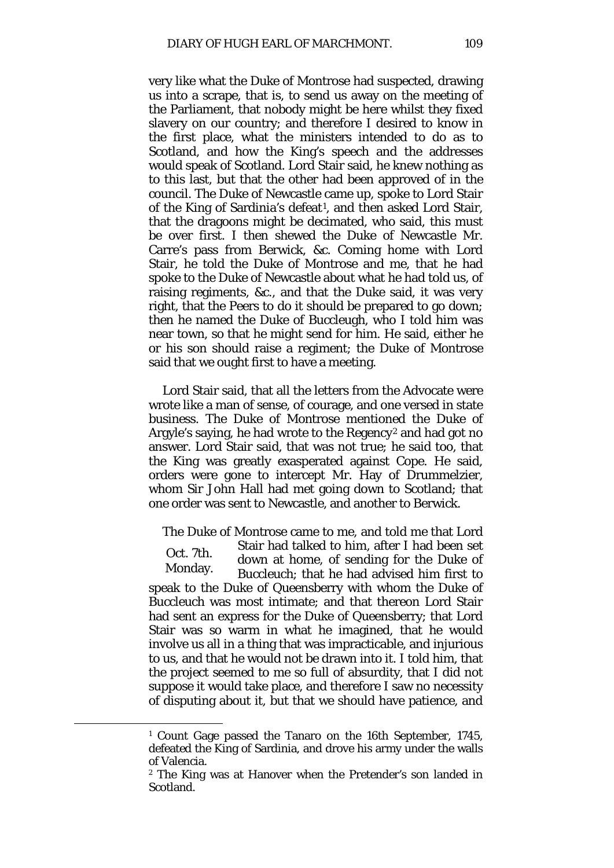very like what the Duke of Montrose had suspected, drawing us into a scrape, that is, to send us away on the meeting of the Parliament, that nobody might be here whilst they fixed slavery on our country; and therefore I desired to know in the first place, what the ministers intended to do as to Scotland, and how the King's speech and the addresses would speak of Scotland. Lord Stair said, he knew nothing as to this last, but that the other had been approved of in the council. The Duke of Newcastle came up, spoke to Lord Stair of the King of Sardinia's defeat<sup>[1](#page-12-0)</sup>, and then asked Lord Stair, that the dragoons might be decimated, who said, this must be over first. I then shewed the Duke of Newcastle Mr. Carre's pass from Berwick, &c. Coming home with Lord Stair, he told the Duke of Montrose and me, that he had spoke to the Duke of Newcastle about what he had told us, of raising regiments, &c., and that the Duke said, it was very right, that the Peers to do it should be prepared to go down; then he named the Duke of Buccleugh, who I told him was near town, so that he might send for him. He said, either he or his son should raise a regiment; the Duke of Montrose said that we ought first to have a meeting.

Lord Stair said, that all the letters from the Advocate were wrote like a man of sense, of courage, and one versed in state business. The Duke of Montrose mentioned the Duke of Argyle's saying, he had wrote to the Regency<sup>[2](#page-12-1)</sup> and had got no answer. Lord Stair said, that was not true; he said too, that the King was greatly exasperated against Cope. He said, orders were gone to intercept Mr. Hay of Drummelzier, whom Sir John Hall had met going down to Scotland; that one order was sent to Newcastle, and another to Berwick.

Oct. 7th. Monday. The Duke of Montrose came to me, and told me that Lord Stair had talked to him, after I had been set down at home, of sending for the Duke of Buccleuch; that he had advised him first to speak to the Duke of Queensberry with whom the Duke of Buccleuch was most intimate; and that thereon Lord Stair had sent an express for the Duke of Queensberry; that Lord Stair was so warm in what he imagined, that he would involve us all in a thing that was impracticable, and injurious to us, and that he would not be drawn into it. I told him, that the project seemed to me so full of absurdity, that I did not suppose it would take place, and therefore I saw no necessity of disputing about it, but that we should have patience, and

<span id="page-12-1"></span><span id="page-12-0"></span>**.** 

<sup>1</sup> Count Gage passed the Tanaro on the 16th September, 1745, defeated the King of Sardinia, and drove his army under the walls of Valencia.

<sup>2</sup> The King was at Hanover when the Pretender's son landed in Scotland.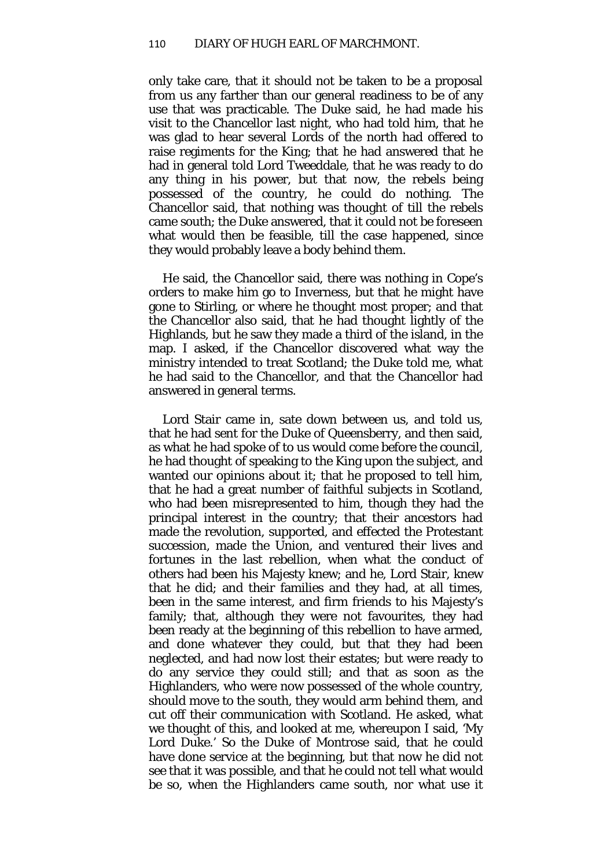only take care, that it should not be taken to be a proposal from us any farther than our general readiness to be of any use that was practicable. The Duke said, he had made his visit to the Chancellor last night, who had told him, that he was glad to hear several Lords of the north had offered to raise regiments for the King; that he had answered that he had in general told Lord Tweeddale, that he was ready to do any thing in his power, but that now, the rebels being possessed of the country, he could do nothing. The Chancellor said, that nothing was thought of till the rebels came south; the Duke answered, that it could not be foreseen what would then be feasible, till the case happened, since they would probably leave a body behind them.

He said, the Chancellor said, there was nothing in Cope's orders to make him go to Inverness, but that he might have gone to Stirling, or where he thought most proper; and that the Chancellor also said, that he had thought lightly of the Highlands, but he saw they made a third of the island, in the map. I asked, if the Chancellor discovered what way the ministry intended to treat Scotland; the Duke told me, what he had said to the Chancellor, and that the Chancellor had answered in general terms.

Lord Stair came in, sate down between us, and told us, that he had sent for the Duke of Queensberry, and then said, as what he had spoke of to us would come before the council, he had thought of speaking to the King upon the subject, and wanted our opinions about it; that he proposed to tell him, that he had a great number of faithful subjects in Scotland, who had been misrepresented to him, though they had the principal interest in the country; that their ancestors had made the revolution, supported, and effected the Protestant succession, made the Union, and ventured their lives and fortunes in the last rebellion, when what the conduct of others had been his Majesty knew; and he, Lord Stair, knew that he did; and their families and they had, at all times, been in the same interest, and firm friends to his Majesty's family; that, although they were not favourites, they had been ready at the beginning of this rebellion to have armed, and done whatever they could, but that they had been neglected, and had now lost their estates; but were ready to do any service they could still; and that as soon as the Highlanders, who were now possessed of the whole country, should move to the south, they would arm behind them, and cut off their communication with Scotland. He asked, what we thought of this, and looked at me, whereupon I said, 'My Lord Duke.' So the Duke of Montrose said, that he could have done service at the beginning, but that now he did not see that it was possible, and that he could not tell what would be so, when the Highlanders came south, nor what use it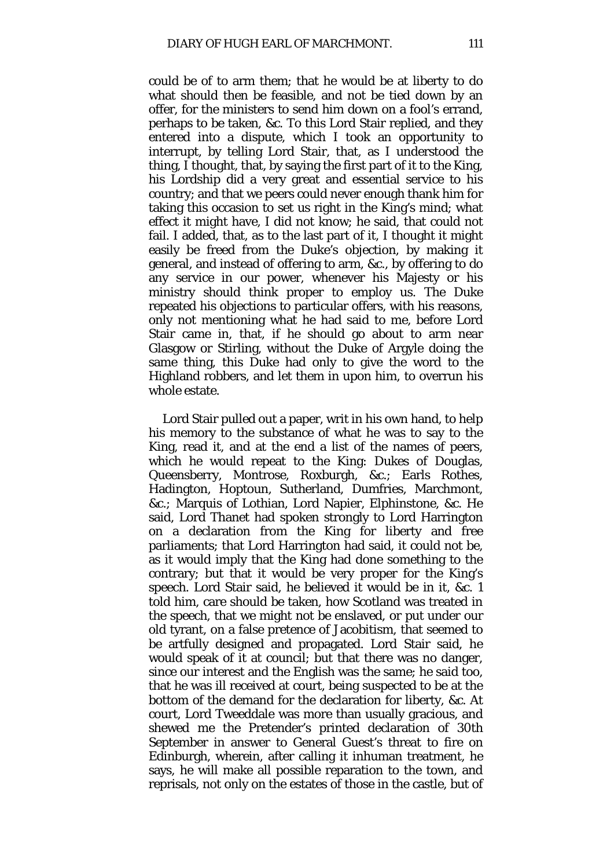could be of to arm them; that he would be at liberty to do what should then be feasible, and not be tied down by an offer, for the ministers to send him down on a fool's errand, perhaps to be taken, &c. To this Lord Stair replied, and they entered into a dispute, which I took an opportunity to interrupt, by telling Lord Stair, that, as I understood the thing, I thought, that, by saying the first part of it to the King, his Lordship did a very great and essential service to his country; and that we peers could never enough thank him for taking this occasion to set us right in the King's mind; what effect it might have, I did not know; he said, that could not fail. I added, that, as to the last part of it, I thought it might easily be freed from the Duke's objection, by making it general, and instead of offering to arm, &c., by offering to do any service in our power, whenever his Majesty or his ministry should think proper to employ us. The Duke repeated his objections to particular offers, with his reasons, only not mentioning what he had said to me, before Lord Stair came in, that, if he should go about to arm near Glasgow or Stirling, without the Duke of Argyle doing the same thing, this Duke had only to give the word to the Highland robbers, and let them in upon him, to overrun his whole estate.

Lord Stair pulled out a paper, writ in his own hand, to help his memory to the substance of what he was to say to the King, read it, and at the end a list of the names of peers, which he would repeat to the King: Dukes of Douglas, Queensberry, Montrose, Roxburgh, &c.; Earls Rothes, Hadington, Hoptoun, Sutherland, Dumfries, Marchmont, &c.*;* Marquis of Lothian, Lord Napier, Elphinstone, &c. He said, Lord Thanet had spoken strongly to Lord Harrington on a declaration from the King for liberty and free parliaments; that Lord Harrington had said, it could not be, as it would imply that the King had done something to the contrary; but that it would be very proper for the King's speech. Lord Stair said, he believed it would be in it, &c. 1 told him, care should be taken, how Scotland was treated in the speech, that we might not be enslaved, or put under our old tyrant, on a false pretence of Jacobitism, that seemed to be artfully designed and propagated. Lord Stair said, he would speak of it at council; but that there was no danger, since our interest and the English was the same; he said too, that he was ill received at court, being suspected to be at the bottom of the demand for the declaration for liberty, &c. At court, Lord Tweeddale was more than usually gracious, and shewed me the Pretender's printed declaration of 30th September in answer to General Guest's threat to fire on Edinburgh, wherein, after calling it inhuman treatment, he says, he will make all possible reparation to the town, and reprisals, not only on the estates of those in the castle, but of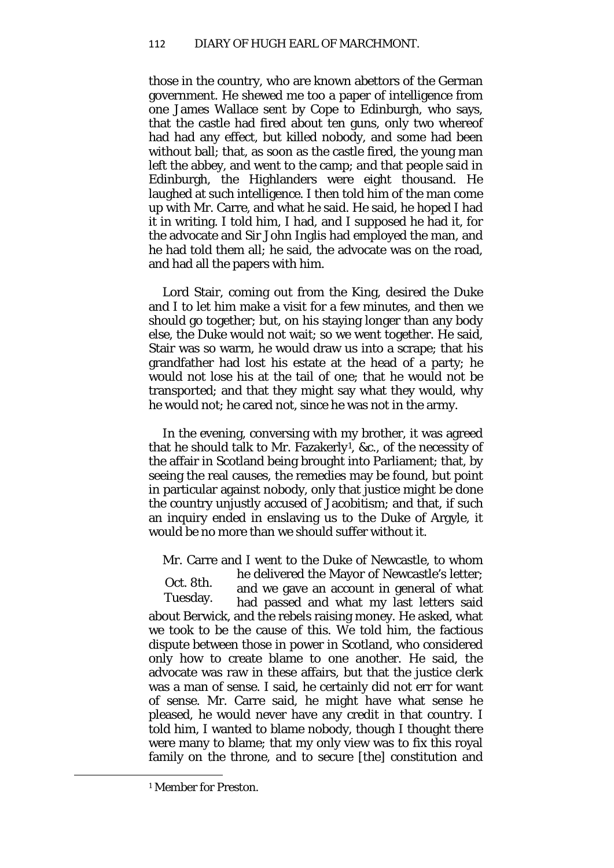those in the country, who are known abettors of the German government. He shewed me too a paper of intelligence from one James Wallace sent by Cope to Edinburgh, who says, that the castle had fired about ten guns, only two whereof had had any effect, but killed nobody, and some had been without ball; that, as soon as the castle fired, the young man left the abbey, and went to the camp; and that people said in Edinburgh, the Highlanders were eight thousand. He laughed at such intelligence. I then told him of the man come up with Mr. Carre, and what he said. He said, he hoped I had it in writing. I told him, I had, and I supposed he had it, for the advocate and Sir John Inglis had employed the man, and he had told them all; he said, the advocate was on the road, and had all the papers with him.

Lord Stair, coming out from the King, desired the Duke and I to let him make a visit for a few minutes, and then we should go together; but, on his staying longer than any body else, the Duke would not wait; so we went together. He said, Stair was so warm, he would draw us into a scrape; that his grandfather had lost his estate at the head of a party; he would not lose his at the tail of one; that he would not be transported; and that they might say what they would, why he would not; he cared not, since he was not in the army.

In the evening, conversing with my brother, it was agreed that he should talk to Mr. Fazakerly[1,](#page-15-0) &c., of the necessity of the affair in Scotland being brought into Parliament; that, by seeing the real causes, the remedies may be found, but point in particular against nobody, only that justice might be done the country unjustly accused of Jacobitism; and that, if such an inquiry ended in enslaving us to the Duke of Argyle, it would be no more than we should suffer without it.

Mr. Carre and I went to the Duke of Newcastle, to whom

Oct. 8th. Tuesday. he delivered the Mayor of Newcastle's letter; and we gave an account in general of what had passed and what my last letters said about Berwick, and the rebels raising money. He asked, what we took to be the cause of this. We told him, the factious dispute between those in power in Scotland, who considered only how to create blame to one another. He said, the advocate was raw in these affairs, but that the justice clerk was a man of sense. I said, he certainly did not err for want of sense. Mr. Carre said, he might have what sense he pleased, he would never have any credit in that country. I told him, I wanted to blame nobody, though I thought there were many to blame; that my only view was to fix this royal family on the throne, and to secure [the] constitution and

<span id="page-15-0"></span> $\overline{\phantom{a}}$ 

<sup>1</sup> Member for Preston.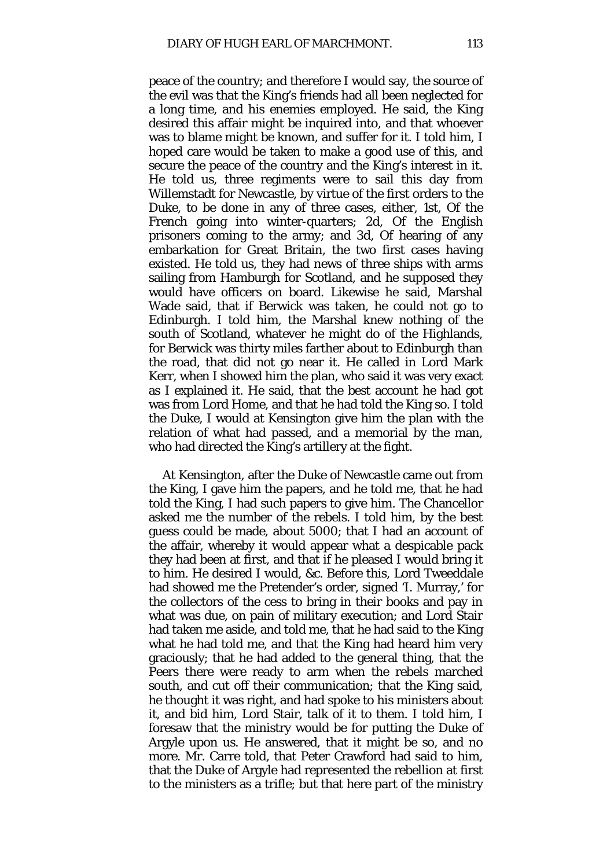peace of the country; and therefore I would say, the source of the evil was that the King's friends had all been neglected for a long time, and his enemies employed. He said, the King desired this affair might be inquired into, and that whoever was to blame might be known, and suffer for it. I told him, I hoped care would be taken to make a good use of this, and secure the peace of the country and the King's interest in it. He told us, three regiments were to sail this day from Willemstadt for Newcastle, by virtue of the first orders to the Duke, to be done in any of three cases, either, 1st, Of the French going into winter-quarters; 2d, Of the English prisoners coming to the army; and 3d, Of hearing of any embarkation for Great Britain, the two first cases having existed. He told us, they had news of three ships with arms sailing from Hamburgh for Scotland, and he supposed they would have officers on board. Likewise he said, Marshal Wade said, that if Berwick was taken, he could not go to Edinburgh. I told him, the Marshal knew nothing of the south of Scotland, whatever he might do of the Highlands, for Berwick was thirty miles farther about to Edinburgh than the road, that did not go near it. He called in Lord Mark Kerr, when I showed him the plan, who said it was very exact as I explained it. He said, that the best account he had got was from Lord Home, and that he had told the King so. I told the Duke, I would at Kensington give him the plan with the relation of what had passed, and a memorial by the man, who had directed the King's artillery at the fight.

At Kensington, after the Duke of Newcastle came out from the King, I gave him the papers, and he told me, that he had told the King, I had such papers to give him. The Chancellor asked me the number of the rebels. I told him, by the best guess could be made, about 5000; that I had an account of the affair, whereby it would appear what a despicable pack they had been at first, and that if he pleased I would bring it to him. He desired I would, &c. Before this, Lord Tweeddale had showed me the Pretender's order, signed 'I. Murray,' for the collectors of the cess to bring in their books and pay in what was due, on pain of military execution; and Lord Stair had taken me aside, and told me, that he had said to the King what he had told me, and that the King had heard him very graciously; that he had added to the general thing, that the Peers there were ready to arm when the rebels marched south, and cut off their communication; that the King said, he thought it was right, and had spoke to his ministers about it, and bid him, Lord Stair, talk of it to them. I told him, I foresaw that the ministry would be for putting the Duke of Argyle upon us. He answered, that it might be so, and no more. Mr. Carre told, that Peter Crawford had said to him, that the Duke of Argyle had represented the rebellion at first to the ministers as a trifle; but that here part of the ministry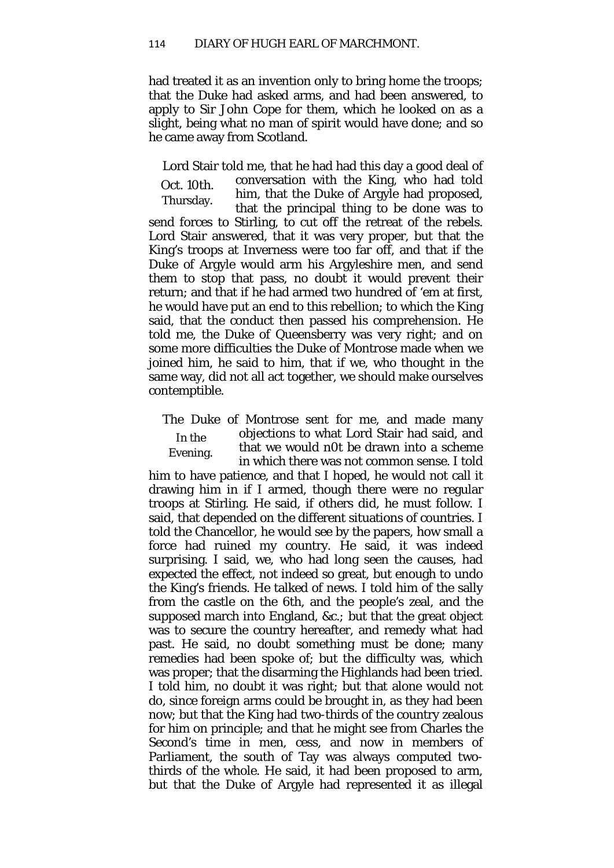had treated it as an invention only to bring home the troops; that the Duke had asked arms, and had been answered, to apply to Sir John Cope for them, which he looked on as a slight, being what no man of spirit would have done; and so he came away from Scotland.

Oct. 10th. Thursday. Lord Stair told me, that he had had this day a good deal of conversation with the King, who had told him, that the Duke of Argyle had proposed, that the principal thing to be done was to send forces to Stirling, to cut off the retreat of the rebels. Lord Stair answered, that it was very proper, but that the King's troops at Inverness were too far off, and that if the Duke of Argyle would arm his Argyleshire men, and send them to stop that pass, no doubt it would prevent their return; and that if he had armed two hundred of 'em at first, he would have put an end to this rebellion; to which the King said, that the conduct then passed his comprehension. He told me, the Duke of Queensberry was very right; and on some more difficulties the Duke of Montrose made when we joined him, he said to him, that if we, who thought in the same way, did not all act together, we should make ourselves contemptible.

In the Evening. The Duke of Montrose sent for me, and made many objections to what Lord Stair had said, and that we would n0t be drawn into a scheme in which there was not common sense. I told

him to have patience, and that I hoped, he would not call it drawing him in if I armed, though there were no regular troops at Stirling. He said, if others did, he must follow. I said, that depended on the different situations of countries. I told the Chancellor, he would see by the papers, how small a force had ruined my country. He said, it was indeed surprising. I said, we, who had long seen the causes, had expected the effect, not indeed so great, but enough to undo the King's friends. He talked of news. I told him of the sally from the castle on the 6th, and the people's zeal, and the supposed march into England, &c.*;* but that the great object was to secure the country hereafter, and remedy what had past. He said, no doubt something must be done; many remedies had been spoke of; but the difficulty was, which was proper; that the disarming the Highlands had been tried. I told him, no doubt it was right; but that alone would not do, since foreign arms could be brought in, as they had been now; but that the King had two-thirds of the country zealous for him on principle; and that he might see from Charles the Second's time in men, cess, and now in members of Parliament, the south of Tay was always computed twothirds of the whole. He said, it had been proposed to arm, but that the Duke of Argyle had represented it as illegal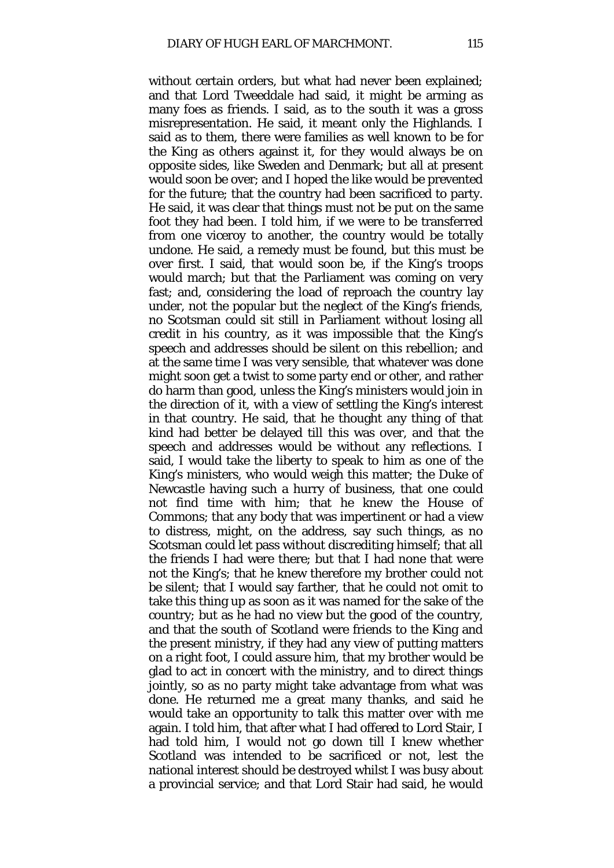without certain orders, but what had never been explained; and that Lord Tweeddale had said, it might be arming as many foes as friends. I said, as to the south it was a gross misrepresentation. He said, it meant only the Highlands. I said as to them, there were families as well known to be for the King as others against it, for they would always be on opposite sides, like Sweden and Denmark; but all at present would soon be over; and I hoped the like would be prevented for the future; that the country had been sacrificed to party. He said, it was clear that things must not be put on the same foot they had been. I told him, if we were to be transferred from one viceroy to another, the country would be totally undone. He said, a remedy must be found, but this must be over first. I said, that would soon be, if the King's troops would march; but that the Parliament was coming on very fast; and, considering the load of reproach the country lay under, not the popular but the neglect of the King's friends, no Scotsman could sit still in Parliament without losing all credit in his country, as it was impossible that the King's speech and addresses should be silent on this rebellion; and at the same time I was very sensible, that whatever was done might soon get a twist to some party end or other, and rather do harm than good, unless the King's ministers would join in the direction of it, with a view of settling the King's interest in that country. He said, that he thought any thing of that kind had better be delayed till this was over, and that the speech and addresses would be without any reflections. I said, I would take the liberty to speak to him as one of the King's ministers, who would weigh this matter; the Duke of Newcastle having such a hurry of business, that one could not find time with him; that he knew the House of Commons; that any body that was impertinent or had a view to distress, might, on the address, say such things, as no Scotsman could let pass without discrediting himself; that all the friends I had were there; but that I had none that were not the King's; that he knew therefore my brother could not be silent; that I would say farther, that he could not omit to take this thing up as soon as it was named for the sake of the country; but as he had no view but the good of the country, and that the south of Scotland were friends to the King and the present ministry, if they had any view of putting matters on a right foot, I could assure him, that my brother would be glad to act in concert with the ministry, and to direct things jointly, so as no party might take advantage from what was done. He returned me a great many thanks, and said he would take an opportunity to talk this matter over with me again. I told him, that after what I had offered to Lord Stair, I had told him, I would not go down till I knew whether Scotland was intended to be sacrificed or not, lest the national interest should be destroyed whilst I was busy about a provincial service; and that Lord Stair had said, he would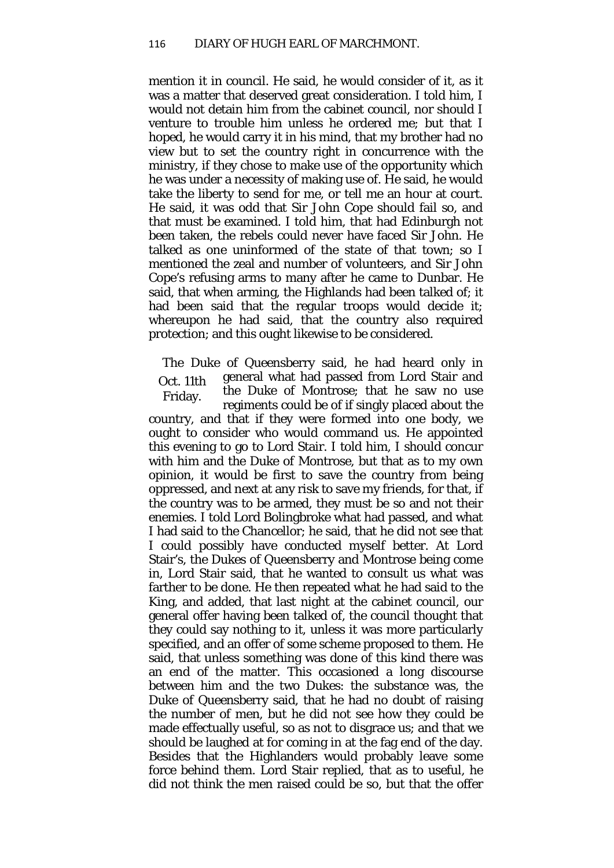mention it in council. He said, he would consider of it, as it was a matter that deserved great consideration. I told him, I would not detain him from the cabinet council, nor should I venture to trouble him unless he ordered me; but that I hoped, he would carry it in his mind, that my brother had no view but to set the country right in concurrence with the ministry, if they chose to make use of the opportunity which he was under a necessity of making use of. He said, he would take the liberty to send for me, or tell me an hour at court. He said, it was odd that Sir John Cope should fail so, and that must be examined. I told him, that had Edinburgh not been taken, the rebels could never have faced Sir John. He talked as one uninformed of the state of that town; so I mentioned the zeal and number of volunteers, and Sir John Cope's refusing arms to many after he came to Dunbar. He said, that when arming, the Highlands had been talked of; it had been said that the regular troops would decide it; whereupon he had said, that the country also required protection; and this ought likewise to be considered.

Oct. 11th Friday. The Duke of Queensberry said, he had heard only in general what had passed from Lord Stair and the Duke of Montrose; that he saw no use regiments could be of if singly placed about the country, and that if they were formed into one body, we ought to consider who would command us. He appointed this evening to go to Lord Stair. I told him, I should concur with him and the Duke of Montrose, but that as to my own opinion, it would be first to save the country from being oppressed, and next at any risk to save my friends, for that, if the country was to be armed, they must be so and not their enemies. I told Lord Bolingbroke what had passed, and what I had said to the Chancellor; he said, that he did not see that I could possibly have conducted myself better. At Lord Stair's, the Dukes of Queensberry and Montrose being come in, Lord Stair said, that he wanted to consult us what was farther to be done. He then repeated what he had said to the King, and added, that last night at the cabinet council, our general offer having been talked of, the council thought that they could say nothing to it, unless it was more particularly specified, and an offer of some scheme proposed to them. He said, that unless something was done of this kind there was an end of the matter. This occasioned a long discourse between him and the two Dukes: the substance was, the Duke of Queensberry said, that he had no doubt of raising the number of men, but he did not see how they could be made effectually useful, so as not to disgrace us; and that we should be laughed at for coming in at the fag end of the day. Besides that the Highlanders would probably leave some force behind them. Lord Stair replied, that as to useful, he did not think the men raised could be so, but that the offer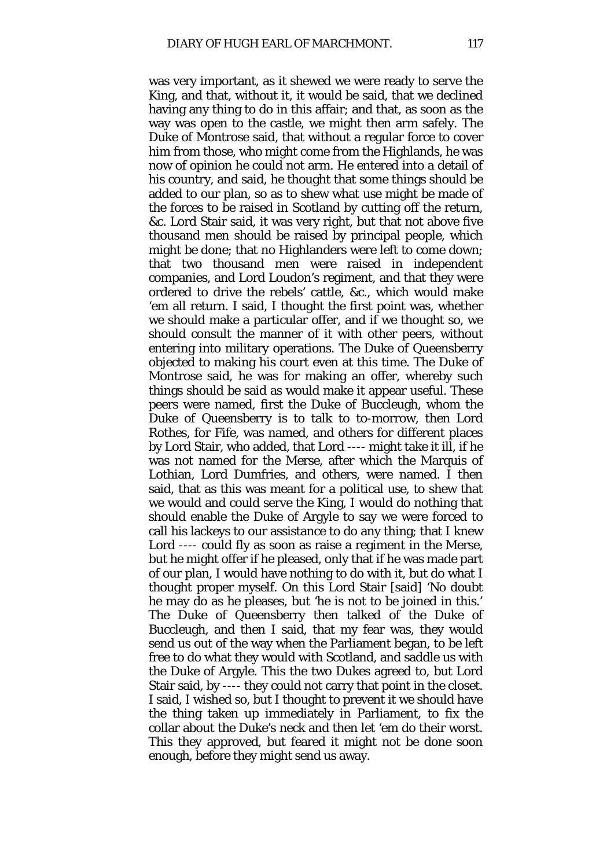was very important, as it shewed we were ready to serve the King, and that, without it, it would be said, that we declined having any thing to do in this affair; and that, as soon as the way was open to the castle, we might then arm safely. The Duke of Montrose said, that without a regular force to cover him from those, who might come from the Highlands, he was now of opinion he could not arm. He entered into a detail of his country, and said, he thought that some things should be added to our plan, so as to shew what use might be made of the forces to be raised in Scotland by cutting off the return, &c. Lord Stair said, it was very right, but that not above five thousand men should be raised by principal people, which might be done; that no Highlanders were left to come down; that two thousand men were raised in independent companies, and Lord Loudon's regiment, and that they were ordered to drive the rebels' cattle, &c., which would make 'em all return. I said, I thought the first point was, whether we should make a particular offer, and if we thought so, we should consult the manner of it with other peers, without entering into military operations. The Duke of Queensberry objected to making his court even at this time. The Duke of Montrose said, he was for making an offer, whereby such things should be said as would make it appear useful. These peers were named, first the Duke of Buccleugh, whom the Duke of Queensberry is to talk to to-morrow, then Lord Rothes, for Fife, was named, and others for different places by Lord Stair, who added, that Lord ---- might take it ill, if he was not named for the Merse, after which the Marquis of Lothian, Lord Dumfries, and others, were named. I then said, that as this was meant for a political use, to shew that we would and could serve the King, I would do nothing that should enable the Duke of Argyle to say we were forced to call his lackeys to our assistance to do any thing; that I knew Lord ---- could fly as soon as raise a regiment in the Merse, but he might offer if he pleased, only that if he was made part of our plan, I would have nothing to do with it, but do what I thought proper myself. On this Lord Stair [said] 'No doubt he may do as he pleases, but 'he is not to be joined in this.' The Duke of Queensberry then talked of the Duke of Buccleugh, and then I said, that my fear was, they would send us out of the way when the Parliament began, to be left free to do what they would with Scotland, and saddle us with the Duke of Argyle. This the two Dukes agreed to, but Lord Stair said, by ---- they could not carry that point in the closet. I said, I wished so, but I thought to prevent it we should have the thing taken up immediately in Parliament, to fix the collar about the Duke's neck and then let 'em do their worst. This they approved, but feared it might not be done soon enough, before they might send us away.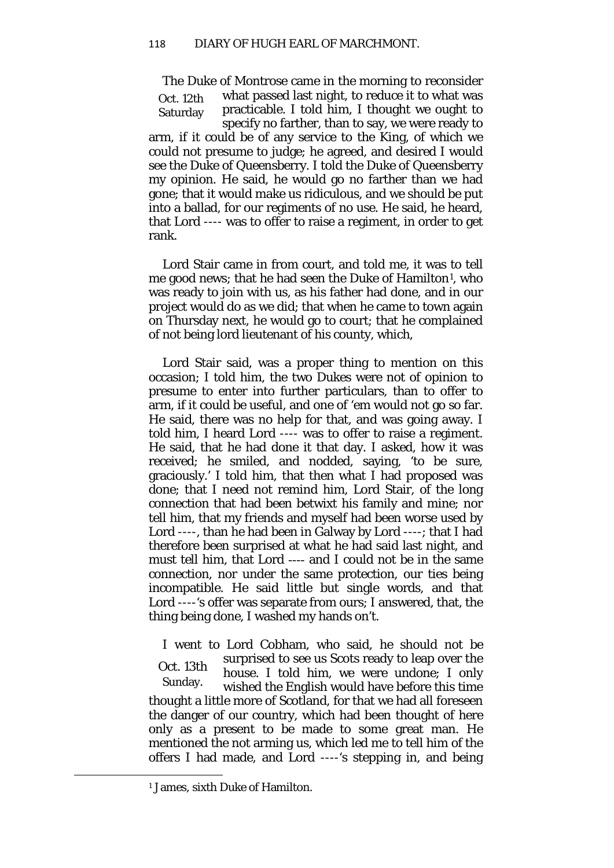Oct. 12th Saturday The Duke of Montrose came in the morning to reconsider what passed last night, to reduce it to what was practicable. I told him, I thought we ought to specify no farther, than to say, we were ready to arm, if it could be of any service to the King, of which we could not presume to judge; he agreed, and desired I would see the Duke of Queensberry. I told the Duke of Queensberry my opinion. He said, he would go no farther than we had gone; that it would make us ridiculous, and we should be put into a ballad, for our regiments of no use. He said, he heard, that Lord ---- was to offer to raise a regiment, in order to get rank.

Lord Stair came in from court, and told me, it was to tell me good news; that he had seen the Duke of Hamilton<sup>[1](#page-21-0)</sup>, who was ready to join with us, as his father had done, and in our project would do as we did; that when he came to town again on Thursday next, he would go to court; that he complained of not being lord lieutenant of his county, which,

Lord Stair said, was a proper thing to mention on this occasion; I told him, the two Dukes were not of opinion to presume to enter into further particulars, than to offer to arm, if it could be useful, and one of 'em would not go so far. He said, there was no help for that, and was going away. I told him, I heard Lord ---- was to offer to raise a regiment. He said, that he had done it that day. I asked, how it was received; he smiled, and nodded, saying, 'to be sure, graciously.' I told him, that then what I had proposed was done; that I need not remind him, Lord Stair, of the long connection that had been betwixt his family and mine; nor tell him, that my friends and myself had been worse used by Lord ----, than he had been in Galway by Lord ----; that I had therefore been surprised at what he had said last night, and must tell him, that Lord ---- and I could not be in the same connection, nor under the same protection, our ties being incompatible. He said little but single words, and that Lord ----'s offer was separate from ours; I answered, that, the thing being done, I washed my hands on't.

Oct. 13th Sunday. I went to Lord Cobham, who said, he should not be surprised to see us Scots ready to leap over the house. I told him, we were undone; I only wished the English would have before this time thought a little more of Scotland, for that we had all foreseen the danger of our country, which had been thought of here only as a present to be made to some great man. He mentioned the not arming us, which led me to tell him of the offers I had made, and Lord ----'s stepping in, and being

<span id="page-21-0"></span> $\overline{\phantom{a}}$ 

<sup>&</sup>lt;sup>1</sup> James, sixth Duke of Hamilton.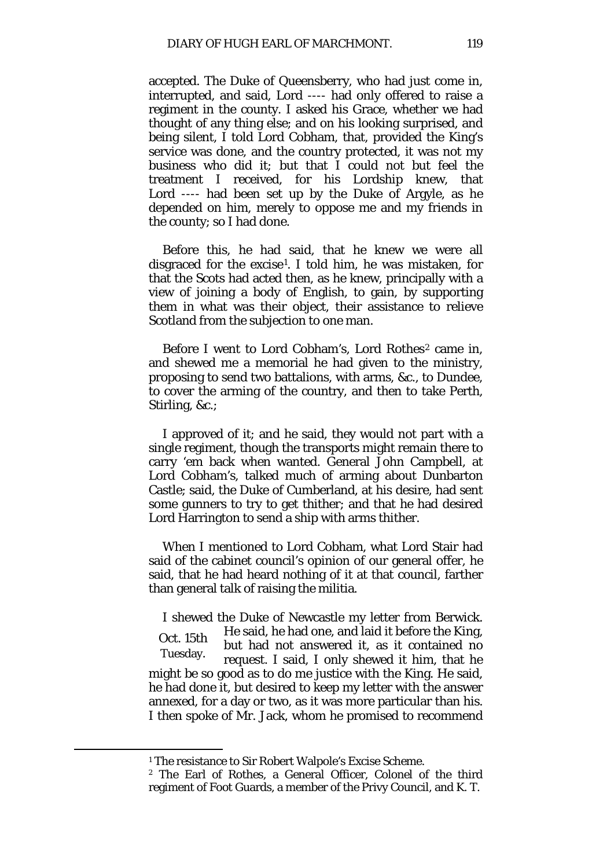accepted. The Duke of Queensberry, who had just come in, interrupted, and said, Lord ---- had only offered to raise a regiment in the county. I asked his Grace, whether we had thought of any thing else; and on his looking surprised, and being silent, I told Lord Cobham, that, provided the King's service was done, and the country protected, it was not my business who did it; but that I could not but feel the treatment I received, for his Lordship knew, that Lord ---- had been set up by the Duke of Argyle, as he depended on him, merely to oppose me and my friends in the county; so I had done.

Before this, he had said, that he knew we were all disgraced for the excise[1](#page-22-0). I told him, he was mistaken, for that the Scots had acted then, as he knew, principally with a view of joining a body of English, to gain, by supporting them in what was their object, their assistance to relieve Scotland from the subjection to one man.

Before I went to Lord Cobham's, Lord Rothes<sup>[2](#page-22-1)</sup> came in, and shewed me a memorial he had given to the ministry, proposing to send two battalions, with arms, &c., to Dundee, to cover the arming of the country, and then to take Perth, Stirling, &c.;

I approved of it; and he said, they would not part with a single regiment, though the transports might remain there to carry 'em back when wanted. General John Campbell, at Lord Cobham's, talked much of arming about Dunbarton Castle; said, the Duke of Cumberland, at his desire, had sent some gunners to try to get thither; and that he had desired Lord Harrington to send a ship with arms thither.

When I mentioned to Lord Cobham, what Lord Stair had said of the cabinet council's opinion of our general offer, he said, that he had heard nothing of it at that council, farther than general talk of raising the militia.

Oct. 15th Tuesday. I shewed the Duke of Newcastle my letter from Berwick. He said, he had one, and laid it before the King, but had not answered it, as it contained no request. I said, I only shewed it him, that he might be so good as to do me justice with the King. He said, he had done it, but desired to keep my letter with the answer annexed, for a day or two, as it was more particular than his. I then spoke of Mr. Jack, whom he promised to recommend

<span id="page-22-1"></span><span id="page-22-0"></span>**.** 

<sup>&</sup>lt;sup>1</sup> The resistance to Sir Robert Walpole's Excise Scheme.

<sup>2</sup> The Earl of Rothes, a General Officer, Colonel of the third regiment of Foot Guards, a member of the Privy Council, and K. T.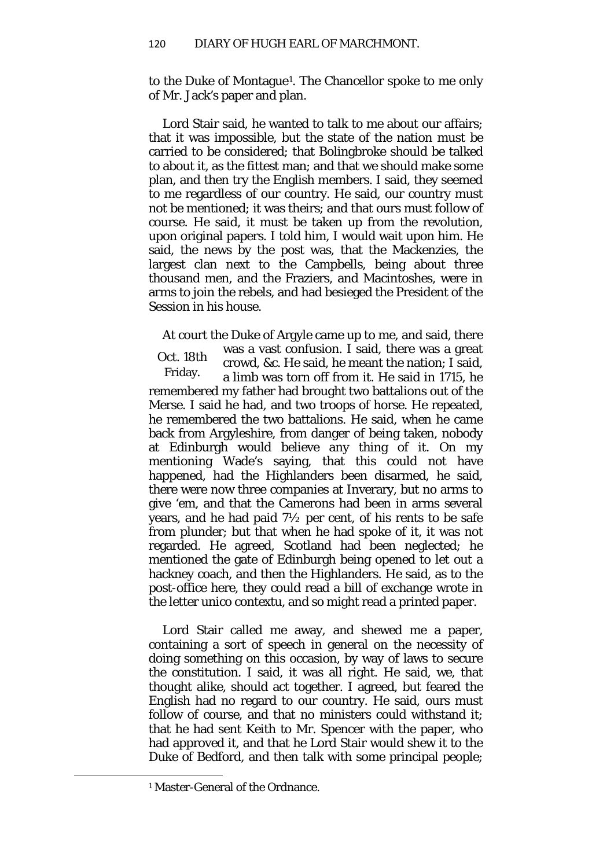to the Duke of Montague[1](#page-23-0)*.* The Chancellor spoke to me only of Mr. Jack's paper and plan.

Lord Stair said, he wanted to talk to me about our affairs; that it was impossible, but the state of the nation must be carried to be considered; that Bolingbroke should be talked to about it, as the fittest man; and that we should make some plan, and then try the English members. I said, they seemed to me regardless of our country. He said, our country must not be mentioned; it was theirs; and that ours must follow of course. He said, it must be taken up from the revolution, upon original papers. I told him, I would wait upon him. He said, the news by the post was, that the Mackenzies, the largest clan next to the Campbells, being about three thousand men, and the Fraziers, and Macintoshes, were in arms to join the rebels, and had besieged the President of the Session in his house.

At court the Duke of Argyle came up to me, and said, there

Oct. 18th Friday. was a vast confusion. I said, there was a great crowd, &c. He said, he meant the nation; I said, a limb was torn off from it. He said in 1715, he remembered my father had brought two battalions out of the Merse. I said he had, and two troops of horse. He repeated, he remembered the two battalions. He said, when he came back from Argyleshire, from danger of being taken, nobody at Edinburgh would believe any thing of it. On my mentioning Wade's saying, that this could not have happened, had the Highlanders been disarmed, he said, there were now three companies at Inverary, but no arms to give 'em, and that the Camerons had been in arms several years, and he had paid 7½ per cent, of his rents to be safe from plunder; but that when he had spoke of it, it was not regarded. He agreed, Scotland had been neglected; he mentioned the gate of Edinburgh being opened to let out a hackney coach, and then the Highlanders. He said, as to the post-office here, they could read a bill of exchange wrote in the letter *unico contextu,* and so might read a printed paper.

Lord Stair called me away, and shewed me a paper, containing a sort of speech in general on the necessity of doing something on this occasion, by way of laws to secure the constitution. I said, it was all right. He said, we, that thought alike, should act together. I agreed, but feared the English had no regard to our country. He said, ours must follow of course, and that no ministers could withstand it; that he had sent Keith to Mr. Spencer with the paper, who had approved it, and that he Lord Stair would shew it to the Duke of Bedford, and then talk with some principal people;

<span id="page-23-0"></span> $\overline{\phantom{a}}$ 

<sup>1</sup> Master-General of the Ordnance.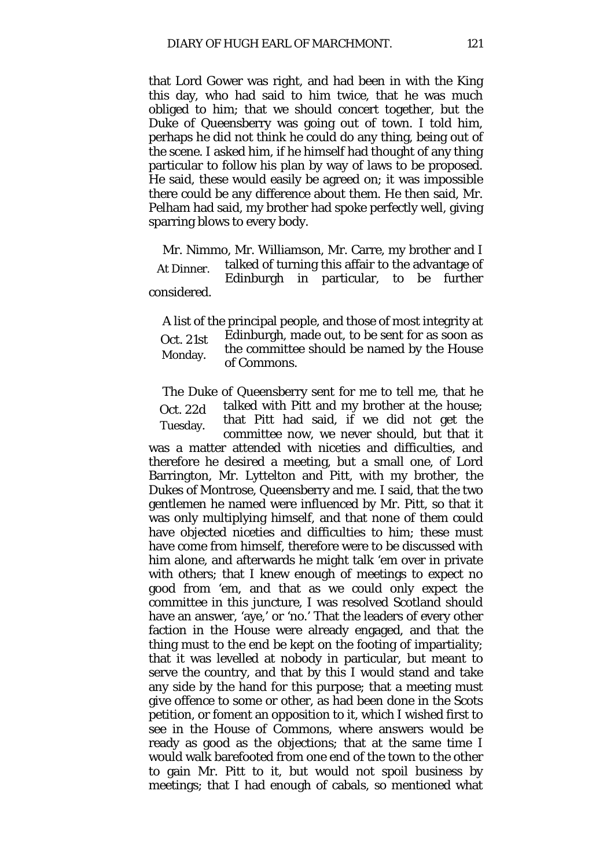that Lord Gower was right, and had been in with the King this day, who had said to him twice, that he was much obliged to him; that we should concert together, but the Duke of Queensberry was going out of town. I told him, perhaps he did not think he could do any thing, being out of the scene. I asked him, if he himself had thought of any thing particular to follow his plan by way of laws to be proposed. He said, these would easily be agreed on; it was impossible there could be any difference about them. He then said, Mr. Pelham had said, my brother had spoke perfectly well, giving sparring blows to every body.

At Dinner. Mr. Nimmo, Mr. Williamson, Mr. Carre, my brother and I talked of turning this affair to the advantage of Edinburgh in particular, to be further considered.

Oct. 21st Monday. A list of the principal people, and those of most integrity at Edinburgh, made out, to be sent for as soon as the committee should be named by the House of Commons.

Oct. 22d Tuesday. The Duke of Queensberry sent for me to tell me, that he talked with Pitt and my brother at the house; that Pitt had said, if we did not get the committee now, we never should, but that it

was a matter attended with niceties and difficulties, and therefore he desired a meeting, but a small one, of Lord Barrington, Mr. Lyttelton and Pitt, with my brother, the Dukes of Montrose, Queensberry and me. I said, that the two gentlemen he named were influenced by Mr. Pitt, so that it was only multiplying himself, and that none of them could have objected niceties and difficulties to him; these must have come from himself, therefore were to be discussed with him alone, and afterwards he might talk 'em over in private with others; that I knew enough of meetings to expect no good from 'em, and that as we could only expect the committee in this juncture, I was resolved Scotland should have an answer, 'aye,' or 'no.' That the leaders of every other faction in the House were already engaged, and that the thing must to the end be kept on the footing of impartiality; that it was levelled at nobody in particular, but meant to serve the country, and that by this I would stand and take any side by the hand for this purpose; that a meeting must give offence to some or other, as had been done in the Scots petition, or foment an opposition to it, which I wished first to see in the House of Commons, where answers would be ready as good as the objections; that at the same time I would walk barefooted from one end of the town to the other to gain Mr. Pitt to it, but would not spoil business by meetings; that I had enough of cabals, so mentioned what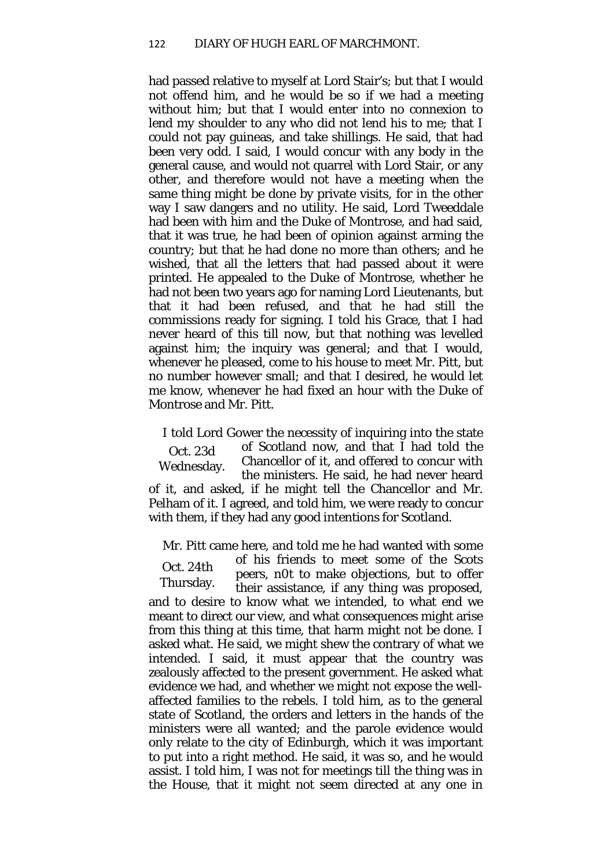had passed relative to myself at Lord Stair's; but that I would not offend him, and he would be so if we had a meeting without him; but that I would enter into no connexion to lend my shoulder to any who did not lend his to me; that I could not pay guineas, and take shillings. He said, that had been very odd. I said, I would concur with any body in the general cause, and would not quarrel with Lord Stair, or any other, and therefore would not have a meeting when the same thing might be done by private visits, for in the other way I saw dangers and no utility. He said, Lord Tweeddale had been with him and the Duke of Montrose, and had said, that it was true, he had been of opinion against arming the country; but that he had done no more than others; and he wished, that all the letters that had passed about it were printed. He appealed to the Duke of Montrose, whether he had not been two years ago for naming Lord Lieutenants, but that it had been refused, and that he had still the commissions ready for signing. I told his Grace, that I had never heard of this till now, but that nothing was levelled against him; the inquiry was general; and that I would, whenever he pleased, come to his house to meet Mr. Pitt, but no number however small; and that I desired, he would let me know, whenever he had fixed an hour with the Duke of Montrose and Mr. Pitt.

Oct. 23d Wednesday. I told Lord Gower the necessity of inquiring into the state of Scotland now, and that I had told the Chancellor of it, and offered to concur with the ministers. He said, he had never heard of it, and asked, if he might tell the Chancellor and Mr. Pelham of it. I agreed, and told him, we were ready to concur with them, if they had any good intentions for Scotland.

Mr. Pitt came here, and told me he had wanted with some

Oct. 24th Thursday. of his friends to meet some of the Scots peers, n0t to make objections, but to offer their assistance, if any thing was proposed, and to desire to know what we intended, to what end we meant to direct our view, and what consequences might arise from this thing at this time, that harm might not be done. I asked what. He said, we might shew the contrary of what we intended. I said, it must appear that the country was zealously affected to the present government. He asked what evidence we had, and whether we might not expose the wellaffected families to the rebels. I told him, as to the general state of Scotland, the orders and letters in the hands of the ministers were all wanted; and the parole evidence would only relate to the city of Edinburgh, which it was important to put into a right method. He said, it was so, and he would assist. I told him, I was not for meetings till the thing was in the House, that it might not seem directed at any one in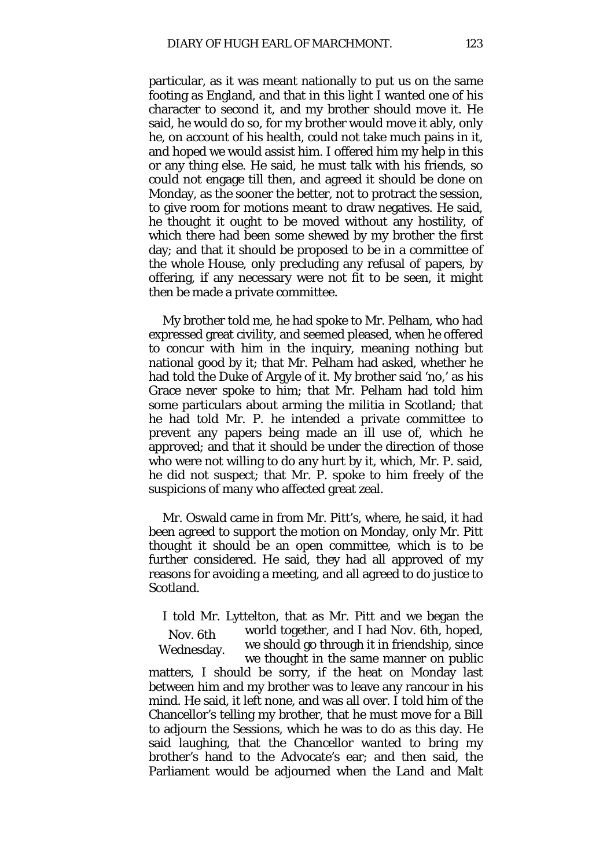particular, as it was meant nationally to put us on the same footing as England, and that in this light I wanted one of his character to second it, and my brother should move it. He said, he would do so, for my brother would move it ably, only he, on account of his health, could not take much pains in it, and hoped we would assist him. I offered him my help in this or any thing else. He said, he must talk with his friends, so could not engage till then, and agreed it should be done on Monday, as the sooner the better, not to protract the session, to give room for motions meant to draw negatives. He said, he thought it ought to be moved without any hostility, of which there had been some shewed by my brother the first day; and that it should be proposed to be in a committee of the whole House, only precluding any refusal of papers, by offering, if any necessary were not fit to be seen, it might then be made a private committee.

My brother told me, he had spoke to Mr. Pelham, who had expressed great civility, and seemed pleased, when he offered to concur with him in the inquiry, meaning nothing but national good by it; that Mr. Pelham had asked, whether he had told the Duke of Argyle of it. My brother said 'no,' as his Grace never spoke to him; that Mr. Pelham had told him some particulars about arming the militia in Scotland; that he had told Mr. P. he intended a private committee to prevent any papers being made an ill use of, which he approved; and that it should be under the direction of those who were not willing to do any hurt by it, which, Mr. P. said, he did not suspect; that Mr. P. spoke to him freely of the suspicions of many who affected great zeal.

Mr. Oswald came in from Mr. Pitt's, where, he said, it had been agreed to support the motion on Monday, only Mr. Pitt thought it should be an open committee, which is to be further considered. He said, they had all approved of my reasons for avoiding a meeting, and all agreed to do justice to Scotland.

Nov. 6th Wednesday. I told Mr. Lyttelton, that as Mr. Pitt and we began the world together, and I had Nov. 6th, hoped, we should go through it in friendship, since we thought in the same manner on public matters, I should be sorry, if the heat on Monday last between him and my brother was to leave any rancour in his mind. He said, it left none, and was all over. I told him of the Chancellor's telling my brother, that he must move for a Bill to adjourn the Sessions, which he was to do as this day. He said laughing, that the Chancellor wanted to bring my brother's hand to the Advocate's ear; and then said, the Parliament would be adjourned when the Land and Malt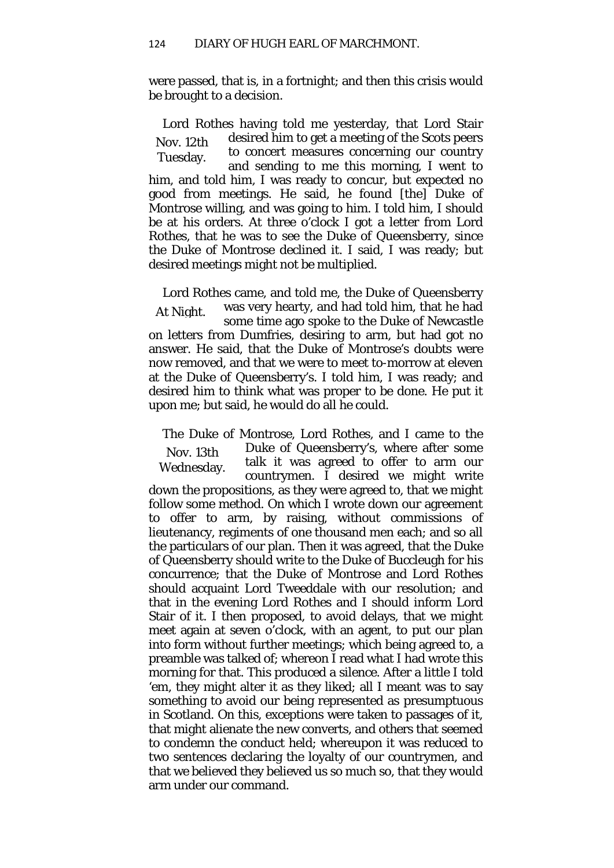were passed, that is, in a fortnight; and then this crisis would be brought to a decision.

Nov. 12th Tuesday. Lord Rothes having told me yesterday, that Lord Stair desired him to get a meeting of the Scots peers to concert measures concerning our country and sending to me this morning, I went to him, and told him, I was ready to concur, but expected no good from meetings. He said, he found [the] Duke of Montrose willing, and was going to him. I told him, I should be at his orders. At three o'clock I got a letter from Lord Rothes, that he was to see the Duke of Queensberry, since the Duke of Montrose declined it. I said, I was ready; but desired meetings might not be multiplied.

At Night. Lord Rothes came, and told me, the Duke of Queensberry was very hearty, and had told him, that he had some time ago spoke to the Duke of Newcastle on letters from Dumfries, desiring to arm, but had got no answer. He said, that the Duke of Montrose's doubts were now removed, and that we were to meet to-morrow at eleven at the Duke of Queensberry's. I told him, I was ready; and desired him to think what was proper to be done. He put it upon me; but said, he would do all he could.

Nov. 13th Wednesday. The Duke of Montrose, Lord Rothes, and I came to the Duke of Queensberry's, where after some talk it was agreed to offer to arm our countrymen. I desired we might write down the propositions, as they were agreed to, that we might follow some method. On which I wrote down our agreement to offer to arm, by raising, without commissions of lieutenancy, regiments of one thousand men each; and so all the particulars of our plan. Then it was agreed, that the Duke of Queensberry should write to the Duke of Buccleugh for his concurrence; that the Duke of Montrose and Lord Rothes should acquaint Lord Tweeddale with our resolution; and that in the evening Lord Rothes and I should inform Lord Stair of it. I then proposed, to avoid delays, that we might meet again at seven o'clock, with an agent, to put our plan into form without further meetings; which being agreed to, a preamble was talked of; whereon I read what I had wrote this morning for that. This produced a silence. After a little I told 'em, they might alter it as they liked; all I meant was to say something to avoid our being represented as presumptuous in Scotland. On this, exceptions were taken to passages of it, that might alienate the new converts, and others that seemed to condemn the conduct held; whereupon it was reduced to two sentences declaring the loyalty of our countrymen, and that we believed they believed us so much so, that they would arm under our command.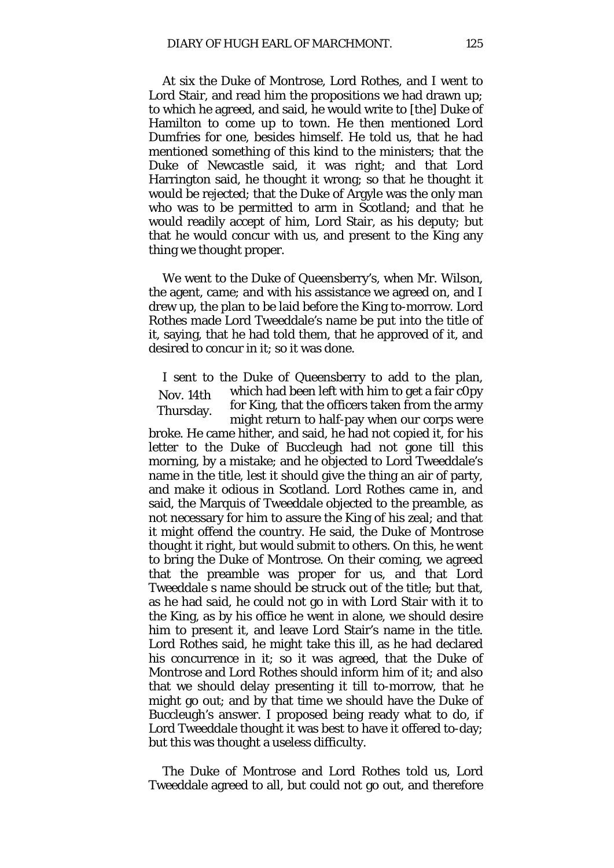At six the Duke of Montrose, Lord Rothes, and I went to Lord Stair, and read him the propositions we had drawn up; to which he agreed, and said, he would write to [the] Duke of Hamilton to come up to town. He then mentioned Lord Dumfries for one, besides himself. He told us, that he had mentioned something of this kind to the ministers; that the Duke of Newcastle said, it was right; and that Lord Harrington said, he thought it wrong; so that he thought it would be rejected; that the Duke of Argyle was the only man who was to be permitted to arm in Scotland; and that he would readily accept of him, Lord Stair, as his deputy; but that he would concur with us, and present to the King any thing we thought proper.

We went to the Duke of Queensberry's, when Mr. Wilson, the agent, came; and with his assistance we agreed on, and I drew up, the plan to be laid before the King to-morrow. Lord Rothes made Lord Tweeddale's name be put into the title of it, saying, that he had told them, that he approved of it, and desired to concur in it; so it was done.

Nov. 14th Thursday. I sent to the Duke of Queensberry to add to the plan, which had been left with him to get a fair c0py for King, that the officers taken from the army might return to half-pay when our corps were broke. He came hither, and said, he had not copied it, for his letter to the Duke of Buccleugh had not gone till this morning, by a mistake; and he objected to Lord Tweeddale's name in the title, lest it should give the thing an air of party, and make it odious in Scotland. Lord Rothes came in, and said, the Marquis of Tweeddale objected to the preamble, as not necessary for him to assure the King of his zeal; and that it might offend the country. He said, the Duke of Montrose thought it right, but would submit to others. On this, he went to bring the Duke of Montrose. On their coming, we agreed that the preamble was proper for us, and that Lord Tweeddale s name should be struck out of the title; but that, as he had said, he could not go in with Lord Stair with it to the King, as by his office he went in alone, we should desire him to present it, and leave Lord Stair's name in the title. Lord Rothes said, he might take this ill, as he had declared his concurrence in it; so it was agreed, that the Duke of Montrose and Lord Rothes should inform him of it; and also that we should delay presenting it till to-morrow, that he might go out; and by that time we should have the Duke of Buccleugh's answer. I proposed being ready what to do, if Lord Tweeddale thought it was best to have it offered to-day; but this was thought a useless difficulty.

The Duke of Montrose and Lord Rothes told us, Lord Tweeddale agreed to all, but could not go out, and therefore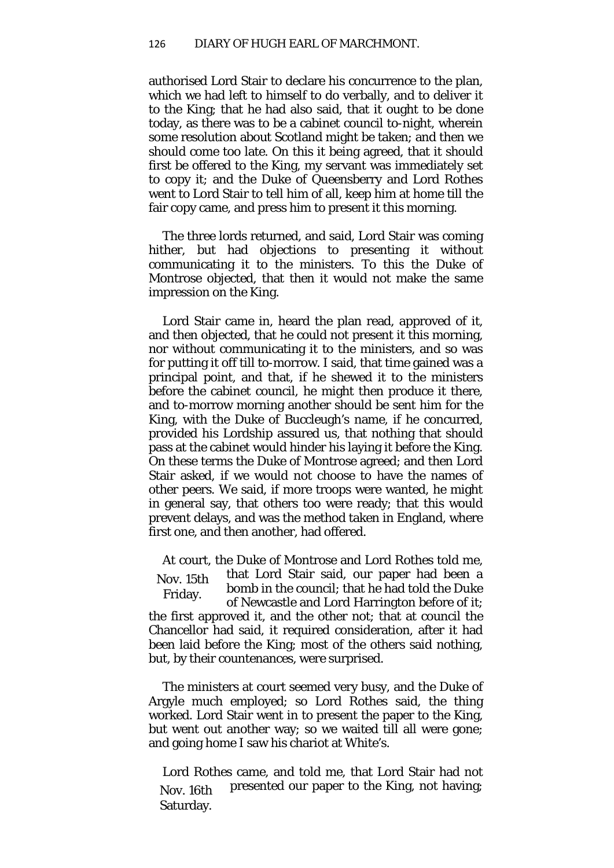authorised Lord Stair to declare his concurrence to the plan, which we had left to himself to do verbally, and to deliver it to the King; that he had also said, that it ought to be done today, as there was to be a cabinet council to-night, wherein some resolution about Scotland might be taken; and then we should come too late. On this it being agreed, that it should first be offered to the King, my servant was immediately set to copy it; and the Duke of Queensberry and Lord Rothes went to Lord Stair to tell him of all, keep him at home till the fair copy came, and press him to present it this morning.

The three lords returned, and said, Lord Stair was coming hither, but had objections to presenting it without communicating it to the ministers. To this the Duke of Montrose objected, that then it would not make the same impression on the King.

Lord Stair came in, heard the plan read, approved of it, and then objected, that he could not present it this morning, nor without communicating it to the ministers, and so was for putting it off till to-morrow. I said, that time gained was a principal point, and that, if he shewed it to the ministers before the cabinet council, he might then produce it there, and to-morrow morning another should be sent him for the King, with the Duke of Buccleugh's name, if he concurred, provided his Lordship assured us, that nothing that should pass at the cabinet would hinder his laying it before the King. On these terms the Duke of Montrose agreed; and then Lord Stair asked, if we would not choose to have the names of other peers. We said, if more troops were wanted, he might in general say, that others too were ready; that this would prevent delays, and was the method taken in England, where first one, and then another, had offered.

Nov. 15th Friday. At court, the Duke of Montrose and Lord Rothes told me, that Lord Stair said, our paper had been a bomb in the council; that he had told the Duke of Newcastle and Lord Harrington before of it; the first approved it, and the other not; that at council the Chancellor had said, it required consideration, after it had been laid before the King; most of the others said nothing, but, by their countenances, were surprised.

The ministers at court seemed very busy, and the Duke of Argyle much employed; so Lord Rothes said, the thing worked. Lord Stair went in to present the paper to the King, but went out another way; so we waited till all were gone; and going home I saw his chariot at White's.

Nov. 16th Saturday. Lord Rothes came, and told me, that Lord Stair had not presented our paper to the King, not having;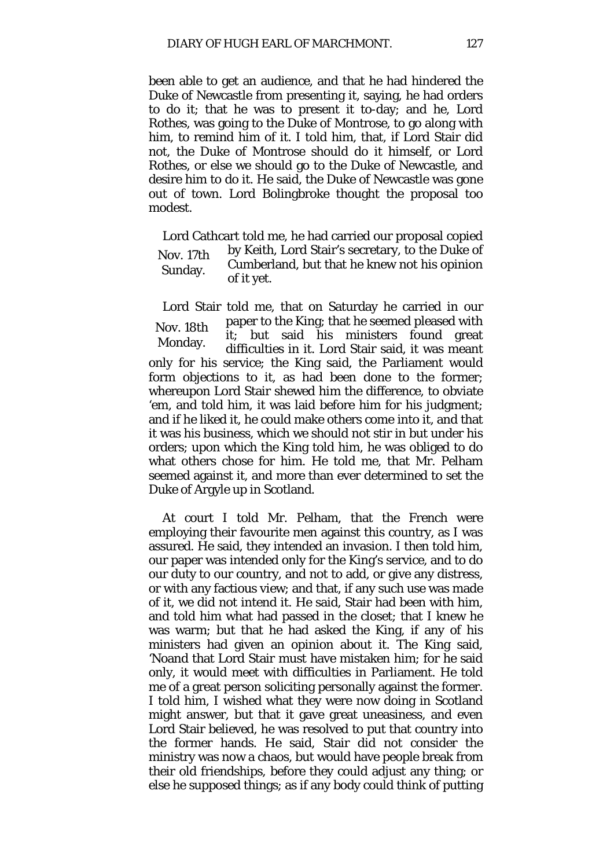been able to get an audience, and that he had hindered the Duke of Newcastle from presenting it, saying, he had orders to do it; that he was to present it to-day; and he, Lord Rothes, was going to the Duke of Montrose, to go along with him, to remind him of it. I told him, that, if Lord Stair did not, the Duke of Montrose should do it himself, or Lord Rothes, or else we should go to the Duke of Newcastle, and desire him to do it. He said, the Duke of Newcastle was gone out of town. Lord Bolingbroke thought the proposal too modest.

Nov. 17th Sunday. Lord Cathcart told me, he had carried our proposal copied by Keith, Lord Stair's secretary, to the Duke of Cumberland, but that he knew not his opinion of it yet.

Nov. 18th Monday. Lord Stair told me, that on Saturday he carried in our paper to the King; that he seemed pleased with it; but said his ministers found great difficulties in it. Lord Stair said, it was meant only for his service; the King said, the Parliament would form objections to it, as had been done to the former; whereupon Lord Stair shewed him the difference, to obviate 'em, and told him, it was laid before him for his judgment; and if he liked it, he could make others come into it, and that it was his business, which we should not stir in but under his orders; upon which the King told him, he was obliged to do what others chose for him. He told me, that Mr. Pelham seemed against it, and more than ever determined to set the Duke of Argyle up in Scotland.

At court I told Mr. Pelham, that the French were employing their favourite men against this country, as I was assured. He said, they intended an invasion. I then told him, our paper was intended only for the King's service, and to do our duty to our country, and not to add, or give any distress, or with any factious view; and that, if any such use was made of it, we did not intend it. He said, Stair had been with him, and told him what had passed in the closet; that I knew he was warm; but that he had asked the King, if any of his ministers had given an opinion about it. The King said, 'Noand that Lord Stair must have mistaken him; for he said only, it would meet with difficulties in Parliament. He told me of a great person soliciting personally against the former. I told him, I wished what they were now doing in Scotland might answer, but that it gave great uneasiness, and even Lord Stair believed, he was resolved to put that country into the former hands. He said, Stair did not consider the ministry was now a chaos, but would have people break from their old friendships, before they could adjust any thing; or else he supposed things; as if any body could think of putting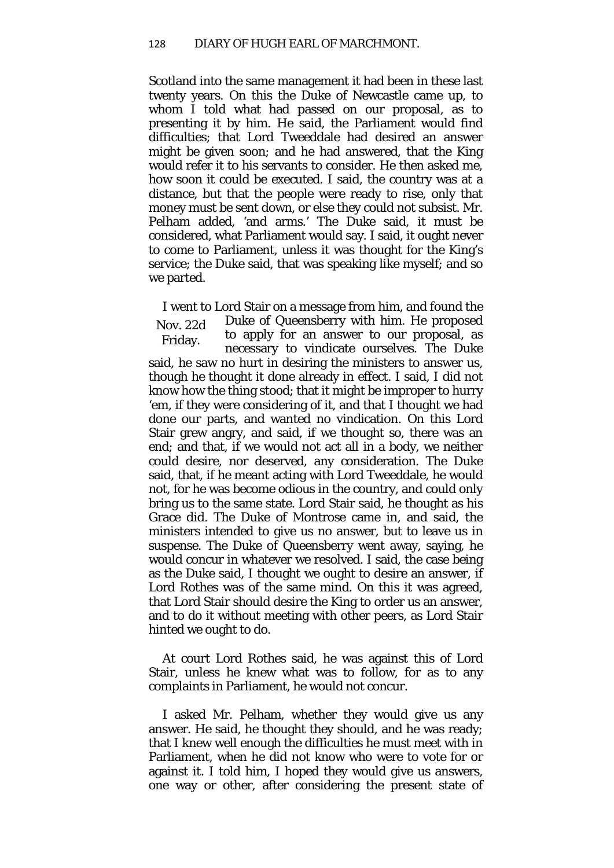Scotland into the same management it had been in these last twenty years. On this the Duke of Newcastle came up, to whom I told what had passed on our proposal, as to presenting it by him. He said, the Parliament would find difficulties; that Lord Tweeddale had desired an answer might be given soon; and he had answered, that the King would refer it to his servants to consider. He then asked me, how soon it could be executed. I said, the country was at a distance, but that the people were ready to rise, only that money must be sent down, or else they could not subsist. Mr. Pelham added, 'and arms.' The Duke said, it must be considered, what Parliament would say. I said, it ought never to come to Parliament, unless it was thought for the King's service; the Duke said, that was speaking like myself; and so we parted.

Nov. 22d Friday. I went to Lord Stair on a message from him, and found the Duke of Queensberry with him. He proposed to apply for an answer to our proposal, as necessary to vindicate ourselves. The Duke said, he saw no hurt in desiring the ministers to answer us, though he thought it done already in effect. I said, I did not know how the thing stood; that it might be improper to hurry 'em, if they were considering of it, and that I thought we had done our parts, and wanted no vindication. On this Lord Stair grew angry, and said, if we thought so, there was an end; and that, if we would not act all in a body, we neither could desire, nor deserved, any consideration. The Duke said, that, if he meant acting with Lord Tweeddale, he would not, for he was become odious in the country, and could only bring us to the same state. Lord Stair said, he thought as his Grace did. The Duke of Montrose came in, and said, the ministers intended to give us no answer, but to leave us in suspense. The Duke of Queensberry went away, saying, he would concur in whatever we resolved. I said, the case being as the Duke said, I thought we ought to desire an answer, if Lord Rothes was of the same mind. On this it was agreed, that Lord Stair should desire the King to order us an answer, and to do it without meeting with other peers, as Lord Stair hinted we ought to do.

At court Lord Rothes said, he was against this of Lord Stair, unless he knew what was to follow, for as to any complaints in Parliament, he would not concur.

I asked Mr. Pelham, whether they would give us any answer. He said, he thought they should, and he was ready; that I knew well enough the difficulties he must meet with in Parliament, when he did not know who were to vote for or against it. I told him, I hoped they would give us answers, one way or other, after considering the present state of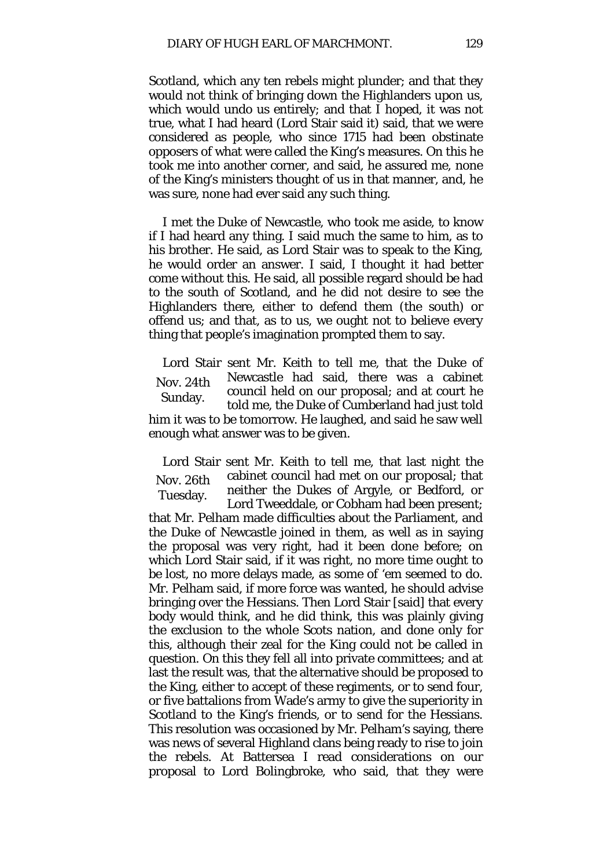Scotland, which any ten rebels might plunder; and that they would not think of bringing down the Highlanders upon us, which would undo us entirely; and that I hoped, it was not true, what I had heard (Lord Stair said it) said, that we were considered as people, who since 1715 had been obstinate opposers of what were called the King's measures. On this he took me into another corner, and said, he assured me, none of the King's ministers thought of us in that manner, and, he was sure, none had ever said any such thing.

I met the Duke of Newcastle, who took me aside, to know if I had heard any thing. I said much the same to him, as to his brother. He said, as Lord Stair was to speak to the King, he would order an answer. I said, I thought it had better come without this. He said, all possible regard should be had to the south of Scotland, and he did not desire to see the Highlanders there, either to defend them (the south) or offend us; and that, as to us, we ought not to believe every thing that people's imagination prompted them to say.

Nov. 24th Sunday. Lord Stair sent Mr. Keith to tell me, that the Duke of Newcastle had said, there was a cabinet council held on our proposal; and at court he told me, the Duke of Cumberland had just told him it was to be tomorrow. He laughed, and said he saw well enough what answer was to be given.

Nov. 26th Tuesday. Lord Stair sent Mr. Keith to tell me, that last night the cabinet council had met on our proposal; that neither the Dukes of Argyle, or Bedford, or Lord Tweeddale, or Cobham had been present;

that Mr. Pelham made difficulties about the Parliament, and the Duke of Newcastle joined in them, as well as in saying the proposal was very right, had it been done before; on which Lord Stair said, if it was right, no more time ought to be lost, no more delays made, as some of 'em seemed to do. Mr. Pelham said, if more force was wanted, he should advise bringing over the Hessians. Then Lord Stair [said] that every body would think, and he did think, this was plainly giving the exclusion to the whole Scots nation, and done only for this, although their zeal for the King could not be called in question. On this they fell all into private committees; and at last the result was, that the alternative should be proposed to the King, either to accept of these regiments, or to send four, or five battalions from Wade's army to give the superiority in Scotland to the King's friends, or to send for the Hessians. This resolution was occasioned by Mr. Pelham's saying, there was news of several Highland clans being ready to rise to join the rebels. At Battersea I read considerations on our proposal to Lord Bolingbroke, who said, that they were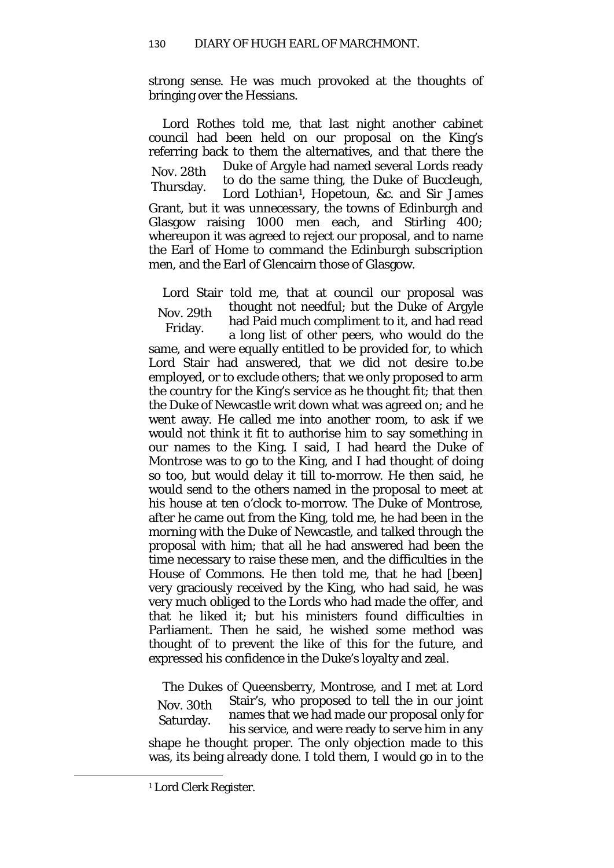strong sense. He was much provoked at the thoughts of bringing over the Hessians.

Nov. 28th Thursday. Lord Rothes told me, that last night another cabinet council had been held on our proposal on the King's referring back to them the alternatives, and that there the Duke of Argyle had named several Lords ready to do the same thing, the Duke of Buccleugh, Lord Lothian<sup>1</sup>, Hopetoun, &c. and Sir James Grant, but it was unnecessary, the towns of Edinburgh and Glasgow raising 1000 men each, and Stirling 400; whereupon it was agreed to reject our proposal, and to name the Earl of Home to command the Edinburgh subscription men, and the Earl of Glencairn those of Glasgow.

Nov. 29th Friday. Lord Stair told me, that at council our proposal was thought not needful; but the Duke of Argyle had Paid much compliment to it, and had read a long list of other peers, who would do the

same, and were equally entitled to be provided for, to which Lord Stair had answered, that we did not desire to.be employed, or to exclude others; that we only proposed to arm the country for the King's service as he thought fit; that then the Duke of Newcastle writ down what was agreed on; and he went away. He called me into another room, to ask if we would not think it fit to authorise him to say something in our names to the King. I said, I had heard the Duke of Montrose was to go to the King, and I had thought of doing so too, but would delay it till to-morrow. He then said, he would send to the others named in the proposal to meet at his house at ten o'clock to-morrow. The Duke of Montrose, after he came out from the King, told me, he had been in the morning with the Duke of Newcastle, and talked through the proposal with him; that all he had answered had been the time necessary to raise these men, and the difficulties in the House of Commons. He then told me, that he had [been] very graciously received by the King, who had said, he was very much obliged to the Lords who had made the offer, and that he liked it; but his ministers found difficulties in Parliament. Then he said, he wished some method was thought of to prevent the like of this for the future, and expressed his confidence in the Duke's loyalty and zeal.

Nov. 30th Saturday. The Dukes of Queensberry, Montrose, and I met at Lord Stair's, who proposed to tell the in our joint names that we had made our proposal only for his service, and were ready to serve him in any shape he thought proper. The only objection made to this was, its being already done. I told them, I would go in to the

<span id="page-33-0"></span> $\overline{\phantom{a}}$ 

<sup>1</sup> Lord Clerk Register.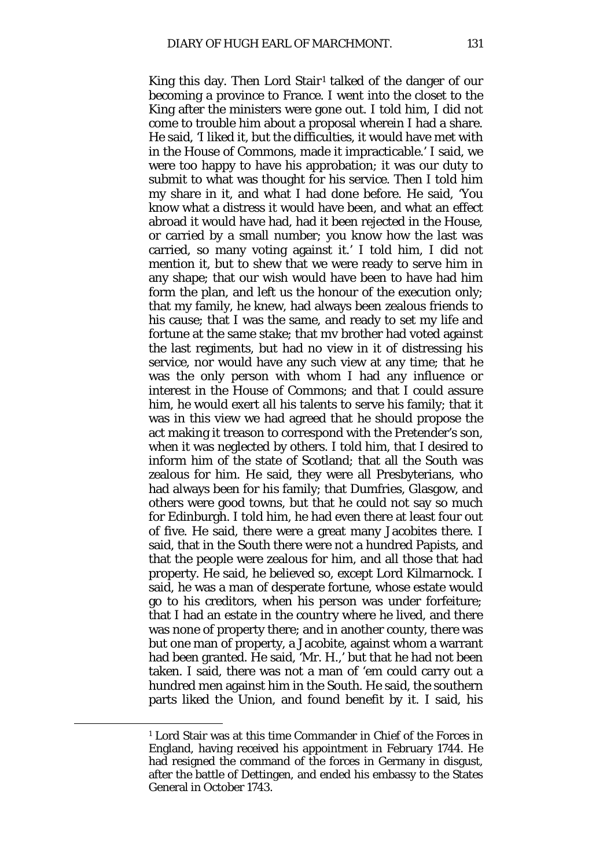King this day. Then Lord Stair<sup>[1](#page-34-0)</sup> talked of the danger of our becoming a province to France. I went into the closet to the King after the ministers were gone out. I told him, I did not come to trouble him about a proposal wherein I had a share. He said, 'I liked it, but the difficulties, it would have met with in the House of Commons, made it impracticable.' I said, we were too happy to have his approbation; it was our duty to submit to what was thought for his service. Then I told him my share in it, and what I had done before. He said, 'You know what a distress it would have been, and what an effect abroad it would have had, had it been rejected in the House, or carried by a small number; you know how the last was carried, so many voting against it.' I told him, I did not mention it, but to shew that we were ready to serve him in any shape; that our wish would have been to have had him form the plan, and left us the honour of the execution only; that my family, he knew, had always been zealous friends to his cause; that I was the same, and ready to set my life and fortune at the same stake; that mv brother had voted against the last regiments, but had no view in it of distressing his service, nor would have any such view at any time; that he was the only person with whom I had any influence or interest in the House of Commons; and that I could assure him, he would exert all his talents to serve his family; that it was in this view we had agreed that he should propose the act making it treason to correspond with the Pretender's son, when it was neglected by others. I told him, that I desired to inform him of the state of Scotland; that all the South was zealous for him. He said, they were all Presbyterians, who had always been for his family; that Dumfries, Glasgow, and others were good towns, but that he could not say so much for Edinburgh. I told him, he had even there at least four out of five. He said, there were a great many Jacobites there. I said, that in the South there were not a hundred Papists, and that the people were zealous for him, and all those that had property. He said, he believed so, except Lord Kilmarnock. I said, he was a man of desperate fortune, whose estate would go to his creditors, when his person was under forfeiture*;*  that I had an estate in the country where he lived, and there was none of property there; and in another county, there was but one man of property, a Jacobite, against whom a warrant had been granted. He said, 'Mr. H.,' but that he had not been taken. I said, there was not a man of 'em could carry out a hundred men against him in the South. He said, the southern parts liked the Union, and found benefit by it. I said, his

<span id="page-34-0"></span>**.** 

<sup>1</sup> Lord Stair was at this time Commander in Chief of the Forces in England, having received his appointment in February 1744. He had resigned the command of the forces in Germany in disgust, after the battle of Dettingen, and ended his embassy to the States General in October 1743.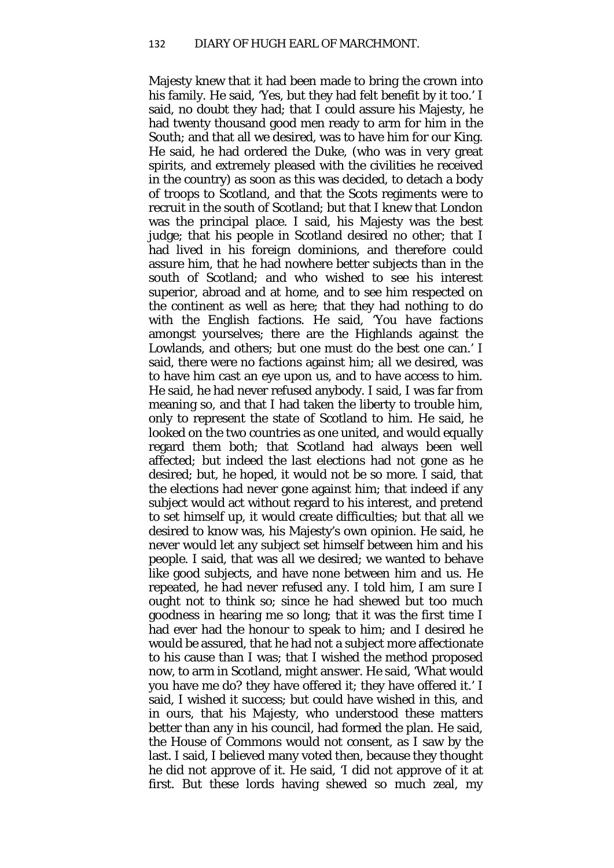Majesty knew that it had been made to bring the crown into his family. He said, 'Yes, but they had felt benefit by it too.' I said, no doubt they had; that I could assure his Majesty, he had twenty thousand good men ready to arm for him in the South; and that all we desired, was to have him for our King. He said, he had ordered the Duke, (who was in very great spirits, and extremely pleased with the civilities he received in the country) as soon as this was decided, to detach a body of troops to Scotland, and that the Scots regiments were to recruit in the south of Scotland; but that I knew that London was the principal place. I said, his Majesty was the best judge; that his people in Scotland desired no other; that I had lived in his foreign dominions, and therefore could assure him, that he had nowhere better subjects than in the south of Scotland; and who wished to see his interest superior, abroad and at home, and to see him respected on the continent as well as here; that they had nothing to do with the English factions. He said, 'You have factions amongst yourselves; there are the Highlands against the Lowlands, and others; but one must do the best one can.' I said, there were no factions against him; all we desired, was to have him cast an eye upon us, and to have access to him. He said, he had never refused anybody. I said, I was far from meaning so, and that I had taken the liberty to trouble him, only to represent the state of Scotland to him. He said, he looked on the two countries as one united, and would equally regard them both; that Scotland had always been well affected*;* but indeed the last elections had not gone as he desired; but, he hoped, it would not be so more. I said, that the elections had never gone against him; that indeed if any subject would act without regard to his interest, and pretend to set himself up, it would create difficulties; but that all we desired to know was, his Majesty's own opinion. He said, he never would let any subject set himself between him and his people. I said, that was all we desired; we wanted to behave like good subjects, and have none between him and us. He repeated, he had never refused any. I told him, I am sure I ought not to think so; since he had shewed but too much goodness in hearing me so long; that it was the first time I had ever had the honour to speak to him; and I desired he would be assured, that he had not a subject more affectionate to his cause than I was; that I wished the method proposed now, to arm in Scotland, might answer. He said, 'What would you have me do? they have offered it; they have offered it.' I said, I wished it success; but could have wished in this, and in ours, that his Majesty, who understood these matters better than any in his council, had formed the plan. He said, the House of Commons would not consent, as I saw by the last. I said, I believed many voted then, because they thought he did not approve of it. He said, 'I did not approve of it at first. But these lords having shewed so much zeal, my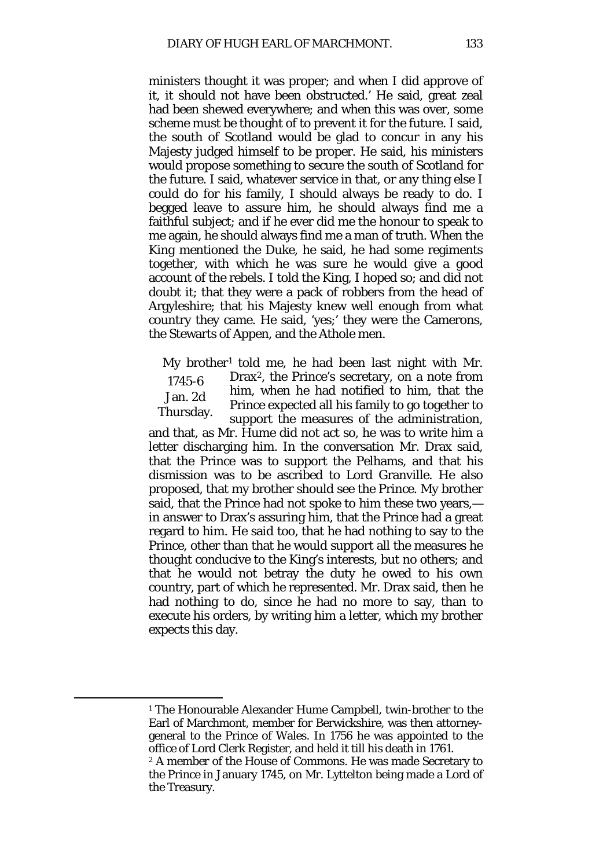ministers thought it was proper; and when I did approve of it, it should not have been obstructed.' He said, great zeal had been shewed everywhere; and when this was over, some scheme must be thought of to prevent it for the future. I said, the south of Scotland would be glad to concur in any his Majesty judged himself to be proper. He said, his ministers would propose something to secure the south of Scotland for the future. I said, whatever service in that, or any thing else I could do for his family, I should always be ready to do. I begged leave to assure him, he should always find me a faithful subject; and if he ever did me the honour to speak to me again, he should always find me a man of truth. When the King mentioned the Duke, he said, he had some regiments together, with which he was sure he would give a good account of the rebels. I told the King, I hoped so; and did not doubt it; that they were a pack of robbers from the head of Argyleshire; that his Majesty knew well enough from what country they came. He said, 'yes;' they were the Camerons, the Stewarts of Appen, and the Athole men.

1745-6 Jan. 2d Thursday. My brother<sup>[1](#page-36-0)</sup> told me, he had been last night with Mr. Drax[2,](#page-36-1) the Prince's secretary, on a note from him, when he had notified to him, that the Prince expected all his family to go together to support the measures of the administration,

and that, as Mr. Hume did not act so, he was to write him a letter discharging him. In the conversation Mr. Drax said, that the Prince was to support the Pelhams, and that his dismission was to be ascribed to Lord Granville. He also proposed, that my brother should see the Prince. My brother said, that the Prince had not spoke to him these two years, in answer to Drax's assuring him, that the Prince had a great regard to him. He said too, that he had nothing to say to the Prince, other than that he would support all the measures he thought conducive to the King's interests, but no others; and that he would not betray the duty he owed to his own country, part of which he represented. Mr. Drax said, then he had nothing to do, since he had no more to say, than to execute his orders, by writing him a letter, which my brother expects this day.

<span id="page-36-0"></span><sup>1</sup> The Honourable Alexander Hume Campbell, twin-brother to the Earl of Marchmont, member for Berwickshire, was then attorneygeneral to the Prince of Wales. In 1756 he was appointed to the office of Lord Clerk Register, and held it till his death in 1761.

<span id="page-36-1"></span><sup>2</sup> A member of the House of Commons. He was made Secretary to the Prince in January 1745, on Mr. Lyttelton being made a Lord of the Treasury.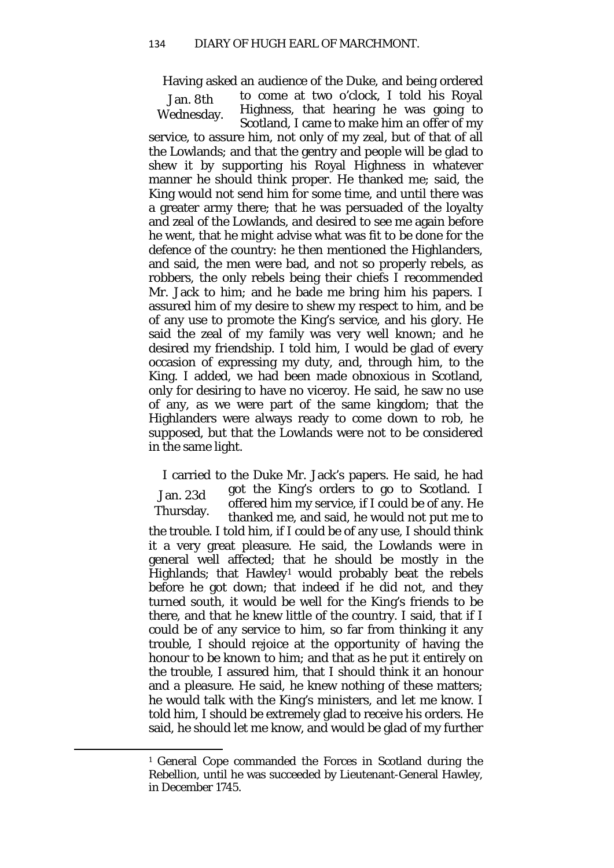Having asked an audience of the Duke, and being ordered

Jan. 8th Wednesday. to come at two o'clock, I told his Royal Highness, that hearing he was going to Scotland, I came to make him an offer of my service, to assure him, not only of my zeal, but of that of all the Lowlands; and that the gentry and people will be glad to shew it by supporting his Royal Highness in whatever manner he should think proper. He thanked me; said, the King would not send him for some time, and until there was a greater army there; that he was persuaded of the loyalty and zeal of the Lowlands, and desired to see me again before he went, that he might advise what was fit to be done for the defence of the country: he then mentioned the Highlanders, and said, the men were bad, and not so properly rebels, as robbers, the only rebels being their chiefs I recommended Mr. Jack to him; and he bade me bring him his papers. I assured him of my desire to shew my respect to him, and be of any use to promote the King's service, and his glory. He said the zeal of my family was very well known; and he desired my friendship. I told him, I would be glad of every occasion of expressing my duty, and, through him, to the King. I added, we had been made obnoxious in Scotland, only for desiring to have no viceroy. He said, he saw no use of any, as we were part of the same kingdom; that the Highlanders were always ready to come down to rob, he supposed, but that the Lowlands were not to be considered in the same light.

Jan. 23d Thursday. I carried to the Duke Mr. Jack's papers. He said, he had got the King's orders to go to Scotland. I offered him my service, if I could be of any. He thanked me, and said, he would not put me to the trouble. I told him, if I could be of any use, I should think it a very great pleasure. He said, the Lowlands were in general well affected; that he should be mostly in the Highlands; that Hawley<sup>[1](#page-37-0)</sup> would probably beat the rebels before he got down; that indeed if he did not, and they turned south, it would be well for the King's friends to be there, and that he knew little of the country. I said, that if I could be of any service to him, so far from thinking it any trouble, I should rejoice at the opportunity of having the honour to be known to him; and that as he put it entirely on the trouble, I assured him, that I should think it an honour and a pleasure. He said, he knew nothing of these matters; he would talk with the King's ministers, and let me know. I told him, I should be extremely glad to receive his orders. He said, he should let me know, and would be glad of my further

<span id="page-37-0"></span><sup>1</sup> General Cope commanded the Forces in Scotland during the Rebellion, until he was succeeded by Lieutenant-General Hawley, in December 1745.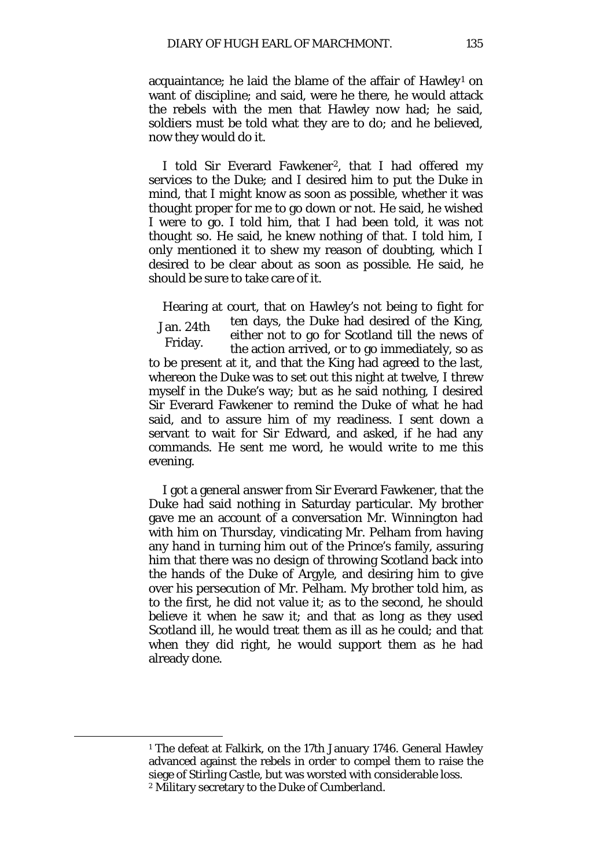acquaintance; he laid the blame of the affair of  $Hawley<sup>1</sup>$  $Hawley<sup>1</sup>$  $Hawley<sup>1</sup>$  on want of discipline; and said, were he there, he would attack the rebels with the men that Hawley now had; he said, soldiers must be told what they are to do; and he believed, now they would do it.

I told Sir Everard Fawkener<sup>2</sup>, that I had offered my services to the Duke; and I desired him to put the Duke in mind, that I might know as soon as possible, whether it was thought proper for me to go down or not. He said, he wished I were to go. I told him, that I had been told, it was not thought so. He said, he knew nothing of that. I told him, I only mentioned it to shew my reason of doubting, which I desired to be clear about as soon as possible. He said, he should be sure to take care of it.

Jan. 24th Friday. Hearing at court, that on Hawley's not being to fight for ten days, the Duke had desired of the King, either not to go for Scotland till the news of the action arrived, or to go immediately, so as to be present at it, and that the King had agreed to the last, whereon the Duke was to set out this night at twelve, I threw myself in the Duke's way; but as he said nothing, I desired Sir Everard Fawkener to remind the Duke of what he had said, and to assure him of my readiness. I sent down a servant to wait for Sir Edward, and asked, if he had any commands. He sent me word, he would write to me this evening.

I got a general answer from Sir Everard Fawkener, that the Duke had said nothing in Saturday particular. My brother gave me an account of a conversation Mr. Winnington had with him on Thursday, vindicating Mr. Pelham from having any hand in turning him out of the Prince's family, assuring him that there was no design of throwing Scotland back into the hands of the Duke of Argyle, and desiring him to give over his persecution of Mr. Pelham. My brother told him, as to the first, he did not value it; as to the second, he should believe it when he saw it; and that as long as they used Scotland ill, he would treat them as ill as he could; and that when they did right, he would support them as he had already done.

<span id="page-38-1"></span><span id="page-38-0"></span><sup>1</sup> The defeat at Falkirk, on the 17th January 1746. General Hawley advanced against the rebels in order to compel them to raise the siege of Stirling Castle, but was worsted with considerable loss. <sup>2</sup> Military secretary to the Duke of Cumberland.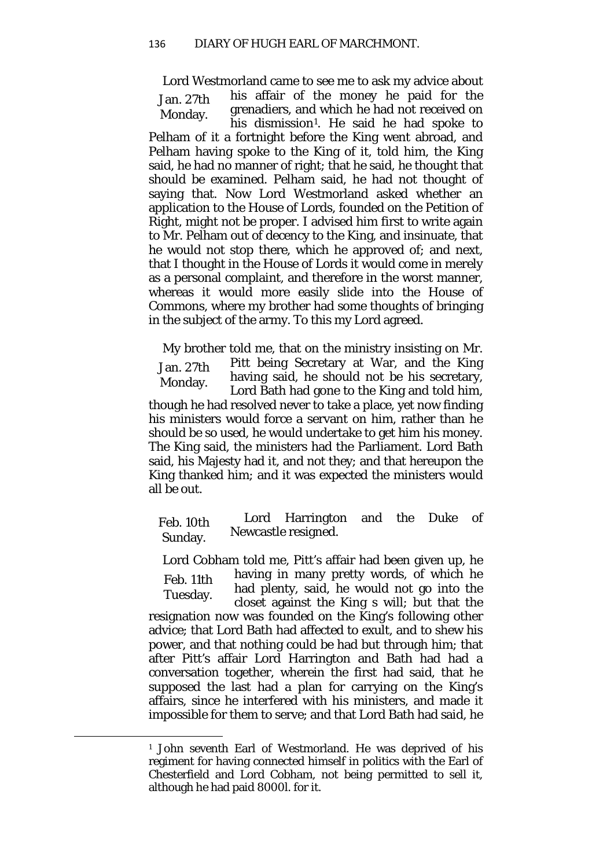Jan. 27th Monday. Lord Westmorland came to see me to ask my advice about his affair of the money he paid for the grenadiers, and which he had not received on his dismission<sup>1</sup>. He said he had spoke to Pelham of it a fortnight before the King went abroad, and Pelham having spoke to the King of it, told him, the King said, he had no manner of right; that he said, he thought that should be examined. Pelham said, he had not thought of saying that. Now Lord Westmorland asked whether an application to the House of Lords, founded on the Petition of Right, might not be proper. I advised him first to write again to Mr. Pelham out of decency to the King, and insinuate, that he would not stop there, which he approved of; and next, that I thought in the House of Lords it would come in merely as a personal complaint, and therefore in the worst manner, whereas it would more easily slide into the House of Commons, where my brother had some thoughts of bringing in the subject of the army. To this my Lord agreed.

Jan. 27th Monday. My brother told me, that on the ministry insisting on Mr. Pitt being Secretary at War, and the King having said, he should not be his secretary, Lord Bath had gone to the King and told him, though he had resolved never to take a place, yet now finding his ministers would force a servant on him, rather than he should be so used, he would undertake to get him his money. The King said, the ministers had the Parliament. Lord Bath said, his Majesty had it, and not they; and that hereupon the King thanked him; and it was expected the ministers would all be out.

Feb. 10th Sunday. Lord Harrington and the Duke of Newcastle resigned.

Feb. 11th Tuesday. Lord Cobham told me, Pitt's affair had been given up, he having in many pretty words, of which he had plenty, said, he would not go into the closet against the King s will; but that the resignation now was founded on the King's following other advice; that Lord Bath had affected to exult, and to shew his power, and that nothing could be had but through him; that after Pitt's affair Lord Harrington and Bath had had a conversation together, wherein the first had said, that he supposed the last had a plan for carrying on the King's affairs, since he interfered with his ministers, and made it impossible for them to serve; and that Lord Bath had said, he

<span id="page-39-0"></span><sup>1</sup> John seventh Earl of Westmorland. He was deprived of his regiment for having connected himself in politics with the Earl of Chesterfield and Lord Cobham, not being permitted to sell it, although he had paid 8000*l*. for it.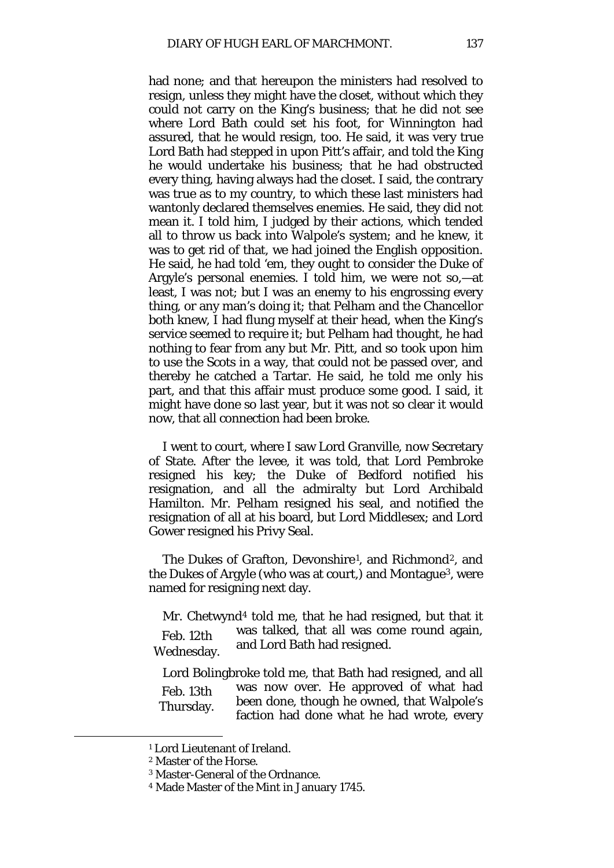had none; and that hereupon the ministers had resolved to resign, unless they might have the closet, without which they could not carry on the King's business; that he did not see where Lord Bath could set his foot, for Winnington had assured, that he would resign, too. He said, it was very true Lord Bath had stepped in upon Pitt's affair, and told the King he would undertake his business; that he had obstructed every thing, having always had the closet. I said, the contrary was true as to my country, to which these last ministers had wantonly declared themselves enemies. He said, they did not mean it. I told him, I judged by their actions, which tended all to throw us back into Walpole's system; and he knew, it was to get rid of that, we had joined the English opposition. He said, he had told 'em, they ought to consider the Duke of Argyle's personal enemies. I told him, we were not so,—at least, I was not; but I was an enemy to his engrossing every thing, or any man's doing it; that Pelham and the Chancellor both knew, I had flung myself at their head, when the King's service seemed to require it; but Pelham had thought, he had nothing to fear from any but Mr. Pitt, and so took upon him to use the Scots in a way, that could not be passed over, and thereby he catched a Tartar. He said, he told me only his part, and that this affair must produce some good. I said, it might have done so last year, but it was not so clear it would now, that all connection had been broke.

I went to court, where I saw Lord Granville, now Secretary of State. After the levee, it was told, that Lord Pembroke resigned his key; the Duke of Bedford notified his resignation, and all the admiralty but Lord Archibald Hamilton. Mr. Pelham resigned his seal, and notified the resignation of all at his board, but Lord Middlesex; and Lord Gower resigned his Privy Seal.

The Dukes of Grafton, Devonshire<sup>[1](#page-40-0)</sup>, and Richmond<sup>[2](#page-40-1)</sup>, and the Dukes of Argyle (who was at court,) and Montague[3,](#page-40-2) were named for resigning next day.

Feb. 12th Wednesday. Mr. Chetwynd<sup>[4](#page-40-3)</sup> told me, that he had resigned, but that it was talked, that all was come round again, and Lord Bath had resigned.

Feb. 13th Thursday. Lord Bolingbroke told me, that Bath had resigned, and all was now over. He approved of what had been done, though he owned, that Walpole's faction had done what he had wrote, every

<span id="page-40-1"></span><span id="page-40-0"></span><sup>1</sup> Lord Lieutenant of Ireland.

<sup>2</sup> Master of the Horse.

<sup>3</sup> Master-General of the Ordnance.

<span id="page-40-3"></span><span id="page-40-2"></span><sup>4</sup> Made Master of the Mint in January 1745.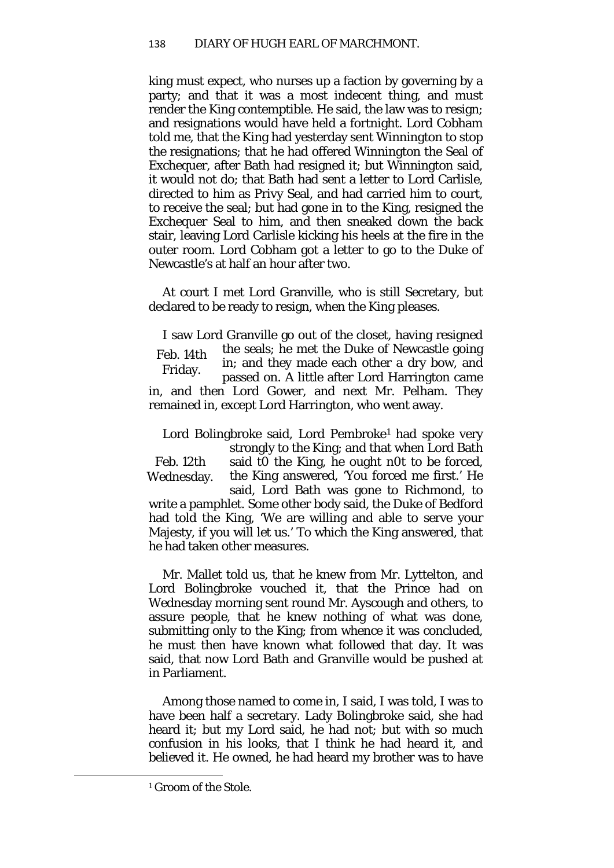king must expect, who nurses up a faction by governing by a party; and that it was a most indecent thing, and must render the King contemptible. He said, the law was to resign; and resignations would have held a fortnight. Lord Cobham told me, that the King had yesterday sent Winnington to stop the resignations; that he had offered Winnington the Seal of Exchequer, after Bath had resigned it; but Winnington said, it would not do; that Bath had sent a letter to Lord Carlisle, directed to him as Privy Seal, and had carried him to court, to receive the seal; but had gone in to the King, resigned the Exchequer Seal to him, and then sneaked down the back stair, leaving Lord Carlisle kicking his heels at the fire in the outer room. Lord Cobham got a letter to go to the Duke of Newcastle's at half an hour after two.

At court I met Lord Granville, who is still Secretary, but declared to be ready to resign, when the King pleases.

Feb. 14th Friday. I saw Lord Granville go out of the closet, having resigned the seals; he met the Duke of Newcastle going in; and they made each other a dry bow, and passed on. A little after Lord Harrington came in, and then Lord Gower, and next Mr. Pelham. They remained in, except Lord Harrington, who went away.

Feb. 12th Wednesday. Lord Bolingbroke said, Lord Pembroke<sup>[1](#page-41-0)</sup> had spoke very strongly to the King; and that when Lord Bath said t0 the King, he ought n0t to be forced, the King answered, 'You forced me first.' He said, Lord Bath was gone to Richmond, to write a pamphlet. Some other body said, the Duke of Bedford had told the King, 'We are willing and able to serve your Majesty, if you will let us.' To which the King answered, that he had taken other measures.

Mr. Mallet told us, that he knew from Mr. Lyttelton, and Lord Bolingbroke vouched it, that the Prince had on Wednesday morning sent round Mr. Ayscough and others, to assure people, that he knew nothing of what was done, submitting only to the King; from whence it was concluded, he must then have known what followed that day. It was said, that now Lord Bath and Granville would be pushed at in Parliament.

Among those named to come in, I said, I was told, I was to have been half a secretary. Lady Bolingbroke said, she had heard it; but my Lord said, he had not; but with so much confusion in his looks, that I think he had heard it, and believed it. He owned, he had heard my brother was to have

<span id="page-41-0"></span><sup>1</sup> Groom of the Stole.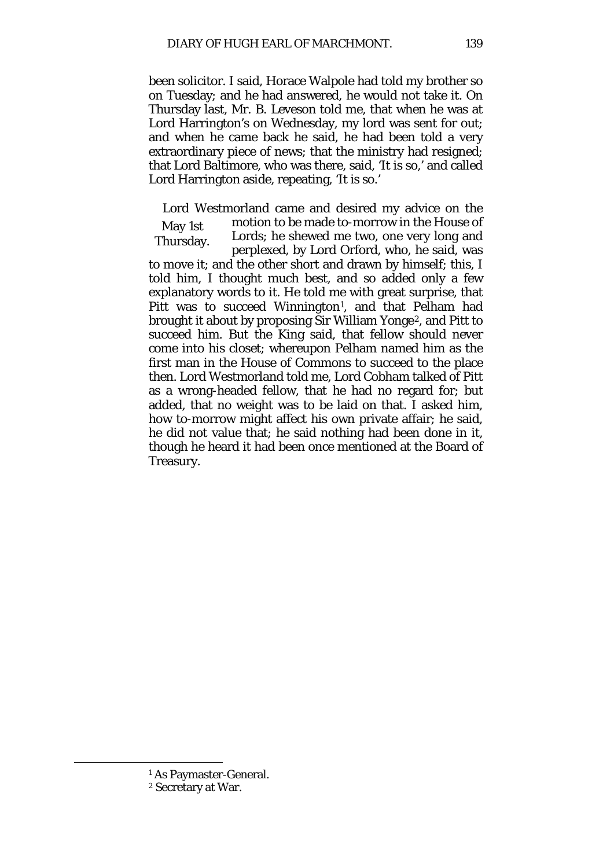been solicitor. I said, Horace Walpole had told my brother so on Tuesday; and he had answered, he would not take it. On Thursday last, Mr. B. Leveson told me, that when he was at Lord Harrington's on Wednesday, my lord was sent for out; and when he came back he said, he had been told a very extraordinary piece of news; that the ministry had resigned; that Lord Baltimore, who was there, said, 'It is so,' and called Lord Harrington aside, repeating, 'It is so.'

May 1st Thursday. Lord Westmorland came and desired my advice on the motion to be made to-morrow in the House of Lords; he shewed me two, one very long and perplexed, by Lord Orford, who, he said, was to move it; and the other short and drawn by himself; this, I told him, I thought much best, and so added only a few explanatory words to it. He told me with great surprise, that Pitt was to succeed Winnington<sup>[1](#page-42-0)</sup>, and that Pelham had brought it about by proposing Sir William Yonge[2](#page-42-1), and Pitt to succeed him. But the King said, that fellow should never come into his closet; whereupon Pelham named him as the first man in the House of Commons to succeed to the place then. Lord Westmorland told me, Lord Cobham talked of Pitt as a wrong-headed fellow, that he had no regard for; but added, that no weight was to be laid on that. I asked him, how to-morrow might affect his own private affair; he said, he did not value that; he said nothing had been done in it, though he heard it had been once mentioned at the Board of Treasury.

<sup>1</sup> As Paymaster-General.

<span id="page-42-1"></span><span id="page-42-0"></span><sup>2</sup> Secretary at War.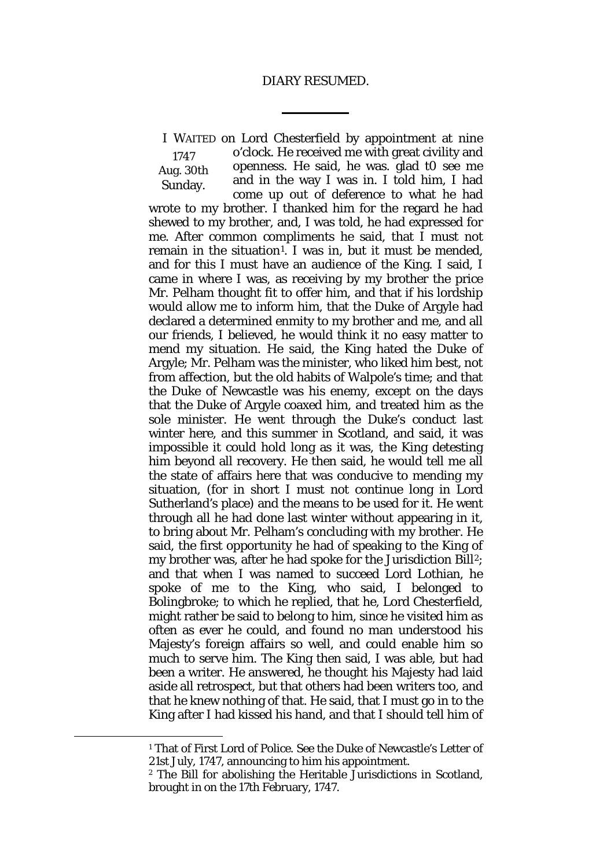## DIARY RESUMED.

1747 Aug. 30th Sunday. I WAITED on Lord Chesterfield by appointment at nine o'clock. He received me with great civility and openness. He said, he was. glad t0 see me and in the way I was in. I told him, I had come up out of deference to what he had wrote to my brother. I thanked him for the regard he had shewed to my brother, and, I was told, he had expressed for me. After common compliments he said, that I must not remain in the situation<sup>[1](#page-43-0)</sup>. I was in, but it must be mended, and for this I must have an audience of the King. I said, I came in where I was, as receiving by my brother the price Mr. Pelham thought fit to offer him, and that if his lordship would allow me to inform him, that the Duke of Argyle had declared a determined enmity to my brother and me, and all our friends, I believed, he would think it no easy matter to mend my situation. He said, the King hated the Duke of Argyle; Mr. Pelham was the minister, who liked him best, not from affection, but the old habits of Walpole's time; and that the Duke of Newcastle was his enemy, except on the days that the Duke of Argyle coaxed him, and treated him as the sole minister. He went through the Duke's conduct last winter here, and this summer in Scotland, and said, it was impossible it could hold long as it was, the King detesting him beyond all recovery. He then said, he would tell me all the state of affairs here that was conducive to mending my situation, (for in short I must not continue long in Lord Sutherland's place) and the means to be used for it. He went through all he had done last winter without appearing in it, to bring about Mr. Pelham's concluding with my brother. He said, the first opportunity he had of speaking to the King of my brother was, after he had spoke for the Jurisdiction Bill[2](#page-43-1); and that when I was named to succeed Lord Lothian, he spoke of me to the King, who said, I belonged to Bolingbroke; to which he replied, that he, Lord Chesterfield, might rather be said to belong to him, since he visited him as often as ever he could, and found no man understood his Majesty's foreign affairs so well, and could enable him so much to serve him. The King then said, I was able, but had been a writer. He answered, he thought his Majesty had laid aside all retrospect, but that others had been writers too, and that he knew nothing of that. He said, that I must go in to the King after I had kissed his hand, and that I should tell him of

<span id="page-43-0"></span><sup>&</sup>lt;sup>1</sup> That of First Lord of Police. See the Duke of Newcastle's Letter of 21st July, 1747, announcing to him his appointment.

<span id="page-43-1"></span><sup>2</sup> The Bill for abolishing the Heritable Jurisdictions in Scotland, brought in on the 17th February, 1747.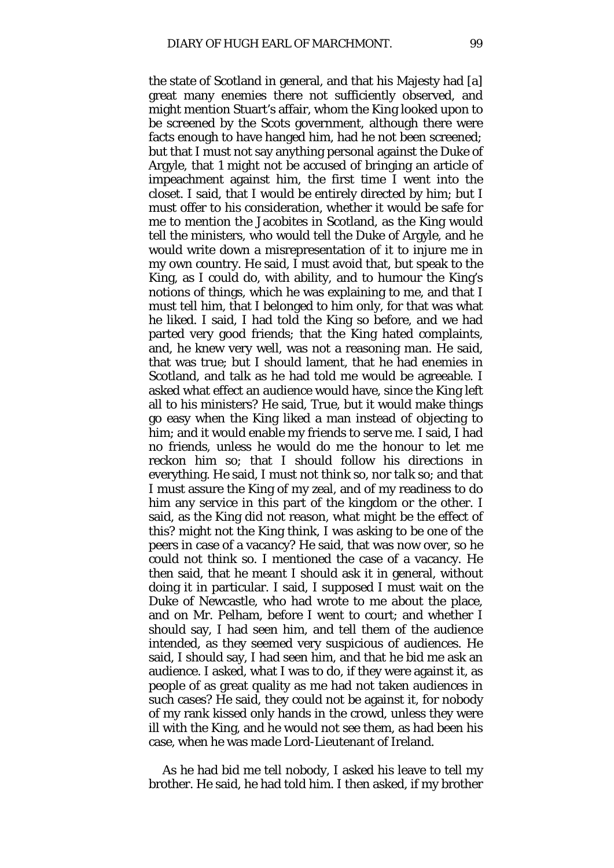the state of Scotland in general, and that his Majesty had [a] great many enemies there not sufficiently observed, and might mention Stuart's affair, whom the King looked upon to be screened by the Scots government, although there were facts enough to have hanged him, had he not been screened*;*  but that I must not say anything personal against the Duke of Argyle, that 1 might not be accused of bringing an article of impeachment against him, the first time I went into the closet. I said, that I would be entirely directed by him; but I must offer to his consideration, whether it would be safe for me to mention the Jacobites in Scotland, as the King would tell the ministers, who would tell the Duke of Argyle, and he would write down a misrepresentation of it to injure me in my own country. He said, I must avoid that, but speak to the King, as I could do, with ability, and to humour the King's notions of things, which he was explaining to me, and that I must tell him, that I belonged to him only, for that was what he liked. I said, I had told the King so before, and we had parted very good friends; that the King hated complaints, and, he knew very well, was not a reasoning man. He said, that was true; but I should lament, that he had enemies in Scotland, and talk as he had told me would be agreeable. I asked what effect an audience would have, since the King left all to his ministers? He said, True, but it would make things go easy when the King liked a man instead of objecting to him; and it would enable my friends to serve me. I said. I had no friends, unless he would do me the honour to let me reckon him so; that I should follow his directions in everything. He said, I must not think so, nor talk so; and that I must assure the King of my zeal, and of my readiness to do him any service in this part of the kingdom or the other. I said, as the King did not reason, what might be the effect of this? might not the King think, I was asking to be one of the peers in case of a vacancy? He said, that was now over, so he could not think so. I mentioned the case of a vacancy. He then said, that he meant I should ask it in general, without doing it in particular. I said, I supposed I must wait on the Duke of Newcastle, who had wrote to me about the place, and on Mr. Pelham, before I went to court; and whether I should say, I had seen him, and tell them of the audience intended, as they seemed very suspicious of audiences. He said, I should say, I had seen him, and that he bid me ask an audience. I asked, what I was to do, if they were against it, as people of as great quality as me had not taken audiences in such cases? He said, they could not be against it, for nobody of my rank kissed only hands in the crowd, unless they were ill with the King, and he would not see them, as had been his case, when he was made Lord-Lieutenant of Ireland.

As he had bid me tell nobody, I asked his leave to tell my brother. He said, he had told him. I then asked, if my brother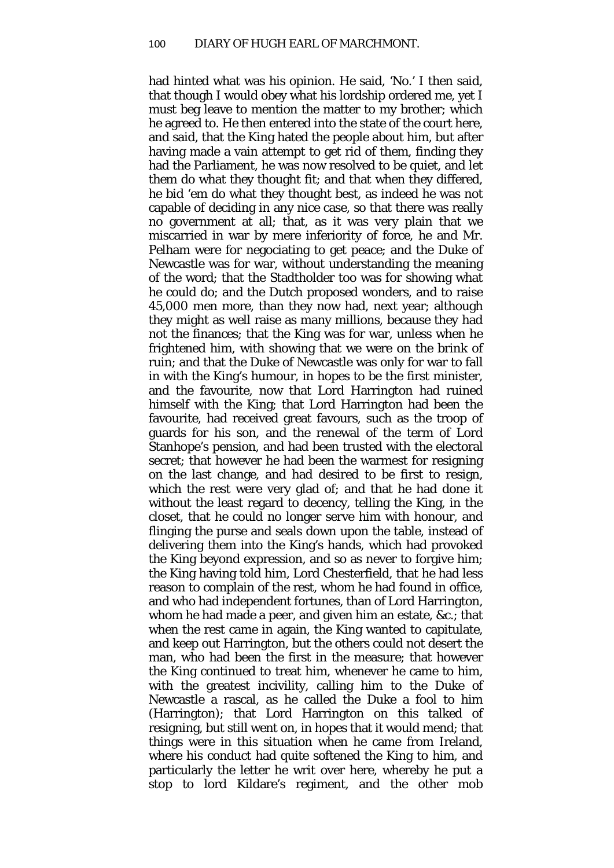had hinted what was his opinion. He said, 'No.' I then said, that though I would obey what his lordship ordered me, yet I must beg leave to mention the matter to my brother; which he agreed to. He then entered into the state of the court here, and said, that the King hated the people about him, but after having made a vain attempt to get rid of them, finding they had the Parliament, he was now resolved to be quiet, and let them do what they thought fit; and that when they differed, he bid 'em do what they thought best, as indeed he was not capable of deciding in any nice case, so that there was really no government at all; that, as it was very plain that we miscarried in war by mere inferiority of force, he and Mr. Pelham were for negociating to get peace; and the Duke of Newcastle was for war, without understanding the meaning of the word; that the Stadtholder too was for showing what he could do; and the Dutch proposed wonders, and to raise 45,000 men more, than they now had, next year; although they might as well raise as many millions, because they had not the finances; that the King was for war, unless when he frightened him, with showing that we were on the brink of ruin; and that the Duke of Newcastle was only for war to fall in with the King's humour, in hopes to be the first minister, and the favourite, now that Lord Harrington had ruined himself with the King; that Lord Harrington had been the favourite, had received great favours, such as the troop of guards for his son, and the renewal of the term of Lord Stanhope's pension, and had been trusted with the electoral secret; that however he had been the warmest for resigning on the last change, and had desired to be first to resign, which the rest were very glad of; and that he had done it without the least regard to decency, telling the King, in the closet, that he could no longer serve him with honour, and flinging the purse and seals down upon the table, instead of delivering them into the King's hands, which had provoked the King beyond expression, and so as never to forgive him; the King having told him, Lord Chesterfield, that he had less reason to complain of the rest, whom he had found in office, and who had independent fortunes, than of Lord Harrington, whom he had made a peer, and given him an estate, &c.; that when the rest came in again, the King wanted to capitulate, and keep out Harrington, but the others could not desert the man, who had been the first in the measure; that however the King continued to treat him, whenever he came to him, with the greatest incivility, calling him to the Duke of Newcastle a rascal, as he called the Duke a fool to him (Harrington); that Lord Harrington on this talked of resigning, but still went on, in hopes that it would mend; that things were in this situation when he came from Ireland, where his conduct had quite softened the King to him, and particularly the letter he writ over here, whereby he put a stop to lord Kildare's regiment, and the other mob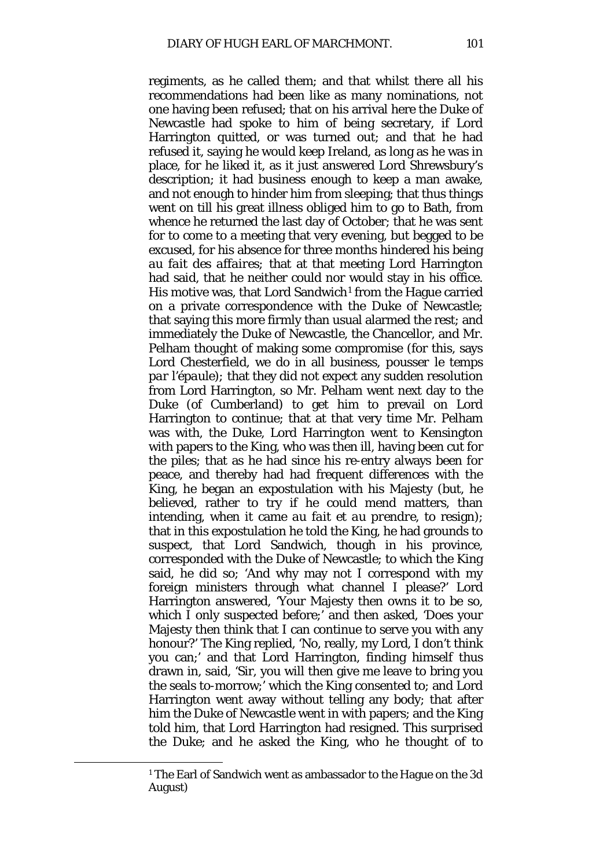regiments, as he called them; and that whilst there all his recommendations had been like as many nominations, not one having been refused; that on his arrival here the Duke of Newcastle had spoke to him of being secretary, if Lord Harrington quitted, or was turned out; and that he had refused it, saying he would keep Ireland, as long as he was in place, for he liked it, as it just answered Lord Shrewsbury's description; it had business enough to keep a man awake, and not enough to hinder him from sleeping; that thus things went on till his great illness obliged him to go to Bath, from whence he returned the last day of October; that he was sent for to come to a meeting that very evening, but begged to be excused, for his absence for three months hindered his being *au fait des affaires;* that at that meeting Lord Harrington had said, that he neither could nor would stay in his office. His motive was, that Lord Sandwich<sup>[1](#page-46-0)</sup> from the Hague carried on a private correspondence with the Duke of Newcastle; that saying this more firmly than usual alarmed the rest; and immediately the Duke of Newcastle, the Chancellor, and Mr. Pelham thought of making some compromise (for this, says Lord Chesterfield, we do in all business, *pousser le temps par l'épaule);* that they did not expect any sudden resolution from Lord Harrington, so Mr. Pelham went next day to the Duke (of Cumberland) to get him to prevail on Lord Harrington to continue; that at that very time Mr. Pelham was with, the Duke, Lord Harrington went to Kensington with papers to the King, who was then ill, having been cut for the piles; that as he had since his re-entry always been for peace, and thereby had had frequent differences with the King, he began an expostulation with his Majesty (but, he believed, rather to try if he could mend matters, than intending, when it came *au fait et au prendre,* to resign); that in this expostulation he told the King, he had grounds to suspect, that Lord Sandwich, though in his province, corresponded with the Duke of Newcastle; to which the King said, he did so; 'And why may not I correspond with my foreign ministers through what channel I please?' Lord Harrington answered, 'Your Majesty then owns it to be so, which I only suspected before;' and then asked, 'Does your Majesty then think that I can continue to serve you with any honour?' The King replied, 'No, really, my Lord, I don't think you can;' and that Lord Harrington, finding himself thus drawn in, said, 'Sir, you will then give me leave to bring you the seals to-morrow;' which the King consented to; and Lord Harrington went away without telling any body; that after him the Duke of Newcastle went in with papers; and the King told him, that Lord Harrington had resigned. This surprised the Duke; and he asked the King, who he thought of to

<span id="page-46-0"></span><sup>1</sup> The Earl of Sandwich went as ambassador to the Hague on the 3d August)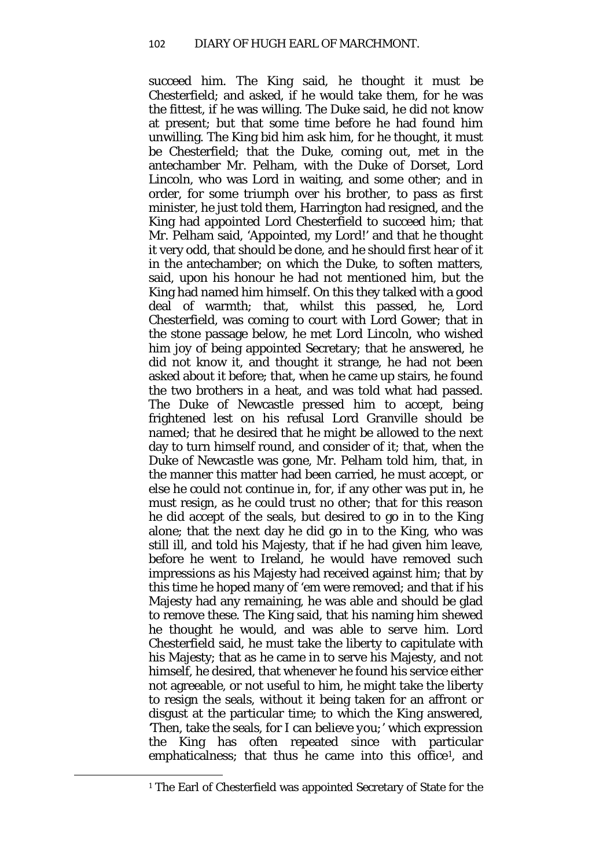succeed him. The King said, he thought it must be Chesterfield; and asked, if he would take them, for he was the fittest, if he was willing. The Duke said, he did not know at present; but that some time before he had found him unwilling. The King bid him ask him, for he thought, it must be Chesterfield; that the Duke, coming out, met in the antechamber Mr. Pelham, with the Duke of Dorset, Lord Lincoln, who was Lord in waiting, and some other; and in order, for some triumph over his brother, to pass as first minister, he just told them, Harrington had resigned, and the King had appointed Lord Chesterfield to succeed him; that Mr. Pelham said, 'Appointed, my Lord!' and that he thought it very odd, that should be done, and he should first hear of it in the antechamber; on which the Duke, to soften matters, said, upon his honour he had not mentioned him, but the King had named him himself. On this they talked with a good deal of warmth; that, whilst this passed, he, Lord Chesterfield, was coming to court with Lord Gower; that in the stone passage below, he met Lord Lincoln, who wished him joy of being appointed Secretary; that he answered, he did not know it, and thought it strange, he had not been asked about it before; that, when he came up stairs, he found the two brothers in a heat, and was told what had passed. The Duke of Newcastle pressed him to accept, being frightened lest on his refusal Lord Granville should be named; that he desired that he might be allowed to the next day to turn himself round, and consider of it; that, when the Duke of Newcastle was gone, Mr. Pelham told him, that, in the manner this matter had been carried, he must accept, or else he could not continue in, for, if any other was put in, he must resign, as he could trust no other; that for this reason he did accept of the seals, but desired to go in to the King alone; that the next day he did go in to the King, who was still ill, and told his Majesty, that if he had given him leave, before he went to Ireland, he would have removed such impressions as his Majesty had received against him; that by this time he hoped many of 'em were removed; and that if his Majesty had any remaining, he was able and should be glad to remove these. The King said, that his naming him shewed he thought he would, and was able to serve him. Lord Chesterfield said, he must take the liberty to capitulate with his Majesty; that as he came in to serve his Majesty, and not himself, he desired, that whenever he found his service either not agreeable, or not useful to him, he might take the liberty to resign the seals, without it being taken for an affront or disgust at the particular time; to which the King answered, *'*Then, take the seals, for I can believe *you;*' which expression the King has often repeated since with particular emphaticalness; that thus he came into this office<sup>1</sup>, and

<span id="page-47-0"></span><sup>&</sup>lt;sup>1</sup> The Earl of Chesterfield was appointed Secretary of State for the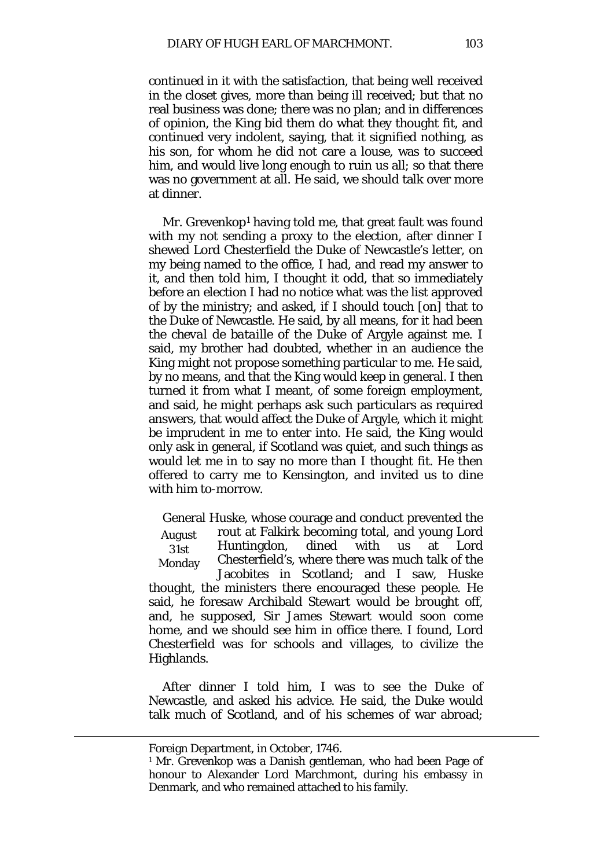continued in it with the satisfaction, that being well received in the closet gives, more than being ill received; but that no real business was done; there was no plan; and in differences of opinion, the King bid them do what they thought fit, and continued very indolent, saying, that it signified nothing, as his son, for whom he did not care a louse, was to succeed him, and would live long enough to ruin us all; so that there was no government at all. He said, we should talk over more at dinner.

Mr. Grevenkop<sup>[1](#page-48-0)</sup> having told me, that great fault was found with my not sending a proxy to the election, after dinner I shewed Lord Chesterfield the Duke of Newcastle's letter, on my being named to the office, I had, and read my answer to it, and then told him, I thought it odd, that so immediately before an election I had no notice what was the list approved of by the ministry; and asked, if I should touch [on] that to the Duke of Newcastle. He said, by all means, for it had been the *cheval de bataille* of the Duke of Argyle against me. I said, my brother had doubted, whether in an audience the King might not propose something particular to me. He said, by no means, and that the King would keep in general. I then turned it from what I meant, of some foreign employment, and said, he might perhaps ask such particulars as required answers, that would affect the Duke of Argyle, which it might be imprudent in me to enter into. He said, the King would only ask in general, if Scotland was quiet, and such things as would let me in to say no more than I thought fit. He then offered to carry me to Kensington, and invited us to dine with him to-morrow.

August 31st Monday General Huske, whose courage and conduct prevented the rout at Falkirk becoming total, and young Lord Huntingdon, dined with us at Lord Chesterfield's, where there was much talk of the Jacobites in Scotland; and I saw, Huske thought, the ministers there encouraged these people. He said, he foresaw Archibald Stewart would be brought off, and, he supposed, Sir James Stewart would soon come home, and we should see him in office there. I found, Lord Chesterfield was for schools and villages, to civilize the Highlands.

After dinner I told him, I was to see the Duke of Newcastle, and asked his advice. He said, the Duke would talk much of Scotland, and of his schemes of war abroad;

Foreign Department, in October, 1746.

<span id="page-48-0"></span><sup>&</sup>lt;sup>1</sup> Mr. Grevenkop was a Danish gentleman, who had been Page of honour to Alexander Lord Marchmont, during his embassy in Denmark, and who remained attached to his family.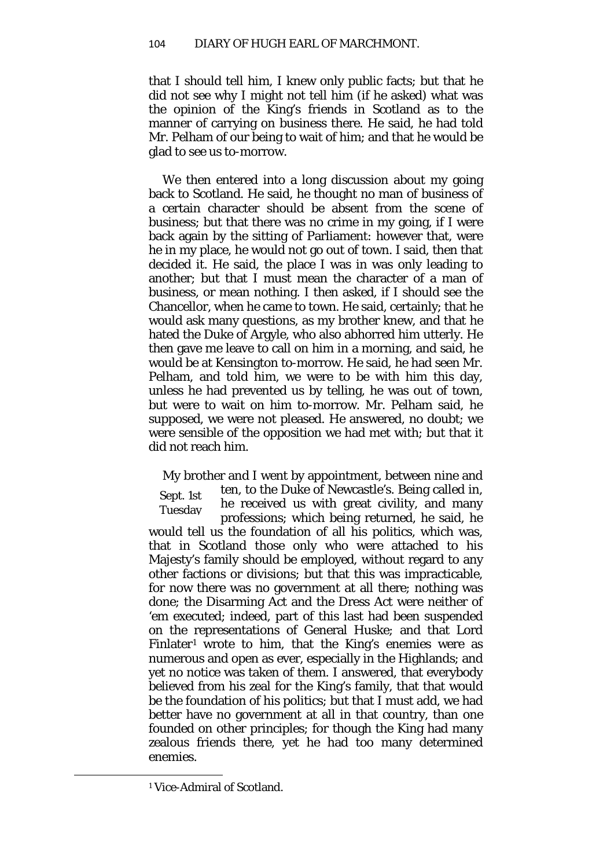that I should tell him, I knew only public facts; but that he did not see why I might not tell him (if he asked) what was the opinion of the King's friends in Scotland as to the manner of carrying on business there. He said, he had told Mr. Pelham of our being to wait of him; and that he would be glad to see us to-morrow.

We then entered into a long discussion about my going back to Scotland. He said, he thought no man of business of a certain character should be absent from the scene of business; but that there was no crime in my going, if I were back again by the sitting of Parliament: however that, were he in my place, he would not go out of town. I said, then that decided it. He said, the place I was in was only leading to another; but that I must mean the character of a man of business, or mean nothing. I then asked, if I should see the Chancellor, when he came to town. He said, certainly; that he would ask many questions, as my brother knew, and that he hated the Duke of Argyle, who also abhorred him utterly. He then gave me leave to call on him in a morning, and said, he would be at Kensington to-morrow. He said, he had seen Mr. Pelham, and told him, we were to be with him this day, unless he had prevented us by telling, he was out of town, but were to wait on him to-morrow. Mr. Pelham said, he supposed, we were not pleased. He answered, no doubt; we were sensible of the opposition we had met with; but that it did not reach him.

Sept. 1st Tuesday My brother and I went by appointment, between nine and ten, to the Duke of Newcastle's. Being called in, he received us with great civility, and many professions; which being returned, he said, he would tell us the foundation of all his politics, which was, that in Scotland those only who were attached to his Majesty's family should be employed, without regard to any other factions or divisions; but that this was impracticable, for now there was no government at all there; nothing was done; the Disarming Act and the Dress Act were neither of 'em executed; indeed, part of this last had been suspended on the representations of General Huske; and that Lord Finlater<sup>[1](#page-49-0)</sup> wrote to him, that the King's enemies were as numerous and open as ever, especially in the Highlands; and yet no notice was taken of them. I answered, that everybody believed from his zeal for the King's family, that that would be the foundation of his politics; but that I must add, we had better have no government at all in that country, than one founded on other principles; for though the King had many zealous friends there, yet he had too many determined enemies.

<span id="page-49-0"></span><sup>1</sup> Vice-Admiral of Scotland.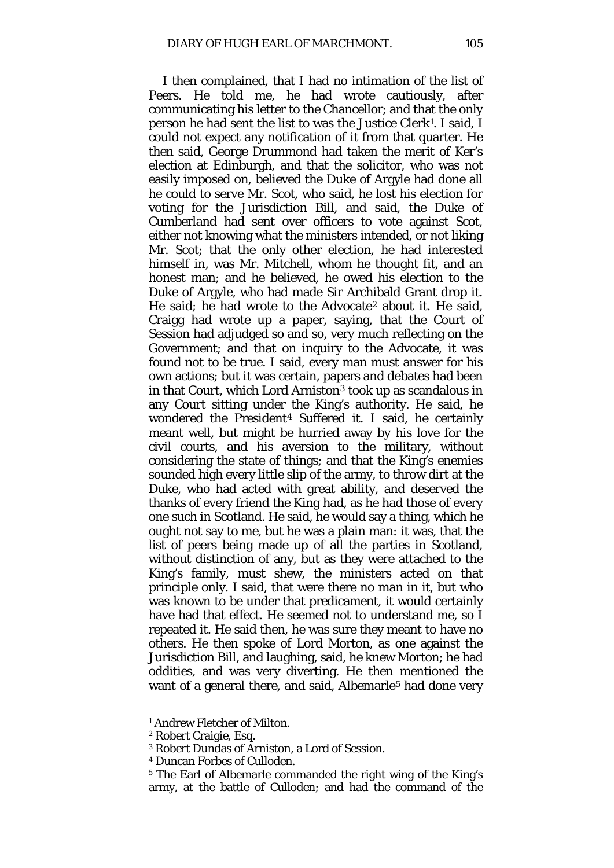I then complained, that I had no intimation of the list of Peers. He told me, he had wrote cautiously, after communicating his letter to the Chancellor; and that the only person he had sent the list to was the Justice Clerk[1](#page-50-0). I said, I could not expect any notification of it from that quarter. He then said, George Drummond had taken the merit of Ker's election at Edinburgh, and that the solicitor, who was not easily imposed on, believed the Duke of Argyle had done all he could to serve Mr. Scot, who said, he lost his election for voting for the Jurisdiction Bill, and said, the Duke of Cumberland had sent over officers to vote against Scot, either not knowing what the ministers intended, or not liking Mr. Scot; that the only other election, he had interested himself in, was Mr. Mitchell, whom he thought fit, and an honest man; and he believed, he owed his election to the Duke of Argyle, who had made Sir Archibald Grant drop it. He said; he had wrote to the Advocate[2](#page-50-1) about it. He said, Craigg had wrote up a paper, saying, that the Court of Session had adjudged so and so, very much reflecting on the Government; and that on inquiry to the Advocate, it was found not to be true. I said, every man must answer for his own actions; but it was certain, papers and debates had been in that Court, which Lord Arniston[3](#page-50-2) took up as scandalous in any Court sitting under the King's authority. He said, he wondered the President[4](#page-50-3) Suffered it. I said, he certainly meant well, but might be hurried away by his love for the civil courts, and his aversion to the military, without considering the state of things; and that the King's enemies sounded high every little slip of the army, to throw dirt at the Duke, who had acted with great ability, and deserved the thanks of every friend the King had, as he had those of every one such in Scotland. He said, he would say a thing, which he ought not say to me, but he was a plain man: it was, that the list of peers being made up of all the parties in Scotland, without distinction of any, but as they were attached to the King's family, must shew, the ministers acted on that principle only. I said, that were there no man in it, but who was known to be under that predicament, it would certainly have had that effect. He seemed not to understand me, so I repeated it. He said then, he was sure they meant to have no others. He then spoke of Lord Morton, as one against the Jurisdiction Bill, and laughing, said, he knew Morton; he had oddities, and was very diverting. He then mentioned the want of a general there, and said, Albemarle<sup>[5](#page-50-4)</sup> had done very

<span id="page-50-0"></span><sup>1</sup> Andrew Fletcher of Milton.

<span id="page-50-2"></span><span id="page-50-1"></span><sup>2</sup> Robert Craigie, Esq.

<sup>3</sup> Robert Dundas of Arniston, a Lord of Session.

<sup>4</sup> Duncan Forbes of Culloden.

<span id="page-50-4"></span><span id="page-50-3"></span><sup>5</sup> The Earl of Albemarle commanded the right wing of the King's army, at the battle of Culloden; and had the command of the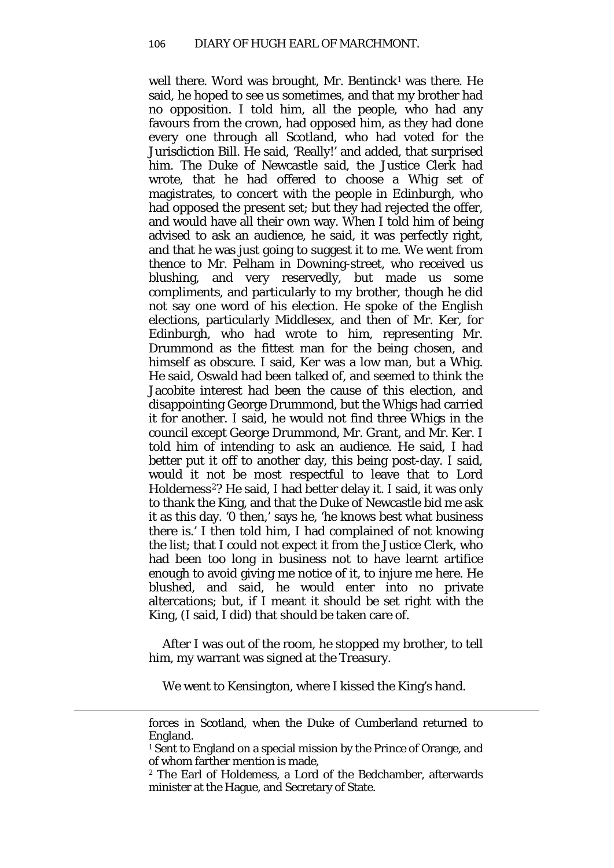well there. Word was brought, Mr. Bentinck<sup>[1](#page-51-0)</sup> was there. He said, he hoped to see us sometimes, and that my brother had no opposition. I told him, all the people, who had any favours from the crown, had opposed him, as they had done every one through all Scotland, who had voted for the Jurisdiction Bill. He said, 'Really!' and added, that surprised him. The Duke of Newcastle said, the Justice Clerk had wrote, that he had offered to choose a Whig set of magistrates, to concert with the people in Edinburgh, who had opposed the present set; but they had rejected the offer, and would have all their own way. When I told him of being advised to ask an audience, he said, it was perfectly right, and that he was just going to suggest it to me. We went from thence to Mr. Pelham in Downing-street, who received us blushing, and very reservedly, but made us some compliments, and particularly to my brother, though he did not say one word of his election. He spoke of the English elections, particularly Middlesex, and then of Mr. Ker, for Edinburgh, who had wrote to him, representing Mr. Drummond as the fittest man for the being chosen, and himself as obscure. I said, Ker was a low man, but a Whig. He said, Oswald had been talked of, and seemed to think the Jacobite interest had been the cause of this election, and disappointing George Drummond, but the Whigs had carried it for another. I said, he would not find three Whigs in the council except George Drummond, Mr. Grant, and Mr. Ker. I told him of intending to ask an audience. He said, I had better put it off to another day, this being post-day. I said, would it not be most respectful to leave that to Lord Holderness<sup>2</sup>? He said, I had better delay it. I said, it was only to thank the King, and that the Duke of Newcastle bid me ask it as this day. '0 then,' says he, 'he knows best what business there is.' I then told him, I had complained of not knowing the list; that I could not expect it from the Justice Clerk, who had been too long in business not to have learnt artifice enough to avoid giving me notice of it, to injure me here. He blushed, and said, he would enter into no private altercations; but, if I meant it should be set right with the King, (I said, I did) that should be taken care of.

After I was out of the room, he stopped my brother, to tell him, my warrant was signed at the Treasury.

We went to Kensington, where I kissed the King's hand.

forces in Scotland, when the Duke of Cumberland returned to England.

<span id="page-51-0"></span><sup>&</sup>lt;sup>1</sup> Sent to England on a special mission by the Prince of Orange, and of whom farther mention is made,

<span id="page-51-1"></span><sup>2</sup> The Earl of Holdemess, a Lord of the Bedchamber, afterwards minister at the Hague, and Secretary of State.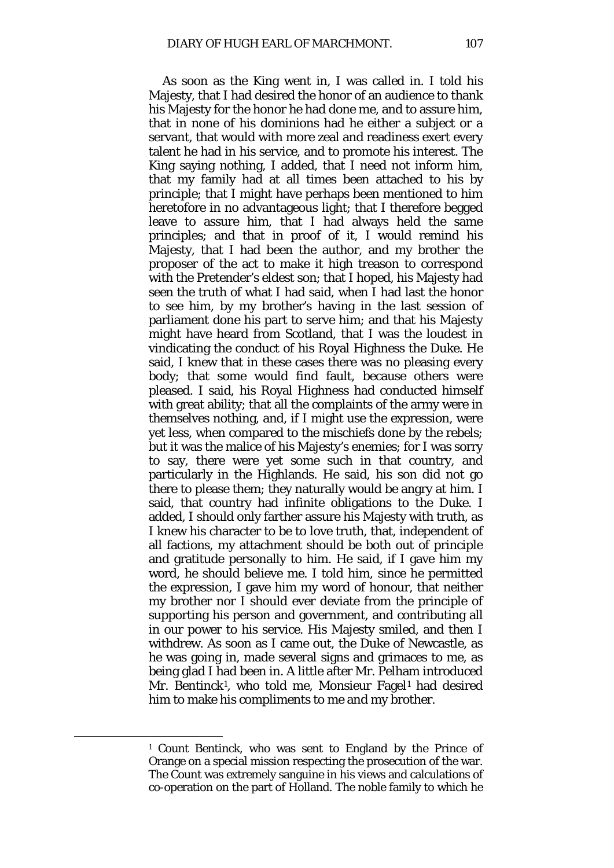As soon as the King went in, I was called in. I told his Majesty, that I had desired the honor of an audience to thank his Majesty for the honor he had done me, and to assure him, that in none of his dominions had he either a subject or a servant, that would with more zeal and readiness exert every talent he had in his service, and to promote his interest. The King saying nothing, I added, that I need not inform him, that my family had at all times been attached to his by principle; that I might have perhaps been mentioned to him heretofore in no advantageous light; that I therefore begged leave to assure him, that I had always held the same principles; and that in proof of it, I would remind his Majesty, that I had been the author, and my brother the proposer of the act to make it high treason to correspond with the Pretender's eldest son; that I hoped, his Majesty had seen the truth of what I had said, when I had last the honor to see him, by my brother's having in the last session of parliament done his part to serve him; and that his Majesty might have heard from Scotland, that I was the loudest in vindicating the conduct of his Royal Highness the Duke. He said, I knew that in these cases there was no pleasing every body; that some would find fault, because others were pleased. I said, his Royal Highness had conducted himself with great ability; that all the complaints of the army were in themselves nothing, and, if I might use the expression, were yet less, when compared to the mischiefs done by the rebels; but it was the malice of his Majesty's enemies; for I was sorry to say, there were yet some such in that country, and particularly in the Highlands. He said, his son did not go there to please them; they naturally would be angry at him. I said, that country had infinite obligations to the Duke. I added, I should only farther assure his Majesty with truth, as I knew his character to be to love truth, that, independent of all factions, my attachment should be both out of principle and gratitude personally to him. He said, if I gave him my word, he should believe me. I told him, since he permitted the expression, I gave him my word of honour, that neither my brother nor I should ever deviate from the principle of supporting his person and government, and contributing all in our power to his service. His Majesty smiled, and then I withdrew. As soon as I came out, the Duke of Newcastle, as he was going in, made several signs and grimaces to me, as being glad I had been in. A little after Mr. Pelham introduced Mr. Bentinck<sup>[1](#page-52-1)</sup>, who told me, Monsieur Fagel<sup>1</sup> had desired him to make his compliments to me and my brother.

<span id="page-52-1"></span><span id="page-52-0"></span><sup>1</sup> Count Bentinck, who was sent to England by the Prince of Orange on a special mission respecting the prosecution of the war. The Count was extremely sanguine in his views and calculations of co-operation on the part of Holland. The noble family to which he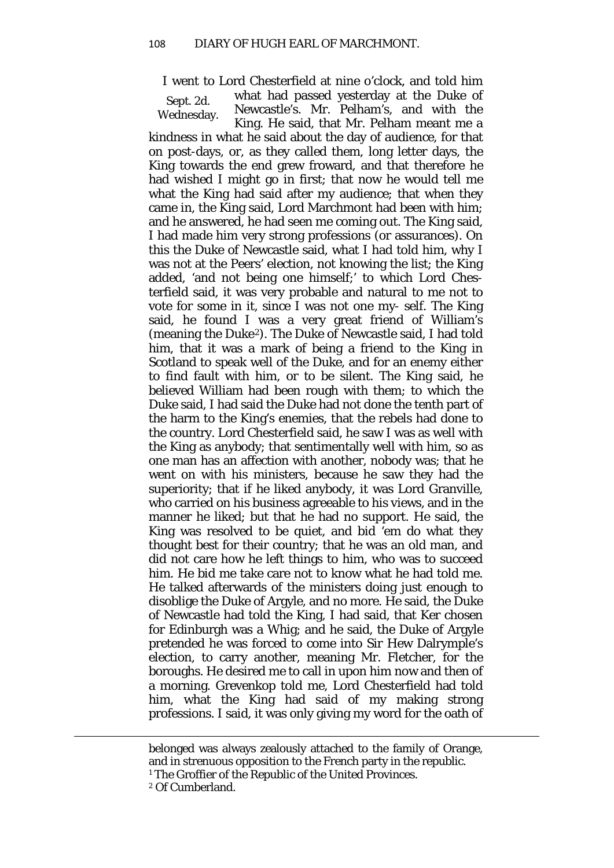Sept. 2d. I went to Lord Chesterfield at nine o'clock, and told him

Wednesday.

what had passed yesterday at the Duke of Newcastle's. Mr. Pelham's, and with the King. He said, that Mr. Pelham meant me a

kindness in what he said about the day of audience, for that on post-days, or, as they called them, long letter days, the King towards the end grew froward, and that therefore he had wished I might go in first; that now he would tell me what the King had said after my audience; that when they came in, the King said, Lord Marchmont had been with him; and he answered, he had seen me coming out. The King said, I had made him very strong professions (or assurances). On this the Duke of Newcastle said, what I had told him, why I was not at the Peers' election, not knowing the list; the King added, 'and not being one himself;' to which Lord Chesterfield said, it was very probable and natural to me not to vote for some in it, since I was not one my- self. The King said, he found I was a very great friend of William's (meaning the Duke[2](#page-53-0)). The Duke of Newcastle said, I had told him, that it was a mark of being a friend to the King in Scotland to speak well of the Duke, and for an enemy either to find fault with him, or to be silent. The King said, he believed William had been rough with them; to which the Duke said, I had said the Duke had not done the tenth part of the harm to the King's enemies, that the rebels had done to the country. Lord Chesterfield said, he saw I was as well with the King as anybody; that sentimentally well with him, so as one man has an affection with another, nobody was; that he went on with his ministers, because he saw they had the superiority; that if he liked anybody, it was Lord Granville, who carried on his business agreeable to his views, and in the manner he liked; but that he had no support. He said, the King was resolved to be quiet, and bid 'em do what they thought best for their country; that he was an old man, and did not care how he left things to him, who was to succeed him. He bid me take care not to know what he had told me. He talked afterwards of the ministers doing just enough to disoblige the Duke of Argyle, and no more. He said, the Duke of Newcastle had told the King, I had said, that Ker chosen for Edinburgh was a Whig; and he said, the Duke of Argyle pretended he was forced to come into Sir Hew Dalrymple's election, to carry another, meaning Mr. Fletcher, for the boroughs. He desired me to call in upon him now and then of a morning. Grevenkop told me, Lord Chesterfield had told him, what the King had said of my making strong professions. I said, it was only giving my word for the oath of

belonged was always zealously attached to the family of Orange, and in strenuous opposition to the French party in the republic.

<span id="page-53-0"></span><sup>&</sup>lt;sup>1</sup> The Groffier of the Republic of the United Provinces.

<sup>2</sup> Of Cumberland.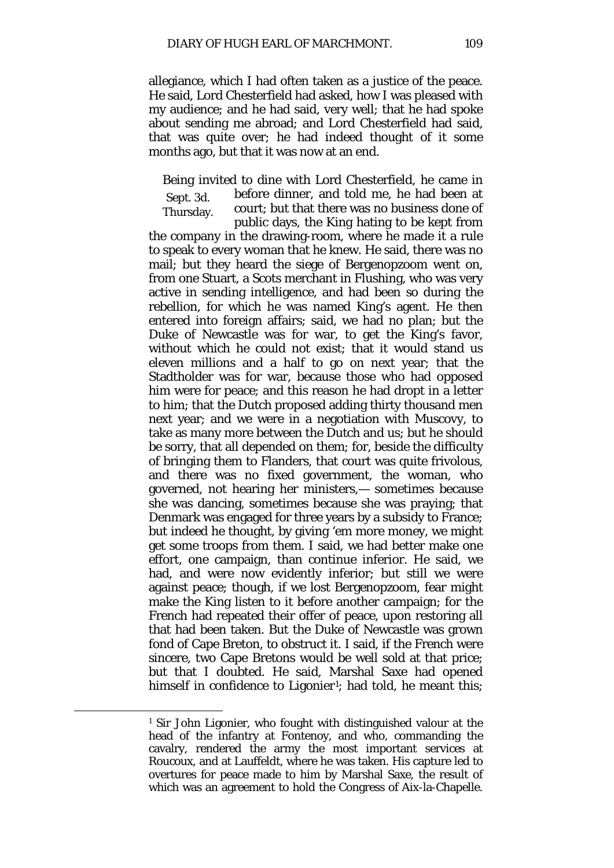allegiance, which I had often taken as a justice of the peace. He said, Lord Chesterfield had asked, how I was pleased with my audience; and he had said, very well; that he had spoke about sending me abroad; and Lord Chesterfield had said, that was quite over; he had indeed thought of it some months ago, but that it was now at an end.

Sept. 3d. Thursday. Being invited to dine with Lord Chesterfield, he came in before dinner, and told me, he had been at court; but that there was no business done of public days, the King hating to be kept from the company in the drawing-room, where he made it a rule to speak to every woman that he knew. He said, there was no mail; but they heard the siege of Bergenopzoom went on, from one Stuart, a Scots merchant in Flushing, who was very active in sending intelligence, and had been so during the rebellion, for which he was named King's agent. He then entered into foreign affairs; said, we had no plan; but the Duke of Newcastle was for war, to get the King's favor, without which he could not exist; that it would stand us eleven millions and a half to go on next year; that the Stadtholder was for war, because those who had opposed him were for peace; and this reason he had dropt in a letter to him; that the Dutch proposed adding thirty thousand men next year; and we were in a negotiation with Muscovy, to take as many more between the Dutch and us; but he should be sorry, that all depended on them; for, beside the difficulty of bringing them to Flanders, that court was quite frivolous, and there was no fixed government, the woman, who governed, not hearing her ministers,— sometimes because she was dancing, sometimes because she was praying; that Denmark was engaged for three years by a subsidy to France; but indeed he thought, by giving 'em more money, we might get some troops from them. I said, we had better make one effort, one campaign, than continue inferior. He said, we had, and were now evidently inferior; but still we were against peace; though, if we lost Bergenopzoom, fear might make the King listen to it before another campaign; for the French had repeated their offer of peace, upon restoring all that had been taken. But the Duke of Newcastle was grown fond of Cape Breton, to obstruct it. I said, if the French were sincere, two Cape Bretons would be well sold at that price; but that I doubted. He said, Marshal Saxe had opened himself in confidence to Ligonier<sup>[1](#page-54-0)</sup>; had told, he meant this;

<span id="page-54-0"></span><sup>1</sup> Sir John Ligonier, who fought with distinguished valour at the head of the infantry at Fontenoy, and who, commanding the cavalry, rendered the army the most important services at Roucoux, and at Lauffeldt, where he was taken. His capture led to overtures for peace made to him by Marshal Saxe, the result of which was an agreement to hold the Congress of Aix-la-Chapelle.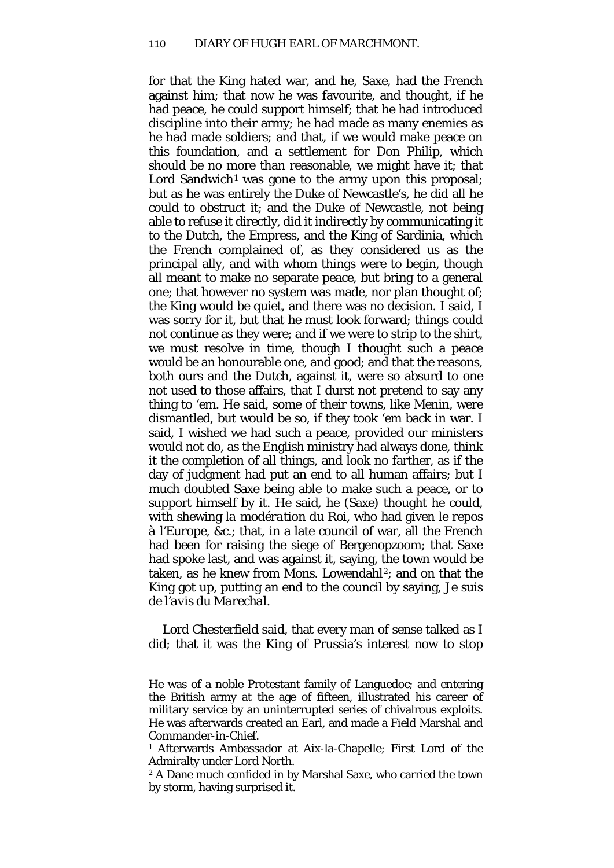for that the King hated war, and he, Saxe, had the French against him; that now he was favourite, and thought, if he had peace, he could support himself; that he had introduced discipline into their army; he had made as many enemies as he had made soldiers; and that, if we would make peace on this foundation, and a settlement for Don Philip, which should be no more than reasonable, we might have it; that Lord Sandwich<sup>[1](#page-55-0)</sup> was gone to the army upon this proposal; but as he was entirely the Duke of Newcastle's, he did all he could to obstruct it; and the Duke of Newcastle, not being able to refuse it directly, did it indirectly by communicating it to the Dutch, the Empress, and the King of Sardinia, which the French complained of, as they considered us as the principal ally, and with whom things were to begin, though all meant to make no separate peace, but bring to a general one; that however no system was made, nor plan thought of; the King would be quiet, and there was no decision. I said, I was sorry for it, but that he must look forward; things could not continue as they were; and if we were to strip to the shirt, we must resolve in time, though I thought such a peace would be an honourable one, and good; and that the reasons, both ours and the Dutch, against it, were so absurd to one not used to those affairs, that I durst not pretend to say any thing to 'em. He said, some of their towns, like Menin, were dismantled, but would be so, if they took 'em back in war. I said, I wished we had such a peace, provided our ministers would not do, as the English ministry had always done, think it the completion of all things, and look no farther, as if the day of judgment had put an end to all human affairs; but I much doubted Saxe being able to make such a peace, or to support himself by it. He said, he (Saxe) thought he could, with shewing *la modération du Roi,* who had given *le repos à l'Europe,* &c.; that, in a late council of war, all the French had been for raising the siege of Bergenopzoom; that Saxe had spoke last, and was against it, saying, the town would be taken, as he knew from Mons. Lowendahl<sup>[2](#page-55-1)</sup>; and on that the King got up, putting an end to the council by saying, *Je suis de l'avis du Marechal.*

Lord Chesterfield said, that every man of sense talked as I did; that it was the King of Prussia's interest now to stop

He was of a noble Protestant family of Languedoc; and entering the British army at the age of fifteen, illustrated his career of military service by an uninterrupted series of chivalrous exploits. He was afterwards created an Earl, and made a Field Marshal and Commander-in-Chief.

<span id="page-55-0"></span><sup>1</sup> Afterwards Ambassador at Aix-la-Chapelle; First Lord of the Admiralty under Lord North.

<span id="page-55-1"></span><sup>2</sup> A Dane much confided in by Marshal Saxe, who carried the town by storm, having surprised it.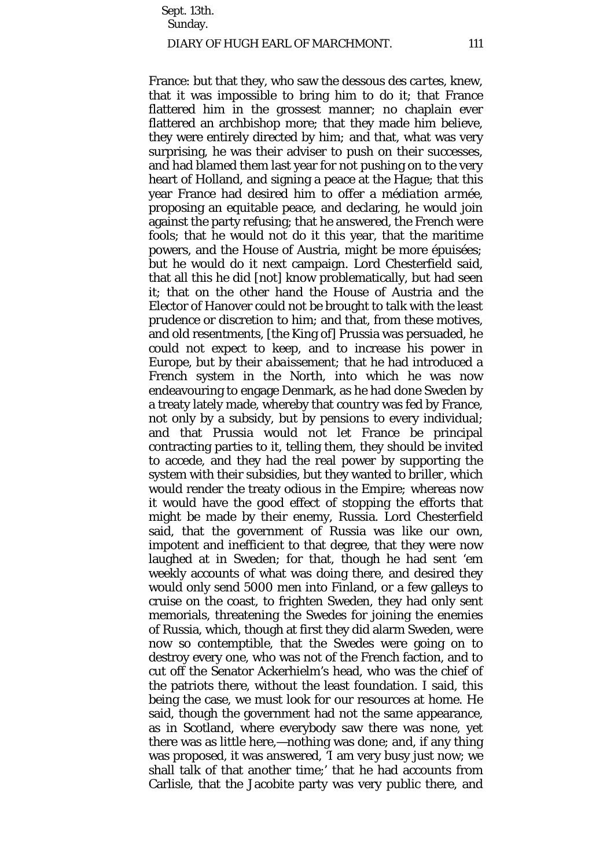Sept. 13th. Sunday.

## DIARY OF HUGH EARL OF MARCHMONT. 111

France: but that they, who saw the *dessous des cartes,* knew, that it was impossible to bring him to do it; that France flattered him in the grossest manner; no chaplain ever flattered an archbishop more; that they made him believe, they were entirely directed by him*;* and that, what was very surprising, he was their adviser to push on their successes, and had blamed them last year for not pushing on to the very heart of Holland, and signing a peace at the Hague; that this year France had desired him to offer a *médiation armée,*  proposing an equitable peace, and declaring, he would join against the party refusing; that he answered, the French were fools; that he would not do it this year, that the maritime powers, and the House of Austria, might be more *épuisées;*  but he would do it next campaign. Lord Chesterfield said, that all this he did [not] know problematically, but had seen it; that on the other hand the House of Austria and the Elector of Hanover could not be brought to talk with the least prudence or discretion to him; and that, from these motives, and old resentments, [the King of] Prussia was persuaded, he could not expect to keep, and to increase his power in Europe, but by their *abaissement;* that he had introduced a French system in the North, into which he was now endeavouring to engage Denmark, as he had done Sweden by a treaty lately made, whereby that country was fed by France, not only by a subsidy, but by pensions to every individual; and that Prussia would not let France be principal contracting parties to it, telling them, they should be invited to accede, and they had the real power by supporting the system with their subsidies, but they wanted to *briller,* which would render the treaty odious in the Empire*;* whereas now it would have the good effect of stopping the efforts that might be made by their enemy, Russia. Lord Chesterfield said, that the government of Russia was like our own, impotent and inefficient to that degree, that they were now laughed at in Sweden; for that, though he had sent 'em weekly accounts of what was doing there, and desired they would only send 5000 men into Finland, or a few galleys to cruise on the coast, to frighten Sweden, they had only sent memorials, threatening the Swedes for joining the enemies of Russia, which, though at first they did alarm Sweden, were now so contemptible, that the Swedes were going on to destroy every one, who was not of the French faction, and to cut off the Senator Ackerhielm's head, who was the chief of the patriots there, without the least foundation. I said, this being the case, we must look for our resources at home. He said, though the government had not the same appearance, as in Scotland, where everybody saw there was none, yet there was as little here,—nothing was done; and, if any thing was proposed, it was answered, 'I am very busy just now; we shall talk of that another time;' that he had accounts from Carlisle, that the Jacobite party was very public there, and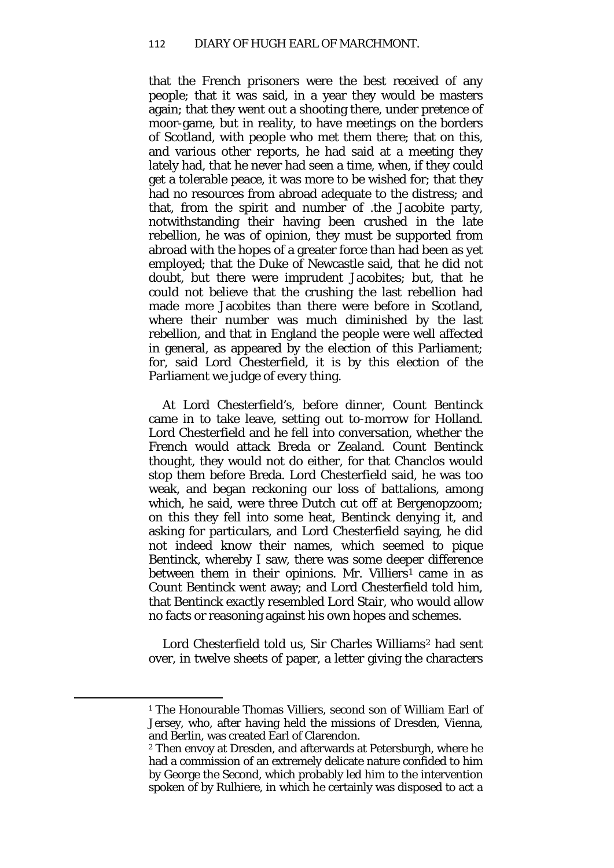that the French prisoners were the best received of any people; that it was said, in a year they would be masters again; that they went out a shooting there, under pretence of moor-game, but in reality, to have meetings on the borders of Scotland, with people who met them there; that on this, and various other reports, he had said at a meeting they lately had, that he never had seen a time, when, if they could get a tolerable peace, it was more to be wished for; that they had no resources from abroad adequate to the distress; and that, from the spirit and number of .the Jacobite party, notwithstanding their having been crushed in the late rebellion, he was of opinion, they must be supported from abroad with the hopes of a greater force than had been as yet employed; that the Duke of Newcastle said, that he did not doubt, but there were imprudent Jacobites; but, that he could not believe that the crushing the last rebellion had made more Jacobites than there were before in Scotland, where their number was much diminished by the last rebellion, and that in England the people were well affected in general, as appeared by the election of this Parliament; for, said Lord Chesterfield, it is by this election of the Parliament we judge of every thing.

At Lord Chesterfield's, before dinner, Count Bentinck came in to take leave, setting out to-morrow for Holland. Lord Chesterfield and he fell into conversation, whether the French would attack Breda or Zealand. Count Bentinck thought, they would not do either, for that Chanclos would stop them before Breda. Lord Chesterfield said, he was too weak, and began reckoning our loss of battalions, among which, he said, were three Dutch cut off at Bergenopzoom; on this they fell into some heat, Bentinck denying it, and asking for particulars, and Lord Chesterfield saying, he did not indeed know their names, which seemed to pique Bentinck, whereby I saw, there was some deeper difference between them in their opinions. Mr. Villiers<sup>[1](#page-57-0)</sup> came in as Count Bentinck went away; and Lord Chesterfield told him, that Bentinck exactly resembled Lord Stair, who would allow no facts or reasoning against his own hopes and schemes.

Lord Chesterfield told us, Sir Charles Williams<sup>[2](#page-57-1)</sup> had sent over, in twelve sheets of paper, a letter giving the characters

<span id="page-57-0"></span><sup>&</sup>lt;sup>1</sup> The Honourable Thomas Villiers, second son of William Earl of Jersey, who, after having held the missions of Dresden, Vienna, and Berlin, was created Earl of Clarendon.

<span id="page-57-1"></span><sup>2</sup> Then envoy at Dresden, and afterwards at Petersburgh, where he had a commission of an extremely delicate nature confided to him by George the Second, which probably led him to the intervention spoken of by Rulhiere, in which he certainly was disposed to act a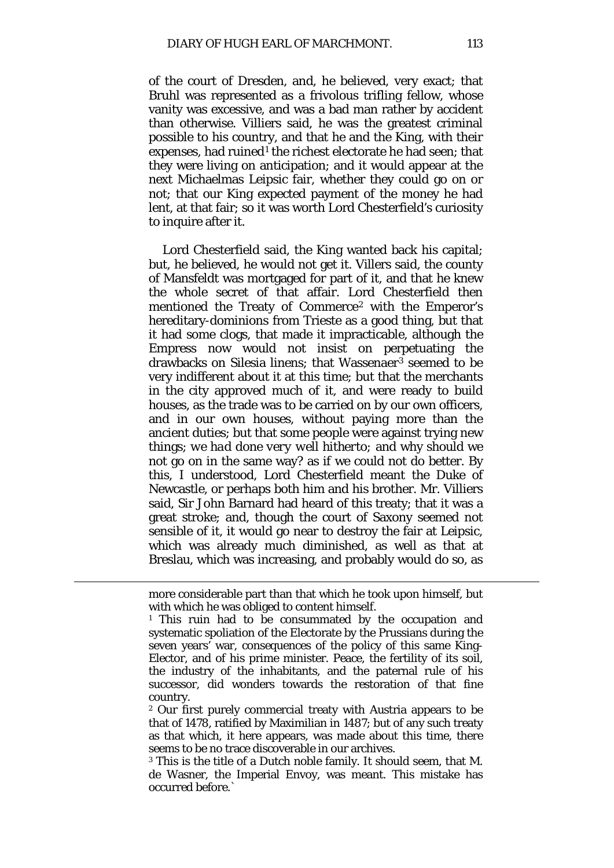of the court of Dresden, and, he believed, very exact; that Bruhl was represented as a frivolous trifling fellow, whose vanity was excessive, and was a bad man rather by accident than otherwise. Villiers said, he was the greatest criminal possible to his country, and that he and the King, with their expenses, had ruined<sup>[1](#page-58-0)</sup> the richest electorate he had seen; that they were living on anticipation; and it would appear at the next Michaelmas Leipsic fair, whether they could go on or not; that our King expected payment of the money he had lent, at that fair; so it was worth Lord Chesterfield's curiosity to inquire after it.

Lord Chesterfield said, the King wanted back his capital; but, he believed, he would not get it. Villers said, the county of Mansfeldt was mortgaged for part of it, and that he knew the whole secret of that affair. Lord Chesterfield then mentioned the Treaty of Commerce[2](#page-58-1) with the Emperor's hereditary-dominions from Trieste as a good thing, but that it had some clogs, that made it impracticable, although the Empress now would not insist on perpetuating the drawbacks on Silesia linens; that Wassenaer[3](#page-58-2) seemed to be very indifferent about it at this time; but that the merchants in the city approved much of it, and were ready to build houses, as the trade was to be carried on by our own officers, and in our own houses, without paying more than the ancient duties; but that some people were against trying new things; *we had done very well hitherto;* and why should we not go on in the same way? as if we could not do better. By this, I understood, Lord Chesterfield meant the Duke of Newcastle, or perhaps both him and his brother. Mr. Villiers said, Sir John Barnard had heard of this treaty; that it was a great stroke; and, though the court of Saxony seemed not sensible of it, it would go near to destroy the fair at Leipsic, which was already much diminished, as well as that at Breslau, which was increasing, and probably would do so, as

more considerable part than that which he took upon himself, but with which he was obliged to content himself.

<span id="page-58-0"></span><sup>&</sup>lt;sup>1</sup> This ruin had to be consummated by the occupation and systematic spoliation of the Electorate by the Prussians during the seven years' war, consequences of the policy of this same King-Elector, and of his prime minister. Peace, the fertility of its soil, the industry of the inhabitants, and the paternal rule of his successor, did wonders towards the restoration of that fine country.

<span id="page-58-1"></span><sup>2</sup> Our first purely commercial treaty with Austria appears to be that of 1478, ratified by Maximilian in 1487; but of any such treaty as that which, it here appears, was made about this time, there seems to be no trace discoverable in our archives.

<span id="page-58-2"></span><sup>3</sup> This is the title of a Dutch noble family. It should seem, that M. de Wasner, the Imperial Envoy, was meant. This mistake has occurred before.`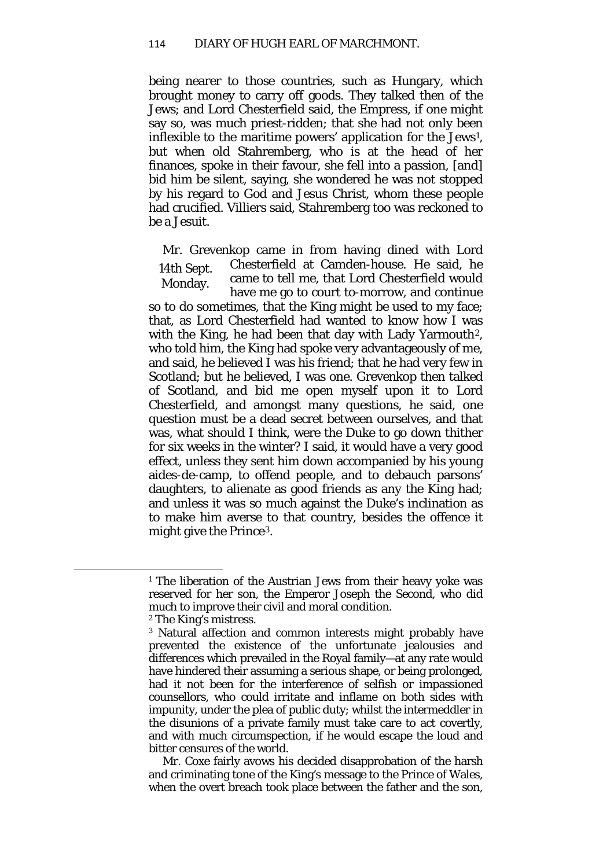being nearer to those countries, such as Hungary, which brought money to carry off goods. They talked then of the Jews; and Lord Chesterfield said, the Empress, if one might say so, was much priest-ridden; that she had not only been inflexible to the maritime powers' application for the Jews[1,](#page-59-0) but when old Stahremberg, who is at the head of her finances, spoke in their favour, she fell into a passion, [and] bid him be silent, saying, she wondered he was not stopped by his regard to God and Jesus Christ, whom these people had crucified. Villiers said, Stahremberg too was reckoned to be a Jesuit.

14th Sept. Monday. Mr. Grevenkop came in from having dined with Lord Chesterfield at Camden-house. He said, he came to tell me, that Lord Chesterfield would have me go to court to-morrow, and continue

so to do sometimes, that the King might be used to my face; that, as Lord Chesterfield had wanted to know how I was with the King, he had been that day with Lady Yarmouth<sup>2</sup>, who told him, the King had spoke very advantageously of me, and said, he believed I was his friend; that he had very few in Scotland; but he believed, I was one. Grevenkop then talked of Scotland, and bid me open myself upon it to Lord Chesterfield, and amongst many questions, he said, one question must be a dead secret between ourselves, and that was, what should I think, were the Duke to go down thither for six weeks in the winter? I said, it would have a very good effect, unless they sent him down accompanied by his young aides-de-camp, to offend people, and to debauch parsons' daughters, to alienate as good friends as any the King had; and unless it was so much against the Duke's inclination as to make him averse to that country, besides the offence it might give the Prince[3](#page-59-2).

<span id="page-59-2"></span><span id="page-59-1"></span><span id="page-59-0"></span>**.** 

Mr. Coxe fairly avows his decided disapprobation of the harsh and criminating tone of the King's message to the Prince of Wales, when the overt breach took place between the father and the son,

<sup>&</sup>lt;sup>1</sup> The liberation of the Austrian Jews from their heavy yoke was reserved for her son, the Emperor Joseph the Second, who did much to improve their civil and moral condition.

<sup>2</sup> The King's mistress.

<sup>3</sup> Natural affection and common interests might probably have prevented the existence of the unfortunate jealousies and differences which prevailed in the Royal family—at any rate would have hindered their assuming a serious shape, or being prolonged, had it not been for the interference of selfish or impassioned counsellors, who could irritate and inflame on both sides with impunity, under the plea of public duty; whilst the intermeddler in the disunions of a private family must take care to act covertly, and with much circumspection, if he would escape the loud and bitter censures of the world.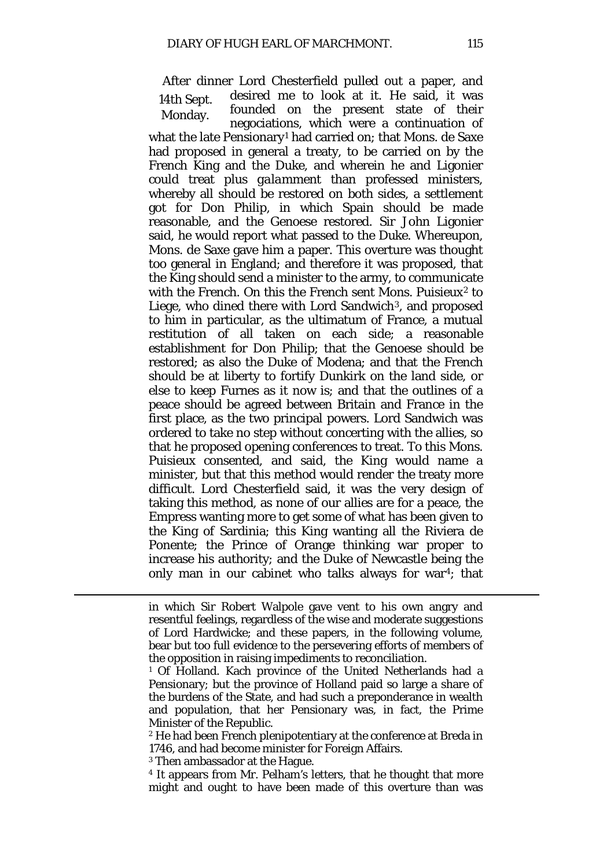14th Sept. Monday. After dinner Lord Chesterfield pulled out a paper, and desired me to look at it. He said, it was founded on the present state of their negociations, which were a continuation of what the late Pensionary[1](#page-60-0) had carried on; that Mons. de Saxe had proposed in general a treaty, to be carried on by the French King and the Duke, and wherein he and Ligonier could treat *plus galamment* than professed ministers, whereby all should be restored on both sides, a settlement got for Don Philip, in which Spain should be made reasonable, and the Genoese restored. Sir John Ligonier said, he would report what passed to the Duke. Whereupon, Mons. de Saxe gave him a paper. This overture was thought too general in England; and therefore it was proposed, that the King should send a minister to the army, to communicate with the French. On this the French sent Mons. Puisieux<sup>[2](#page-60-1)</sup> to Liege, who dined there with Lord Sandwich<sup>3</sup>, and proposed to him in particular, as the ultimatum of France, a mutual restitution of all taken on each side; a reasonable establishment for Don Philip; that the Genoese should be restored; as also the Duke of Modena; and that the French should be at liberty to fortify Dunkirk on the land side, or else to keep Furnes as it now is; and that the outlines of a peace should be agreed between Britain and France in the first place, as the two principal powers. Lord Sandwich was ordered to take no step without concerting with the allies, so that he proposed opening conferences to treat. To this Mons. Puisieux consented, and said, the King would name a minister, but that this method would render the treaty more difficult. Lord Chesterfield said, it was the very design of taking this method, as none of our allies are for a peace, the Empress wanting more to get some of what has been given to the King of Sardinia; this King wanting all the Riviera de Ponente; the Prince of Orange thinking war proper to increase his authority; and the Duke of Newcastle being the only man in our cabinet who talks always for war<sup>4</sup>; that

<span id="page-60-2"></span><sup>3</sup> Then ambassador at the Hague.

in which Sir Robert Walpole gave vent to his own angry and resentful feelings, regardless of the wise and moderate suggestions of Lord Hardwicke; and these papers, in the following volume, bear but too full evidence to the persevering efforts of members of the opposition in raising impediments to reconciliation.

<span id="page-60-0"></span><sup>1</sup> Of Holland. Kach province of the United Netherlands had a Pensionary; but the province of Holland paid so large a share of the burdens of the State, and had such a preponderance in wealth and population, that her Pensionary was, in fact, the Prime Minister of the Republic.

<span id="page-60-1"></span><sup>2</sup> He had been French plenipotentiary at the conference at Breda in 1746, and had become minister for Foreign Affairs.

<span id="page-60-3"></span><sup>4</sup> It appears from Mr. Pelham's letters, that he thought that more might and ought to have been made of this overture than was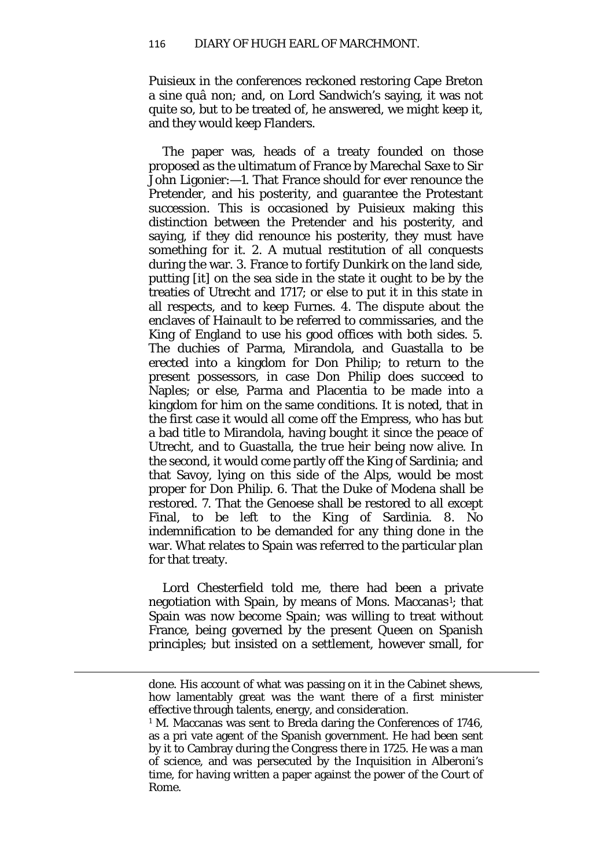Puisieux in the conferences reckoned restoring Cape Breton a *sine quâ non;* and, on Lord Sandwich's saying, it was not quite so, but to be treated of, he answered, we might keep it, and they would keep Flanders.

The paper was, heads of a treaty founded on those proposed as the ultimatum of France by Marechal Saxe to Sir John Ligonier:—1. That France should for ever renounce the Pretender, and his posterity, and guarantee the Protestant succession. This is occasioned by Puisieux making this distinction between the Pretender and his posterity, and saying, if they did renounce his posterity, they must have something for it. 2. A mutual restitution of all conquests during the war. 3. France to fortify Dunkirk on the land side, putting [it] on the sea side in the state it ought to be by the treaties of Utrecht and 1717; or else to put it in this state in all respects, and to keep Furnes. 4. The dispute about the enclaves of Hainault to be referred to commissaries, and the King of England to use his good offices with both sides. 5. The duchies of Parma, Mirandola, and Guastalla to be erected into a kingdom for Don Philip; to return to the present possessors, in case Don Philip does succeed to Naples; or else, Parma and Placentia to be made into a kingdom for him on the same conditions. It is noted, that in the first case it would all come off the Empress, who has but a bad title to Mirandola, having bought it since the peace of Utrecht, and to Guastalla, the true heir being now alive. In the second, it would come partly off the King of Sardinia; and that Savoy, lying on this side of the Alps, would be most proper for Don Philip. 6. That the Duke of Modena shall be restored. 7. That the Genoese shall be restored to all except Final, to be left to the King of Sardinia. 8. No indemnification to be demanded for any thing done in the war. What relates to Spain was referred to the particular plan for that treaty.

Lord Chesterfield told me, there had been a private negotiation with Spain, by means of Mons. Maccanas<sup>1</sup>; that Spain was now become Spain; was willing to treat without France, being governed by the present Queen on Spanish principles; but insisted on a settlement, however small, for

done. His account of what was passing on it in the Cabinet shews, how lamentably great was the want there of a first minister effective through talents, energy, and consideration.

<span id="page-61-0"></span><sup>&</sup>lt;sup>1</sup> M. Maccanas was sent to Breda daring the Conferences of 1746, as a pri vate agent of the Spanish government. He had been sent by it to Cambray during the Congress there in 1725. He was a man of science, and was persecuted by the Inquisition in Alberoni's time, for having written a paper against the power of the Court of Rome.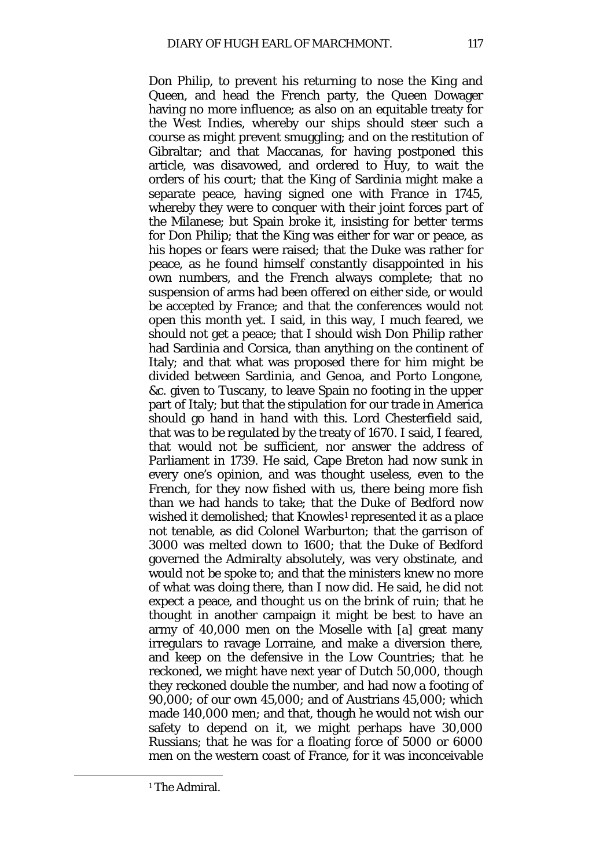Don Philip, to prevent his returning to nose the King and Queen, and head the French party, the Queen Dowager having no more influence; as also on an equitable treaty for the West Indies, whereby our ships should steer such a course as might prevent smuggling; and on the restitution of Gibraltar; and that Maccanas, for having postponed this article, was disavowed, and ordered to Huy, to wait the orders of his court; that the King of Sardinia might make a separate peace, having signed one with France in 1745, whereby they were to conquer with their joint forces part of the Milanese; but Spain broke it, insisting for better terms for Don Philip; that the King was either for war or peace, as his hopes or fears were raised; that the Duke was rather for peace, as he found himself constantly disappointed in his own numbers, and the French always complete; that no suspension of arms had been offered on either side, or would be accepted by France; and that the conferences would not open this month yet. I said, in this way, I much feared, we should not get a peace; that I should wish Don Philip rather had Sardinia and Corsica, than anything on the continent of Italy; and that what was proposed there for him might be divided between Sardinia, and Genoa, and Porto Longone, &c. given to Tuscany, to leave Spain no footing in the upper part of Italy; but that the stipulation for our trade in America should go hand in hand with this. Lord Chesterfield said, that was to be regulated by the treaty of 1670. I said, I feared, that would not be sufficient, nor answer the address of Parliament in 1739. He said, Cape Breton had now sunk in every one's opinion, and was thought useless, even to the French, for they now fished with us, there being more fish than we had hands to take; that the Duke of Bedford now wished it demolished; that Knowles<sup>1</sup> represented it as a place not tenable, as did Colonel Warburton; that the garrison of 3000 was melted down to 1600; that the Duke of Bedford governed the Admiralty absolutely, was very obstinate, and would not be spoke to; and that the ministers knew no more of what was doing there, than I now did. He said, he did not expect a peace, and thought us on the brink of ruin; that he thought in another campaign it might be best to have an army of 40,000 men on the Moselle with [a] great many irregulars to ravage Lorraine, and make a diversion there, and keep on the defensive in the Low Countries; that he reckoned, we might have next year of Dutch 50,000, though they reckoned double the number, and had now a footing of 90,000; of our own 45,000; and of Austrians 45,000; which made 140,000 men; and that, though he would not wish our safety to depend on it, we might perhaps have 30,000 Russians; that he was for a floating force of 5000 or 6000 men on the western coast of France, for it was inconceivable

<span id="page-62-0"></span><sup>1</sup> The Admiral.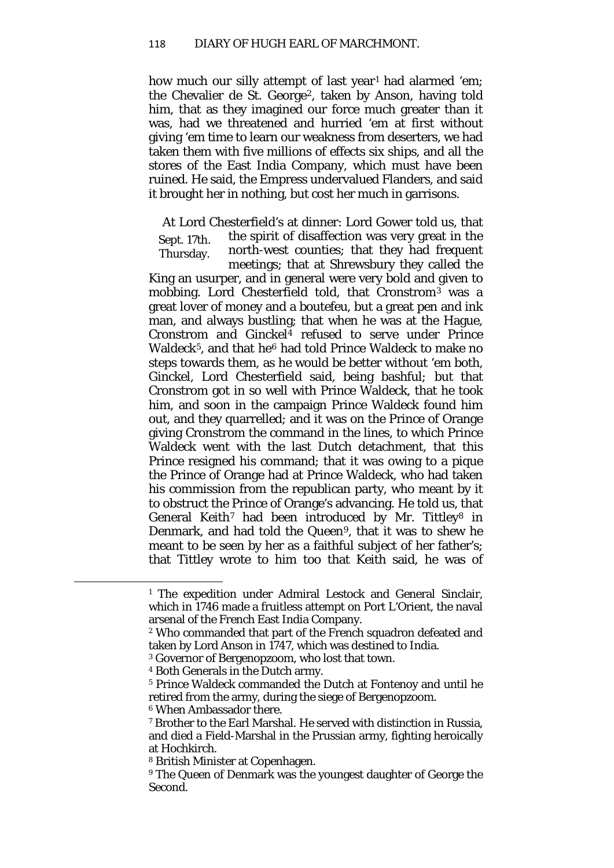how much our silly attempt of last year<sup>[1](#page-63-0)</sup> had alarmed 'em; the Chevalier de St. George<sup>[2](#page-63-1)</sup>, taken by Anson, having told him, that as they imagined our force much greater than it was, had we threatened and hurried 'em at first without giving 'em time to learn our weakness from deserters, we had taken them with five millions of effects six ships, and all the stores of the East India Company, which must have been ruined. He said, the Empress undervalued Flanders, and said it brought her in nothing, but cost her much in garrisons.

Sept. 17th. Thursday. At Lord Chesterfield's at dinner: Lord Gower told us, that the spirit of disaffection was very great in the north-west counties; that they had frequent meetings; that at Shrewsbury they called the

King an usurper, and in general were very bold and given to mobbing. Lord Chesterfield told, that Cronstrom[3](#page-63-2) was a great lover of money and a *boutefeu,* but a great pen and ink man, and always bustling; that when he was at the Hague, Cronstrom and Ginckel<sup>[4](#page-63-3)</sup> refused to serve under Prince Waldeck<sup>5</sup>, and that he<sup>[6](#page-63-5)</sup> had told Prince Waldeck to make no steps towards them, as he would be better without 'em both, Ginckel, Lord Chesterfield said, being bashful*;* but that Cronstrom got in so well with Prince Waldeck, that he took him, and soon in the campaign Prince Waldeck found him out, and they quarrelled; and it was on the Prince of Orange giving Cronstrom the command in the lines, to which Prince Waldeck went with the last Dutch detachment, that this Prince resigned his command; that it was owing to a pique the Prince of Orange had at Prince Waldeck, who had taken his commission from the republican party, who meant by it to obstruct the Prince of Orange's advancing. He told us, that General Keith<sup>[7](#page-63-6)</sup> had been introduced by Mr. Tittley<sup>[8](#page-63-7)</sup> in Denmark, and had told the Queen<sup>9</sup>, that it was to shew he meant to be seen by her as a faithful subject of her father's; that Tittley wrote to him too that Keith said, he was of

<span id="page-63-0"></span><sup>&</sup>lt;sup>1</sup> The expedition under Admiral Lestock and General Sinclair, which in 1746 made a fruitless attempt on Port L'Orient, the naval arsenal of the French East India Company.

<span id="page-63-1"></span><sup>2</sup> Who commanded that part of the French squadron defeated and taken by Lord Anson in 1747, which was destined to India.

<span id="page-63-2"></span><sup>3</sup> Governor of Bergenopzoom, who lost that town.

<sup>4</sup> Both Generals in the Dutch army.

<span id="page-63-4"></span><span id="page-63-3"></span><sup>5</sup> Prince Waldeck commanded the Dutch at Fontenoy and until he retired from the army, during the siege of Bergenopzoom.

<span id="page-63-5"></span><sup>6</sup> When Ambassador there.

<span id="page-63-6"></span><sup>7</sup> Brother to the Earl Marshal. He served with distinction in Russia, and died a Field-Marshal in the Prussian army, fighting heroically at Hochkirch.

<span id="page-63-7"></span><sup>8</sup> British Minister at Copenhagen.

<span id="page-63-8"></span><sup>&</sup>lt;sup>9</sup> The Queen of Denmark was the youngest daughter of George the Second.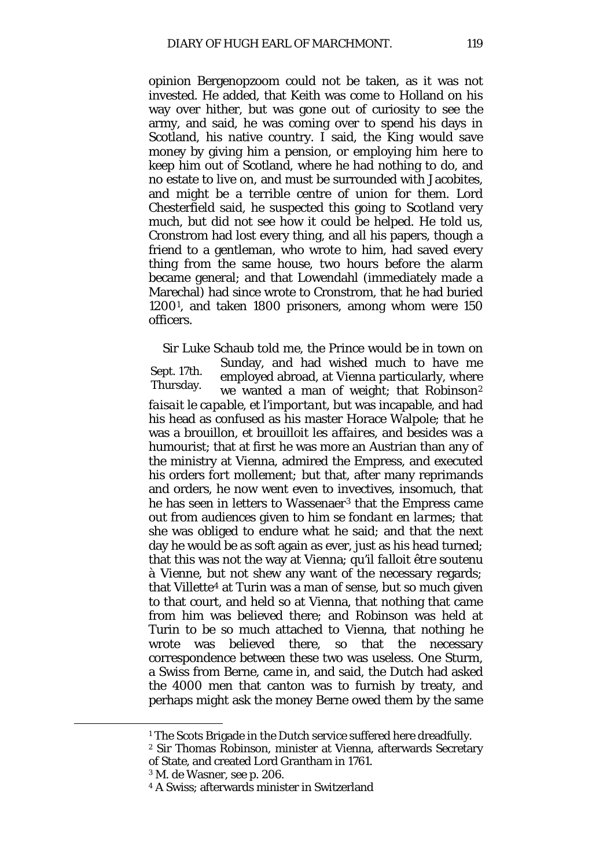opinion Bergenopzoom could not be taken, as it was not invested. He added, that Keith was come to Holland on his way over hither, but was gone out of curiosity to see the army, and said, he was coming over to spend his days in Scotland, his native country. I said, the King would save money by giving him a pension, or employing him here to keep him out of Scotland, where he had nothing to do, and no estate to live on, and must be surrounded with Jacobites, and might be a terrible centre of union for them. Lord Chesterfield said, he suspected this going to Scotland very much, but did not see how it could be helped. He told us, Cronstrom had lost every thing, and all his papers, though a friend to a gentleman, who wrote to him, had saved every thing from the same house, two hours before the alarm became general; and that Lowendahl (immediately made a Marechal) had since wrote to Cronstrom, that he had buried 1200[1,](#page-64-0) and taken 1800 prisoners, among whom were 150 officers.

Sept. 17th. Thursday. Sir Luke Schaub told me, the Prince would be in town on Sunday, and had wished much to have me employed abroad, at Vienna particularly, where we wanted a man of weight; that Robinson<sup>[2](#page-64-1)</sup> *faisait le capable, et l'important,* but was incapable, and had his head as confused as his master Horace Walpole; that he was a brouillon, *et brouilloit les affaires,* and besides was a humourist; that at first he was more an Austrian than any of the ministry at Vienna, admired the Empress, and executed his orders *fort mollement;* but that, after many reprimands and orders, he now went even to invectives, insomuch, that he has seen in letters to Wassenaer<sup>[3](#page-64-2)</sup> that the Empress came out from audiences given to him *se fondant en larmes;* that she was obliged to endure what he said; and that the next day he would be as soft again as ever, just as his head turned; that this was not the way at Vienna; *qu'il falloit être soutenu à Vienne,* but not shew any want of the necessary regards*;*  that Villette[4](#page-64-3) at Turin was a man of sense, but so much given to that court, and held so at Vienna, that nothing that came from him was believed there; and Robinson was held at Turin to be so much attached to Vienna, that nothing he wrote was believed there, so that the necessary correspondence between these two was useless. One Sturm, a Swiss from Berne, came in, and said, the Dutch had asked the 4000 men that canton was to furnish by treaty, and perhaps might ask the money Berne owed them by the same

<sup>&</sup>lt;sup>1</sup> The Scots Brigade in the Dutch service suffered here dreadfully.

<span id="page-64-1"></span><span id="page-64-0"></span><sup>2</sup> Sir Thomas Robinson, minister at Vienna, afterwards Secretary of State, and created Lord Grantham in 1761.

<span id="page-64-2"></span><sup>3</sup> M. de Wasner, see p. 206.

<span id="page-64-3"></span><sup>4</sup> A Swiss; afterwards minister in Switzerland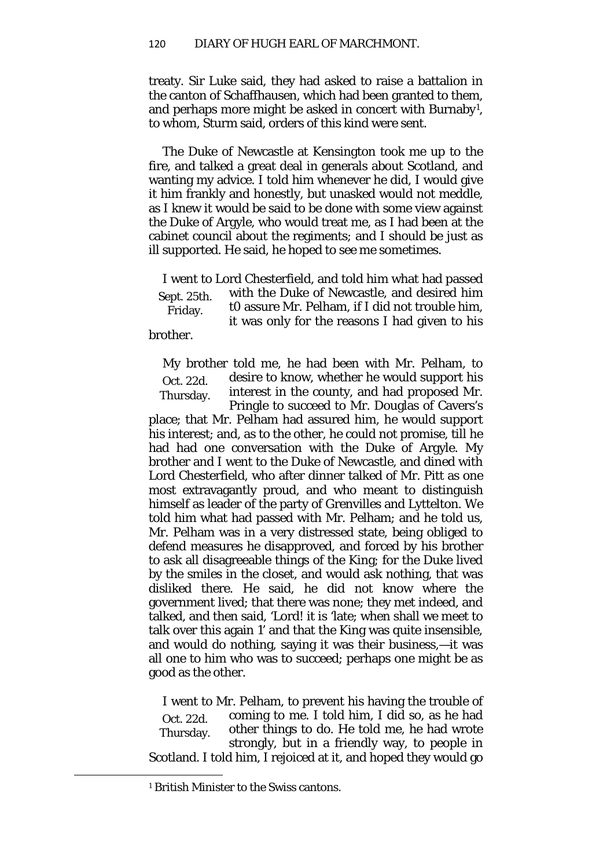treaty. Sir Luke said, they had asked to raise a battalion in the canton of Schaffhausen, which had been granted to them, and perhaps more might be asked in concert with Burnaby[1,](#page-65-0) to whom, Sturm said, orders of this kind were sent.

The Duke of Newcastle at Kensington took me up to the fire, and talked a great deal in generals about Scotland, and wanting my advice. I told him whenever he did, I would give it him frankly and honestly, but unasked would not meddle, as I knew it would be said to be done with some view against the Duke of Argyle, who would treat me, as I had been at the cabinet council about the regiments; and I should be just as ill supported. He said, he hoped to see me sometimes.

Sept. 25th. Friday. I went to Lord Chesterfield, and told him what had passed with the Duke of Newcastle, and desired him t0 assure Mr. Pelham, if I did not trouble him, it was only for the reasons I had given to his

brother.

Oct. 22d. Thursday. My brother told me, he had been with Mr. Pelham, to desire to know, whether he would support his interest in the county, and had proposed Mr. Pringle to succeed to Mr. Douglas of Cavers's

place; that Mr. Pelham had assured him, he would support his interest; and, as to the other, he could not promise, till he had had one conversation with the Duke of Argyle. My brother and I went to the Duke of Newcastle, and dined with Lord Chesterfield, who after dinner talked of Mr. Pitt as one most extravagantly proud, and who meant to distinguish himself as leader of the party of Grenvilles and Lyttelton. We told him what had passed with Mr. Pelham; and he told us, Mr. Pelham was in a very distressed state, being obliged to defend measures he disapproved, and forced by his brother to ask all disagreeable things of the King; for the Duke lived by the smiles in the closet, and would ask nothing, that was disliked there. He said, he did not know where the government lived; that there was none; they met indeed, and talked, and then said, 'Lord! it is 'late; when shall we meet to talk over this again *1*' and that the King was quite insensible, and would do nothing, saying it was their business,—it was all one to him who was to succeed; perhaps one might be as good as the other.

Oct. 22d. Thursday. I went to Mr. Pelham, to prevent his having the trouble of coming to me. I told him, I did so, as he had other things to do. He told me, he had wrote strongly, but in a friendly way, to people in Scotland. I told him, I rejoiced at it, and hoped they would go

<span id="page-65-0"></span><sup>1</sup> British Minister to the Swiss cantons.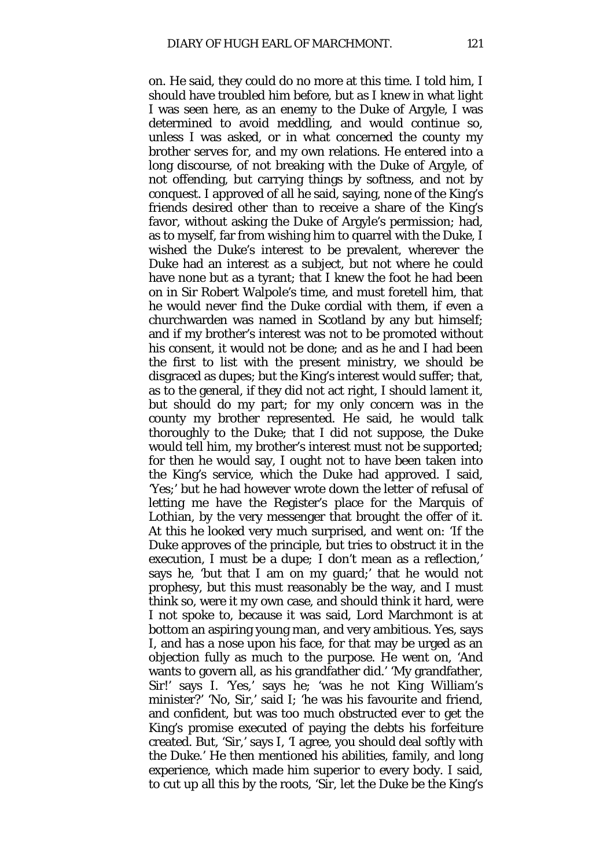on. He said, they could do no more at this time. I told him, I should have troubled him before, but as I knew in what light I was seen here, as an enemy to the Duke of Argyle, I was determined to avoid meddling, and would continue so, unless I was asked, or in what concerned the county my brother serves for, and my own relations. He entered into a long discourse, of not breaking with the Duke of Argyle, of not offending, but carrying things by softness, and not by conquest. I approved of all he said, saying, none of the King's friends desired other than to receive a share of the King's favor, without asking the Duke of Argyle's permission; had, as to myself, far from wishing him to quarrel with the Duke, I wished the Duke's interest to be prevalent, wherever the Duke had an interest as a subject, but not where he could have none but as a tyrant; that I knew the foot he had been on in Sir Robert Walpole's time, and must foretell him, that he would never find the Duke cordial with them, if even a churchwarden was named in Scotland by any but himself; and if my brother's interest was not to be promoted without his consent, it would not be done; and as he and I had been the first to list with the present ministry, we should be disgraced as dupes; but the King's interest would suffer; that, as to the general, if they did not act right, I should lament it, but should do my part; for my only concern was in the county my brother represented. He said, he would talk thoroughly to the Duke; that I did not suppose, the Duke would tell him, my brother's interest must not be supported; for then he would say, I ought not to have been taken into the King's service, which the Duke had approved. I said, 'Yes;' but he had however wrote down the letter of refusal of letting me have the Register's place for the Marquis of Lothian, by the very messenger that brought the offer of it. At this he looked very much surprised, and went on: 'If the Duke approves of the principle, but tries to obstruct it in the execution, I must be a dupe*;* I don't mean as a reflection,' says he, 'but that I am on my guard;' that he would not prophesy, but this must reasonably be the way, and I must think so, were it my own case, and should think it hard, were I not spoke to, because it was said, Lord Marchmont is at bottom an aspiring young man, and very ambitious. Yes, says I, and has a nose upon his face, for that may be urged as an objection fully as much to the purpose. He went on, 'And wants to govern all, as his grandfather did.' 'My grandfather, Sir!' says I. 'Yes,' says he; 'was he not King William's minister?' 'No, Sir,' said I; 'he was his favourite and friend, and confident, but was too much obstructed ever to get the King's promise executed of paying the debts his forfeiture created. But, 'Sir,' says I, 'I agree, you should deal softly with the Duke.' He then mentioned his abilities, family, and long experience, which made him superior to every body. I said, to cut up all this by the roots, 'Sir, let the Duke be the King's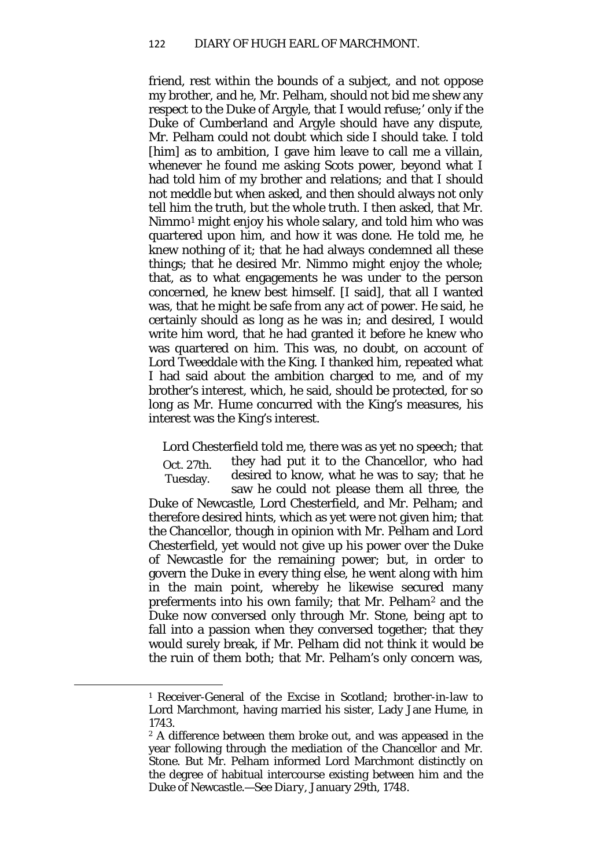friend, rest within the bounds of a subject, and not oppose my brother, and he, Mr. Pelham, should not bid me shew any respect to the Duke of Argyle, that I would refuse;' only if the Duke of Cumberland and Argyle should have any dispute, Mr. Pelham could not doubt which side I should take. I told [him] as to ambition, I gave him leave to call me a villain, whenever he found me asking Scots power, beyond what I had told him of my brother and relations; and that I should not meddle but when asked, and then should always not only tell him the truth, but the whole truth. I then asked, that Mr. Nimmo[1](#page-67-0) might enjoy his whole salary, and told him who was quartered upon him, and how it was done. He told me, he knew nothing of it; that he had always condemned all these things; that he desired Mr. Nimmo might enjoy the whole; that, as to what engagements he was under to the person concerned, he knew best himself. [I said], that all I wanted was, that he might be safe from any act of power. He said, he certainly should as long as he was in; and desired, I would write him word, that he had granted it before he knew who was quartered on him. This was, no doubt, on account of Lord Tweeddale with the King. I thanked him, repeated what I had said about the ambition charged to me, and of my brother's interest, which, he said, should be protected, for so long as Mr. Hume concurred with the King's measures, his interest was the King's interest.

Oct. 27th. Tuesday. Lord Chesterfield told me, there was as yet no speech; that they had put it to the Chancellor, who had desired to know, what he was to say; that he saw he could not please them all three, the Duke of Newcastle, Lord Chesterfield, and Mr. Pelham; and therefore desired hints, which as yet were not given him; that the Chancellor, though in opinion with Mr. Pelham and Lord Chesterfield, yet would not give up his power over the Duke of Newcastle for the remaining power; but, in order to govern the Duke in every thing else, he went along with him in the main point, whereby he likewise secured many preferments into his own family; that Mr. Pelham[2](#page-67-1) and the Duke now conversed only through Mr. Stone, being apt to fall into a passion when they conversed together; that they would surely break, if Mr. Pelham did not think it would be the ruin of them both; that Mr. Pelham's only concern was,

<span id="page-67-0"></span><sup>1</sup> Receiver-General of the Excise in Scotland; brother-in-law to Lord Marchmont, having married his sister, Lady Jane Hume, in 1743.

<span id="page-67-1"></span><sup>2</sup> A difference between them broke out, and was appeased in the year following through the mediation of the Chancellor and Mr. Stone. But Mr. Pelham informed Lord Marchmont distinctly on the degree of habitual intercourse existing between him and the Duke of Newcastle.—See *Diary,* January 29th, 1748.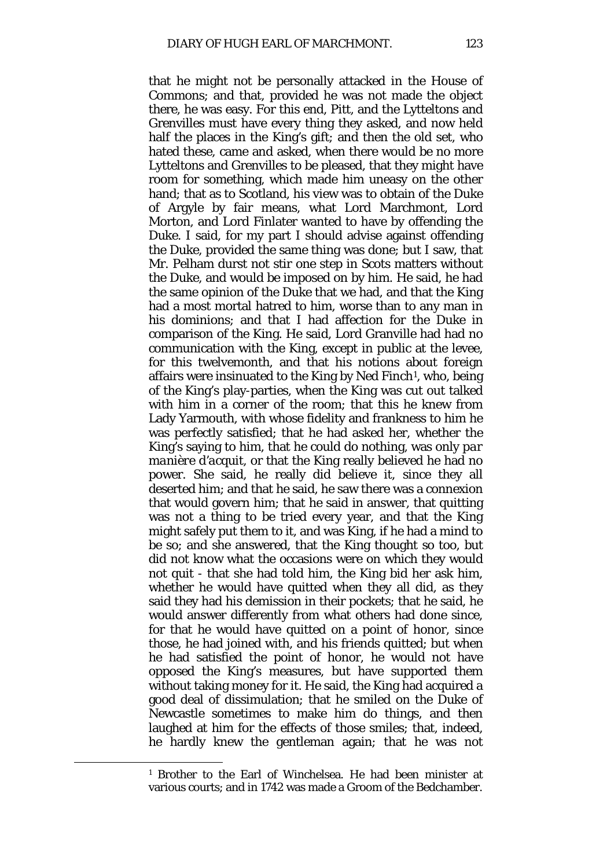that he might not be personally attacked in the House of Commons; and that, provided he was not made the object there, he was easy. For this end, Pitt, and the Lytteltons and Grenvilles must have every thing they asked, and now held half the places in the King's gift; and then the old set, who hated these, came and asked, when there would be no more Lytteltons and Grenvilles to be pleased, that they might have room for something, which made him uneasy on the other hand; that as to Scotland, his view was to obtain of the Duke of Argyle by fair means, what Lord Marchmont, Lord Morton, and Lord Finlater wanted to have by offending the Duke. I said, for my part I should advise against offending the Duke, provided the same thing was done; but I saw, that Mr. Pelham durst not stir one step in Scots matters without the Duke, and would be imposed on by him. He said, he had the same opinion of the Duke that we had, and that the King had a most mortal hatred to him, worse than to any man in his dominions; and that I had affection for the Duke in comparison of the King. He said, Lord Granville had had no communication with the King, except in public at the levee, for this twelvemonth, and that his notions about foreign affairs were insinuated to the King by Ned Finch[1](#page-68-0), who, being of the King's play-parties, when the King was cut out talked with him in a corner of the room; that this he knew from Lady Yarmouth, with whose fidelity and frankness to him he was perfectly satisfied; that he had asked her, whether the King's saying to him, that he could do nothing, was only *par manière d'acquit,* or that the King really believed he had no power. She said, he really did believe it, since they all deserted him; and that he said, he saw there was a connexion that would govern him; that he said in answer, that quitting was not a thing to be tried every year, and that the King might safely put them to it, and was King, if he had a mind to be so; and she answered, that the King thought so too, but did not know what the occasions were on which they would not quit - that she had told him, the King bid her ask him, whether he would have quitted when they all did, as they said they had his demission in their pockets; that he said, he would answer differently from what others had done since, for that he would have quitted on a point of honor, since those, he had joined with, and his friends quitted; but when he had satisfied the point of honor, he would not have opposed the King's measures, but have supported them without taking money for it. He said, the King had acquired a good deal of dissimulation; that he smiled on the Duke of Newcastle sometimes to make him do things, and then laughed at him for the effects of those smiles; that, indeed, he hardly knew the gentleman again; that he was not

<span id="page-68-0"></span><sup>1</sup> Brother to the Earl of Winchelsea. He had been minister at various courts; and in 1742 was made a Groom of the Bedchamber.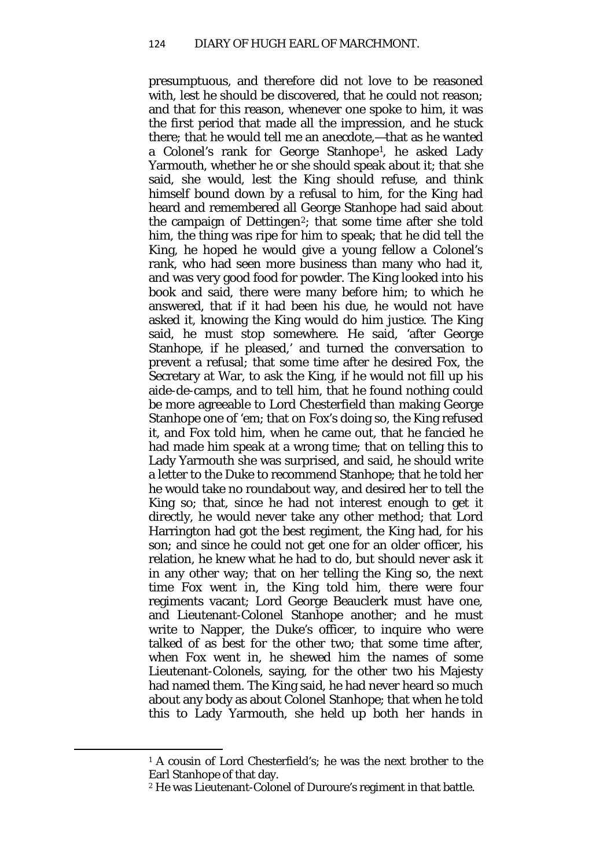presumptuous, and therefore did not love to be reasoned with, lest he should be discovered, that he could not reason; and that for this reason, whenever one spoke to him, it was the first period that made all the impression, and he stuck there; that he would tell me an anecdote,—that as he wanted a Colonel's rank for George Stanhope[1](#page-69-0)*,* he asked Lady Yarmouth, whether he or she should speak about it; that she said, she would, lest the King should refuse, and think himself bound down by a refusal to him, for the King had heard and remembered all George Stanhope had said about the campaign of Dettingen<sup>[2](#page-69-1)</sup>; that some time after she told him, the thing was ripe for him to speak; that he did tell the King, he hoped he would give a young fellow a Colonel's rank, who had seen more business than many who had it, and was very good food for powder. The King looked into his book and said, there were many before him; to which he answered, that if it had been his due, he would not have asked it, knowing the King would do him justice. The King said, he must stop somewhere. He said, 'after George Stanhope, if he pleased,' and turned the conversation to prevent a refusal; that some time after he desired Fox, the Secretary at War, to ask the King, if he would not fill up his aide-de-camps, and to tell him, that he found nothing could be more agreeable to Lord Chesterfield than making George Stanhope one of 'em; that on Fox's doing so, the King refused it, and Fox told him, when he came out, that he fancied he had made him speak at a wrong time; that on telling this to Lady Yarmouth she was surprised, and said, he should write a letter to the Duke to recommend Stanhope; that he told her he would take no roundabout way, and desired her to tell the King so; that, since he had not interest enough to get it directly, he would never take any other method; that Lord Harrington had got the best regiment, the King had, for his son; and since he could not get one for an older officer, his relation, he knew what he had to do, but should never ask it in any other way; that on her telling the King so, the next time Fox went in, the King told him, there were four regiments vacant; Lord George Beauclerk must have one, and Lieutenant-Colonel Stanhope another; and he must write to Napper, the Duke's officer, to inquire who were talked of as best for the other two; that some time after, when Fox went in, he shewed him the names of some Lieutenant-Colonels, saying, for the other two his Majesty had named them. The King said, he had never heard so much about any body as about Colonel Stanhope; that when he told this to Lady Yarmouth, she held up both her hands in

<span id="page-69-0"></span><sup>&</sup>lt;sup>1</sup> A cousin of Lord Chesterfield's: he was the next brother to the Earl Stanhope of that day.

<span id="page-69-1"></span><sup>2</sup> He was Lieutenant-Colonel of Duroure's regiment in that battle.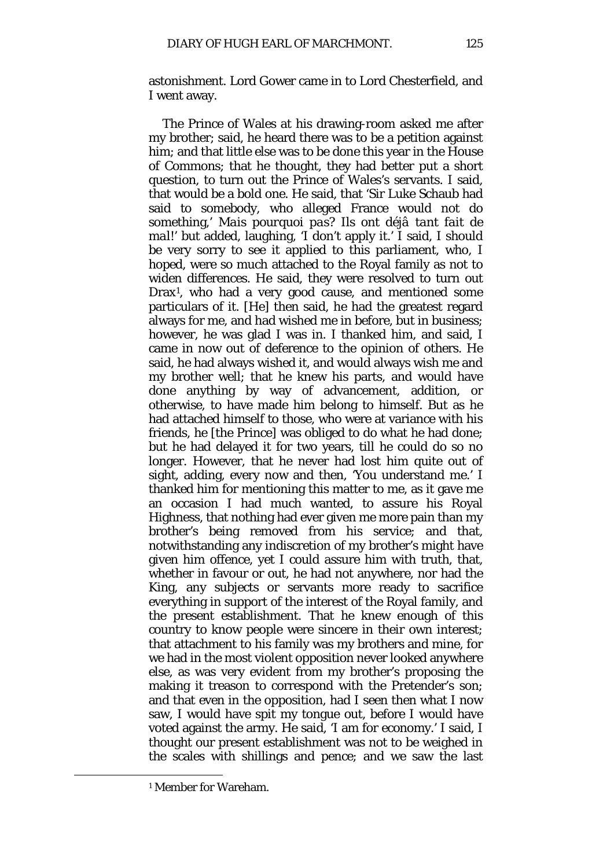astonishment. Lord Gower came in to Lord Chesterfield, and I went away.

The Prince of Wales at his drawing-room asked me after my brother; said, he heard there was to be a petition against him; and that little else was to be done this year in the House of Commons; that he thought, they had better put a short question, to turn out the Prince of Wales's servants. I said, that would be a bold one. He said, that 'Sir Luke Schaub had said to somebody, who alleged France would not do something,' *Mais pourquoi pas? Ils ont déjâ tant fait de mal!*' but added, laughing, 'I don't apply it.' I said, I should be very sorry to see it applied to this parliament, who, I hoped, were so much attached to the Royal family as not to widen differences. He said, they were resolved to turn out Drax[1](#page-70-0), who had a very good cause, and mentioned some particulars of it. [He] then said, he had the greatest regard always for me, and had wished me in before, but in business; however, he was glad I was in. I thanked him, and said, I came in now out of deference to the opinion of others. He said, he had always wished it, and would always wish me and my brother well; that he knew his parts, and would have done anything by way of advancement, addition, or otherwise, to have made him belong to himself. But as he had attached himself to those, who were at variance with his friends, he [the Prince] was obliged to do what he had done; but he had delayed it for two years, till he could do so no longer. However, that he never had lost him quite out of sight, adding, every now and then, 'You understand me.' I thanked him for mentioning this matter to me, as it gave me an occasion I had much wanted, to assure his Royal Highness, that nothing had ever given me more pain than my brother's being removed from his service; and that, notwithstanding any indiscretion of my brother's might have given him offence, yet I could assure him with truth, that, whether in favour or out, he had not anywhere, nor had the King, any subjects or servants more ready to sacrifice everything in support of the interest of the Royal family, and the present establishment. That he knew enough of this country to know people were sincere in their own interest; that attachment to his family was my brothers and mine, for we had in the most violent opposition never looked anywhere else, as was very evident from my brother's proposing the making it treason to correspond with the Pretender's son; and that even in the opposition, had I seen then what I now saw, I would have spit my tongue out, before I would have voted against the army. He said, 'I am for economy.' I said, I thought our present establishment was not to be weighed in the scales with shillings and pence; and we saw the last

<span id="page-70-0"></span><sup>1</sup> Member for Wareham.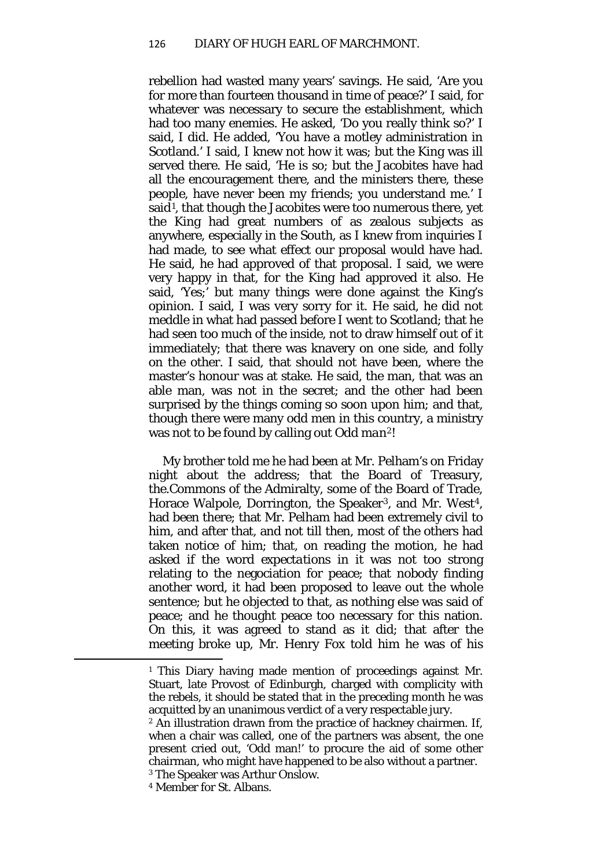rebellion had wasted many years' savings. He said, 'Are you for more than fourteen thousand in time of peace?' I said, for whatever was necessary to secure the establishment, which had too many enemies. He asked, 'Do you really think so?' I said, I did. He added, 'You have a motley administration in Scotland.' I said, I knew not how it was; but the King was ill served there. He said, 'He is so; but the Jacobites have had all the encouragement there, and the ministers there, these people, have never been my friends; you understand me.' I said<sup>1</sup>, that though the Jacobites were too numerous there, yet the King had great numbers of as zealous subjects as anywhere, especially in the South, as I knew from inquiries I had made, to see what effect our proposal would have had. He said, he had approved of that proposal. I said, we were very happy in that, for the King had approved it also. He said, 'Yes;' but many things were done against the King's opinion. I said, I was very sorry for it. He said, he did not meddle in what had passed before I went to Scotland; that he had seen too much of the inside, not to draw himself out of it immediately; that there was knavery on one side, and folly on the other. I said, that should not have been, where the master's honour was at stake. He said, the man, that was an able man, was not in the secret; and the other had been surprised by the things coming so soon upon him; and that, though there were many odd men in this country, a ministry was not to be found by calling out *Odd man[2](#page-71-1)*!

My brother told me he had been at Mr. Pelham's on Friday night about the address; that the Board of Treasury, the.Commons of the Admiralty, some of the Board of Trade, Horace Walpole, Dorrington, the Speaker<sup>[3](#page-71-2)</sup>, and Mr. West<sup>4</sup>, had been there; that Mr. Pelham had been extremely civil to him, and after that, and not till then, most of the others had taken notice of him; that, on reading the motion, he had asked if the word *expectations* in it was not too strong relating to the negociation for peace; that nobody finding another word, it had been proposed to leave out the whole sentence; but he objected to that, as nothing else was said of peace; and he thought peace too necessary for this nation. On this, it was agreed to stand as it did; that after the meeting broke up, Mr. Henry Fox told him he was of his

<span id="page-71-0"></span><sup>&</sup>lt;sup>1</sup> This Diary having made mention of proceedings against Mr. Stuart, late Provost of Edinburgh, charged with complicity with the rebels, it should be stated that in the preceding month he was acquitted by an unanimous verdict of a very respectable jury.

<span id="page-71-1"></span><sup>2</sup> An illustration drawn from the practice of hackney chairmen. If, when a chair was called, one of the partners was absent, the one present cried out, 'Odd man!' to procure the aid of some other chairman, who might have happened to be also without a partner. <sup>3</sup> The Speaker was Arthur Onslow.

<span id="page-71-3"></span><span id="page-71-2"></span><sup>4</sup> Member for St. Albans.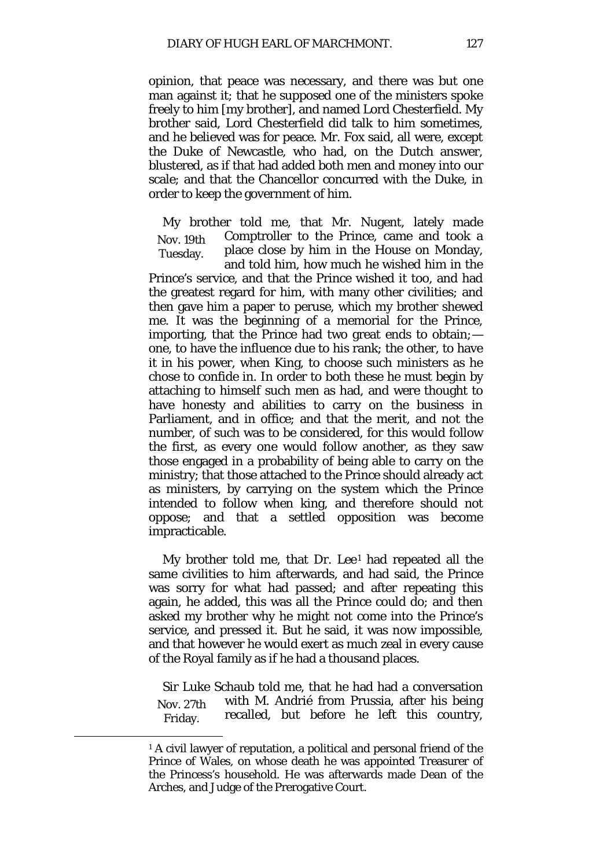opinion, that peace was necessary, and there was but one man against it; that he supposed one of the ministers spoke freely to him [my brother], and named Lord Chesterfield. My brother said, Lord Chesterfield did talk to him sometimes, and he believed was for peace. Mr. Fox said, all were, except the Duke of Newcastle, who had, on the Dutch answer, blustered, as if that had added both men and money into our scale; and that the Chancellor concurred with the Duke, in order to keep the government of him.

Nov. 19th Tuesday. My brother told me, that Mr. Nugent, lately made Comptroller to the Prince, came and took a place close by him in the House on Monday, and told him, how much he wished him in the

Prince's service, and that the Prince wished it too, and had the greatest regard for him, with many other civilities; and then gave him a paper to peruse, which my brother shewed me. It was the beginning of a memorial for the Prince, importing, that the Prince had two great ends to obtain*;* one, to have the influence due to his rank; the other, to have it in his power, when King, to choose such ministers as he chose to confide in. In order to both these he must begin by attaching to himself such men as had, and were thought to have honesty and abilities to carry on the business in Parliament, and in office; and that the merit, and not the number, of such was to be considered, for this would follow the first, as every one would follow another, as they saw those engaged in a probability of being able to carry on the ministry; that those attached to the Prince should already act as ministers, by carrying on the system which the Prince intended to follow when king, and therefore should not oppose; and that a settled opposition was become impracticable.

My brother told me, that Dr. Lee<sup>[1](#page-72-0)</sup> had repeated all the same civilities to him afterwards, and had said, the Prince was sorry for what had passed; and after repeating this again, he added, this was all the Prince could do; and then asked my brother why he might not come into the Prince's service, and pressed it. But he said, it was now impossible, and that however he would exert as much zeal in every cause of the Royal family as if he had a thousand places.

Nov. 27th Friday. Sir Luke Schaub told me, that he had had a conversation with M. Andrié from Prussia, after his being recalled, but before he left this country,

<span id="page-72-0"></span><sup>&</sup>lt;sup>1</sup> A civil lawyer of reputation, a political and personal friend of the Prince of Wales, on whose death he was appointed Treasurer of the Princess's household. He was afterwards made Dean of the Arches, and Judge of the Prerogative Court.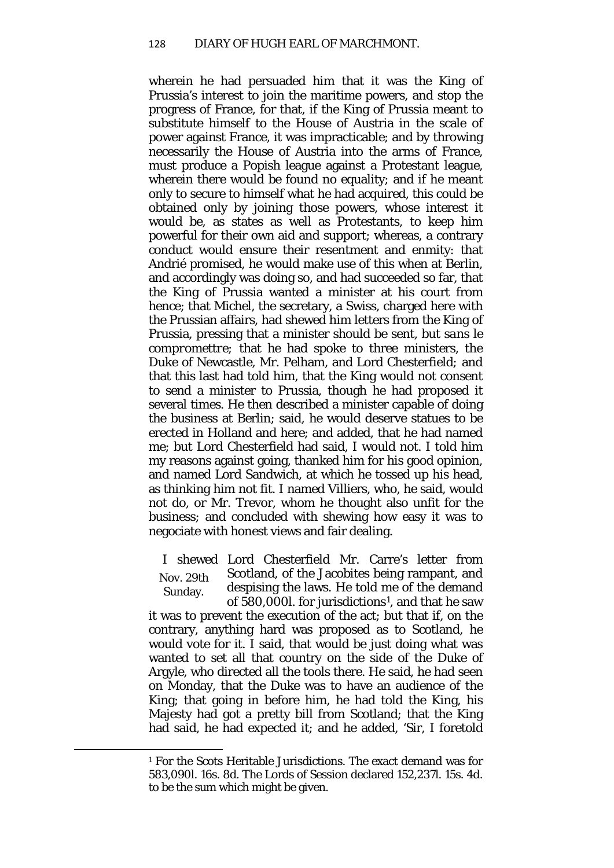wherein he had persuaded him that it was the King of Prussia's interest to join the maritime powers, and stop the progress of France, for that, if the King of Prussia meant to substitute himself to the House of Austria in the scale of power against France, it was impracticable; and by throwing necessarily the House of Austria into the arms of France, must produce a Popish league against a Protestant league, wherein there would be found no equality; and if he meant only to secure to himself what he had acquired, this could be obtained only by joining those powers, whose interest it would be, as states as well as Protestants, to keep him powerful for their own aid and support; whereas, a contrary conduct would ensure their resentment and enmity: that Andrié promised, he would make use of this when at Berlin, and accordingly was doing so, and had succeeded so far, that the King of Prussia wanted a minister at his court from hence; that Michel, the secretary, a Swiss, charged here with the Prussian affairs, had shewed him letters from the King of Prussia, pressing that a minister should be sent, but *sans le compromettre;* that he had spoke to three ministers, the Duke of Newcastle, Mr. Pelham, and Lord Chesterfield*;* and that this last had told him, that the King would not consent to send a minister to Prussia, though he had proposed it several times. He then described a minister capable of doing the business at Berlin; said, he would deserve statues to be erected in Holland and here; and added, that he had named me; but Lord Chesterfield had said, I would not. I told him my reasons against going, thanked him for his good opinion, and named Lord Sandwich, at which he tossed up his head, as thinking him not fit. I named Villiers, who, he said, would not do, or Mr. Trevor, whom he thought also unfit for the business; and concluded with shewing how easy it was to negociate with honest views and fair dealing.

Nov. 29th Sunday. I shewed Lord Chesterfield Mr. Carre's letter from Scotland, of the Jacobites being rampant, and despising the laws. He told me of the demand of 580,000*l*. for jurisdictions[1](#page-73-0), and that he saw

it was to prevent the execution of the act; but that if, on the contrary, anything hard was proposed as to Scotland, he would vote for it. I said, that would be just doing what was wanted to set all that country on the side of the Duke of Argyle, who directed all the tools there. He said, he had seen on Monday, that the Duke was to have an audience of the King; that going in before him, he had told the King, his Majesty had got a pretty bill from Scotland; that the King had said, he had expected it; and he added, 'Sir, I foretold

<span id="page-73-0"></span>**.** 

<sup>1</sup> For the Scots Heritable Jurisdictions. The exact demand was for 583,090*l*. 16*s*. 8*d*. The Lords of Session declared 152,237*l*. 15s. 4*d.*  to be the sum which might be given.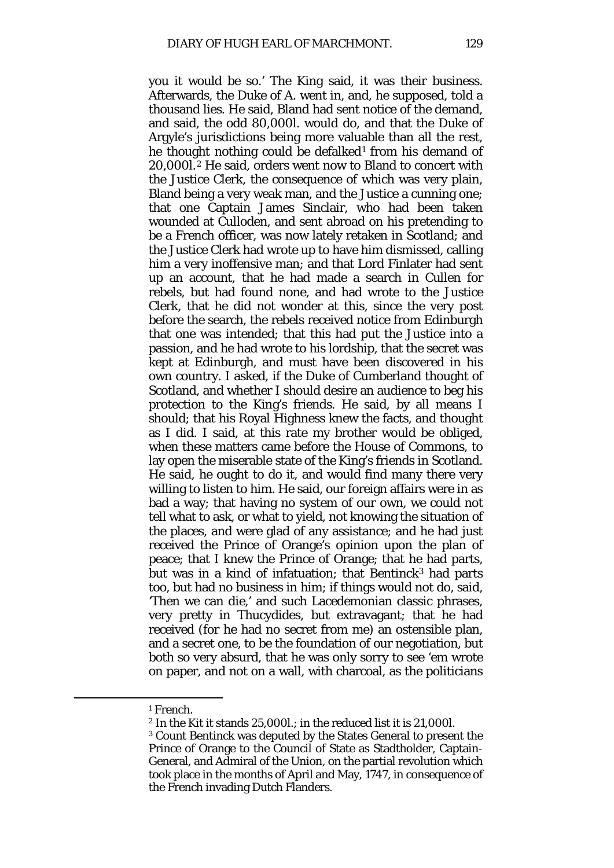you it would be so.' The King said, it was their business. Afterwards, the Duke of A. went in, and, he supposed, told a thousand lies. He said, Bland had sent notice of the demand, and said, the odd 80,000*l*. would do, and that the Duke of Argyle's jurisdictions being more valuable than all the rest, he thought nothing could be defalked<sup>[1](#page-74-0)</sup> from his demand of 20,000*l*.[2](#page-74-1) He said, orders went now to Bland to concert with the Justice Clerk, the consequence of which was very plain, Bland being a very weak man, and the Justice a cunning one; that one Captain James Sinclair, who had been taken wounded at Culloden, and sent abroad on his pretending to be a French officer, was now lately retaken in Scotland; and the Justice Clerk had wrote up to have him dismissed, calling him a very inoffensive man; and that Lord Finlater had sent up an account, that he had made a search in Cullen for rebels, but had found none, and had wrote to the Justice Clerk, that he did not wonder at this, since the very post before the search, the rebels received notice from Edinburgh that one was intended; that this had put the Justice into a passion, and he had wrote to his lordship, that the secret was kept at Edinburgh, and must have been discovered in his own country. I asked, if the Duke of Cumberland thought of Scotland, and whether I should desire an audience to beg his protection to the King's friends. He said, by all means I should; that his Royal Highness knew the facts, and thought as I did. I said, at this rate my brother would be obliged, when these matters came before the House of Commons, to lay open the miserable state of the King's friends in Scotland. He said, he ought to do it, and would find many there very willing to listen to him. He said, our foreign affairs were in as bad a way; that having no system of our own, we could not tell what to ask, or what to yield, not knowing the situation of the places, and were glad of any assistance; and he had just received the Prince of Orange's opinion upon the plan of peace; that I knew the Prince of Orange; that he had parts, but was in a kind of infatuation; that Bentinck<sup>[3](#page-74-2)</sup> had parts too, but had no business in him; if things would not do, said, 'Then we can die,' and such Lacedemonian classic phrases, very pretty in Thucydides, but extravagant; that he had received (for he had no secret from me) an ostensible plan, and a secret one, to be the foundation of our negotiation, but both so very absurd, that he was only sorry to see 'em wrote on paper, and not on a wall, with charcoal, as the politicians

<span id="page-74-0"></span><sup>1</sup> French.

<sup>2</sup> In the Kit it stands 25,000*l*.; in the reduced list it is 21,000*l*.

<span id="page-74-2"></span><span id="page-74-1"></span><sup>3</sup> Count Bentinck was deputed by the States General to present the Prince of Orange to the Council of State as Stadtholder, Captain-General, and Admiral of the Union, on the partial revolution which took place in the months of April and May, 1747, in consequence of the French invading Dutch Flanders.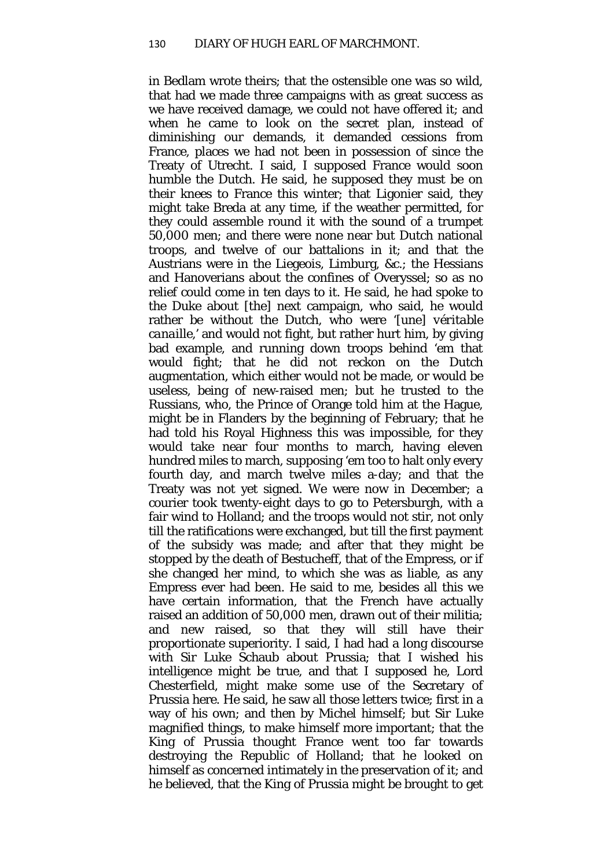in Bedlam wrote theirs; that the ostensible one was so wild, that had we made three campaigns with as great success as we have received damage, we could not have offered it; and when he came to look on the secret plan, instead of diminishing our demands, it demanded cessions from France, places we had not been in possession of since the Treaty of Utrecht. I said, I supposed France would soon humble the Dutch. He said, he supposed they must be on their knees to France this winter; that Ligonier said, they might take Breda at any time, if the weather permitted, for they could assemble round it with the sound of a trumpet 50,000 men; and there were none near but Dutch national troops, and twelve of our battalions in it; and that the Austrians were in the Liegeois, Limburg, &c.; the Hessians and Hanoverians about the confines of Overyssel; so as no relief could come in ten days to it. He said, he had spoke to the Duke about [the] next campaign, who said, he would rather be without the Dutch, who were '*[une] véritable canaille,'* and would not fight, but rather hurt him, by giving bad example, and running down troops behind 'em that would fight; that he did not reckon on the Dutch augmentation, which either would not be made, or would be useless, being of new-raised men; but he trusted to the Russians, who, the Prince of Orange told him at the Hague, might be in Flanders by the beginning of February; that he had told his Royal Highness this was impossible, for they would take near four months to march, having eleven hundred miles to march, supposing 'em too to halt only every fourth day, and march twelve miles a-day; and that the Treaty was not yet signed. We were now in December; a courier took twenty-eight days to go to Petersburgh, with a fair wind to Holland; and the troops would not stir, not only till the ratifications were exchanged, but till the first payment of the subsidy was made; and after that they might be stopped by the death of Bestucheff, that of the Empress, or if she changed her mind, to which she was as liable, as any Empress ever had been. He said to me, besides all this we have certain information, that the French have actually raised an addition of 50,000 men, drawn out of their militia; and new raised, so that they will still have their proportionate superiority. I said, I had had a long discourse with Sir Luke Schaub about Prussia*;* that I wished his intelligence might be true, and that I supposed he, Lord Chesterfield, might make some use of the Secretary of Prussia here. He said, he saw all those letters twice; first in a way of his own; and then by Michel himself; but Sir Luke magnified things, to make himself more important; that the King of Prussia thought France went too far towards destroying the Republic of Holland; that he looked on himself as concerned intimately in the preservation of it; and he believed, that the King of Prussia might be brought to get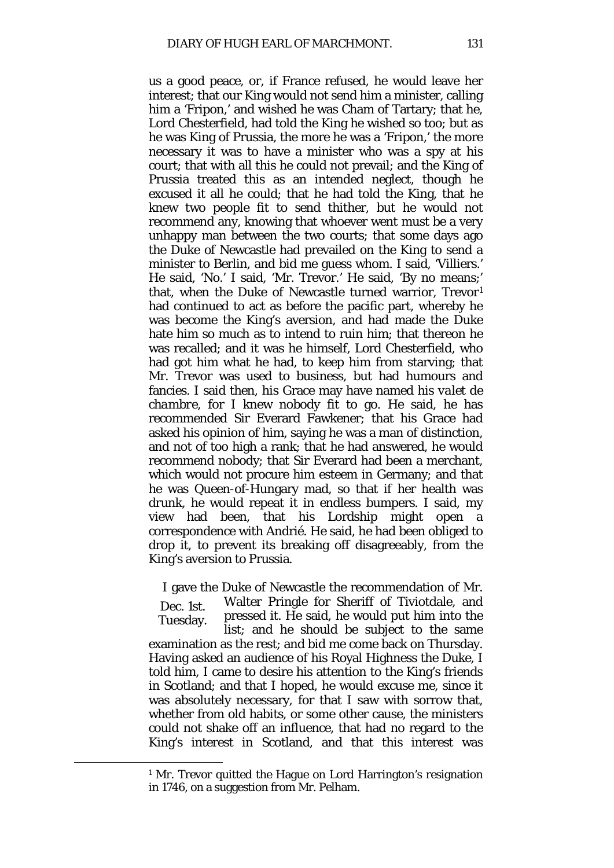us a good peace, or, if France refused, he would leave her interest; that our King would not send him a minister, calling him a 'Fripon,' and wished he was Cham of Tartary; that he, Lord Chesterfield, had told the King he wished so too; but as he was King of Prussia, the more he was a 'Fripon,' the more necessary it was to have a minister who was a spy at his court; that with all this he could not prevail; and the King of Prussia treated this as an intended neglect, though he excused it all he could; that he had told the King, that he knew two people fit to send thither, but he would not recommend any, knowing that whoever went must be a very unhappy man between the two courts; that some days ago the Duke of Newcastle had prevailed on the King to send a minister to Berlin, and bid me guess whom. I said, 'Villiers.' He said, 'No.' I said, 'Mr. Trevor.' He said, 'By no means;' that, when the Duke of Newcastle turned warrior, Trevor[1](#page-76-0) had continued to act as before the pacific part, whereby he was become the King's aversion, and had made the Duke hate him so much as to intend to ruin him; that thereon he was recalled; and it was he himself, Lord Chesterfield, who had got him what he had, to keep him from starving; that Mr. Trevor was used to business, but had humours and fancies. I said then, his Grace may have named his *valet de chambre,* for I knew nobody fit to go. He said, he has recommended Sir Everard Fawkener; that his Grace had asked his opinion of him, saying he was a man of distinction, and not of too high a rank; that he had answered, he would recommend nobody; that Sir Everard had been a merchant, which would not procure him esteem in Germany; and that he was Queen-of-Hungary mad, so that if her health was drunk, he would repeat it in endless bumpers. I said, my view had been, that his Lordship might open a correspondence with Andrié. He said, he had been obliged to drop it, to prevent its breaking off disagreeably, from the King's aversion to Prussia.

I gave the Duke of Newcastle the recommendation of Mr.

Dec. 1st. Tuesday.

<span id="page-76-0"></span> $\overline{a}$ 

Walter Pringle for Sheriff of Tiviotdale, and pressed it. He said, he would put him into the list; and he should be subject to the same

examination as the rest; and bid me come back on Thursday. Having asked an audience of his Royal Highness the Duke, I told him, I came to desire his attention to the King's friends in Scotland; and that I hoped, he would excuse me, since it was absolutely necessary, for that I saw with sorrow that, whether from old habits, or some other cause, the ministers could not shake off an influence, that had no regard to the King's interest in Scotland, and that this interest was

<sup>1</sup> Mr. Trevor quitted the Hague on Lord Harrington's resignation in 1746, on a suggestion from Mr. Pelham.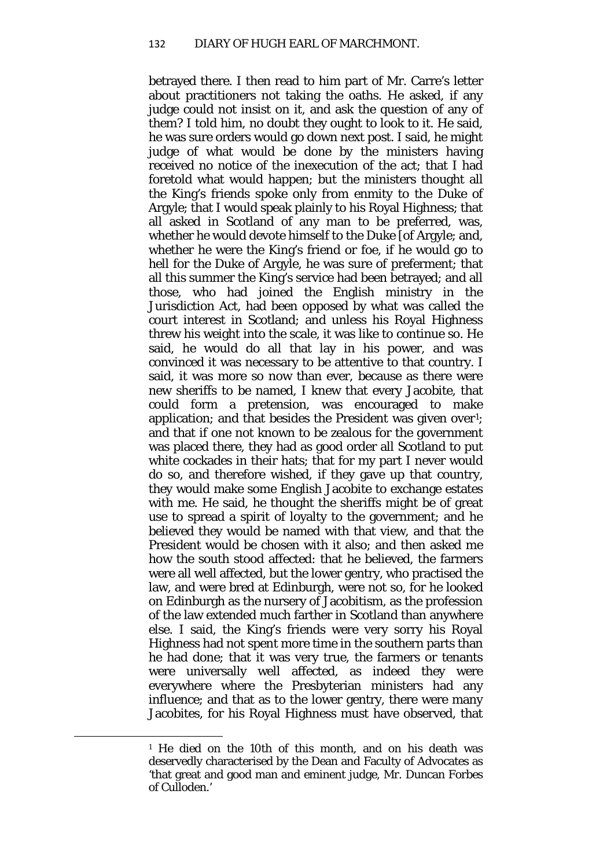betrayed there. I then read to him part of Mr. Carre's letter about practitioners not taking the oaths. He asked, if any judge could not insist on it, and ask the question of any of them? I told him, no doubt they ought to look to it. He said, he was sure orders would go down next post. I said, he might judge of what would be done by the ministers having received no notice of the inexecution of the act; that I had foretold what would happen; but the ministers thought all the King's friends spoke only from enmity to the Duke of Argyle; that I would speak plainly to his Royal Highness; that all asked in Scotland of any man to be preferred, was, whether he would devote himself to the Duke [of Argyle; and, whether he were the King's friend or foe, if he would go to hell for the Duke of Argyle, he was sure of preferment; that all this summer the King's service had been betrayed; and all those, who had joined the English ministry in the Jurisdiction Act, had been opposed by what was called the court interest in Scotland; and unless his Royal Highness threw his weight into the scale, it was like to continue so. He said, he would do all that lay in his power, and was convinced it was necessary to be attentive to that country. I said, it was more so now than ever, because as there were new sheriffs to be named, I knew that every Jacobite, that could form a pretension, was encouraged to make application; and that besides the President was given over<sup>[1](#page-77-0)</sup>; and that if one not known to be zealous for the government was placed there, they had as good order all Scotland to put white cockades in their hats; that for my part I never would do so, and therefore wished, if they gave up that country, they would make some English Jacobite to exchange estates with me. He said, he thought the sheriffs might be of great use to spread a spirit of loyalty to the government; and he believed they would be named with that view, and that the President would be chosen with it also; and then asked me how the south stood affected: that he believed, the farmers were all well affected, but the lower gentry, who practised the law, and were bred at Edinburgh, were not so, for he looked on Edinburgh as the nursery of Jacobitism, as the profession of the law extended much farther in Scotland than anywhere else. I said, the King's friends were very sorry his Royal Highness had not spent more time in the southern parts than he had done; that it was very true, the farmers or tenants were universally well affected, as indeed they were everywhere where the Presbyterian ministers had any influence; and that as to the lower gentry, there were many Jacobites, for his Royal Highness must have observed, that

<span id="page-77-0"></span><sup>1</sup> He died on the 10th of this month, and on his death was deservedly characterised by the Dean and Faculty of Advocates as 'that great and good man and eminent judge, Mr. Duncan Forbes of Culloden.'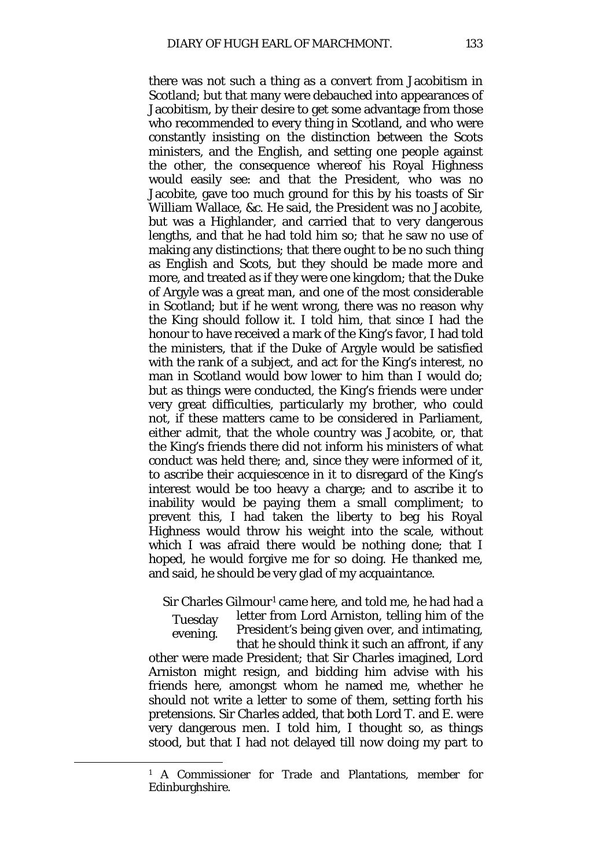there was not such a thing as a convert from Jacobitism in Scotland; but that many were debauched into appearances of Jacobitism, by their desire to get some advantage from those who recommended to every thing in Scotland, and who were constantly insisting on the distinction between the Scots ministers, and the English, and setting one people against the other, the consequence whereof his Royal Highness would easily see: and that the President, who was no Jacobite, gave too much ground for this by his toasts of Sir William Wallace, &c. He said, the President was no Jacobite, but was a Highlander, and carried that to very dangerous lengths, and that he had told him so; that he saw no use of making any distinctions; that there ought to be no such thing as English and Scots, but they should be made more and more, and treated as if they were one kingdom; that the Duke of Argyle was a great man, and one of the most considerable in Scotland; but if he went wrong, there was no reason why the King should follow it. I told him, that since I had the honour to have received a mark of the King's favor, I had told the ministers, that if the Duke of Argyle would be satisfied with the rank of a subject, and act for the King's interest, no man in Scotland would bow lower to him than I would do; but as things were conducted, the King's friends were under very great difficulties, particularly my brother, who could not, if these matters came to be considered in Parliament, either admit, that the whole country was Jacobite, or, that the King's friends there did not inform his ministers of what conduct was held there; and, since they were informed of it, to ascribe their acquiescence in it to disregard of the King's interest would be too heavy a charge; and to ascribe it to inability would be paying them a small compliment; to prevent this, I had taken the liberty to beg his Royal Highness would throw his weight into the scale, without which I was afraid there would be nothing done; that I hoped, he would forgive me for so doing. He thanked me, and said, he should be very glad of my acquaintance.

Sir Charles Gilmour<sup>[1](#page-78-0)</sup> came here, and told me, he had had a

Tuesday evening. letter from Lord Arniston, telling him of the President's being given over, and intimating, that he should think it such an affront, if any

other were made President; that Sir Charles imagined, Lord Arniston might resign, and bidding him advise with his friends here, amongst whom he named me, whether he should not write a letter to some of them, setting forth his pretensions. Sir Charles added, that both Lord T. and E. were very dangerous men. I told him, I thought so, as things stood, but that I had not delayed till now doing my part to

<span id="page-78-0"></span><sup>1</sup> A Commissioner for Trade and Plantations, member for Edinburghshire.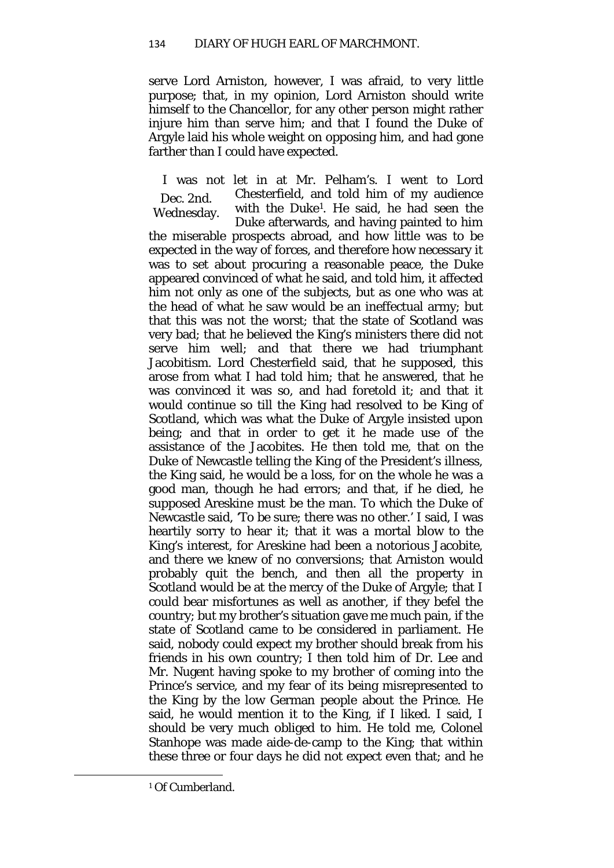serve Lord Arniston, however, I was afraid, to very little purpose; that, in my opinion, Lord Arniston should write himself to the Chancellor, for any other person might rather injure him than serve him; and that I found the Duke of Argyle laid his whole weight on opposing him, and had gone farther than I could have expected.

Dec. 2nd. Wednesday. I was not let in at Mr. Pelham's. I went to Lord Chesterfield, and told him of my audience with the Duk[e1.](#page-79-0) He said, he had seen the Duke afterwards, and having painted to him the miserable prospects abroad, and how little was to be expected in the way of forces, and therefore how necessary it was to set about procuring a reasonable peace, the Duke appeared convinced of what he said, and told him, it affected him not only as one of the subjects, but as one who was at the head of what he saw would be an ineffectual army; but that this was not the worst; that the state of Scotland was very bad; that he believed the King's ministers there did not serve him well; and that there we had triumphant Jacobitism. Lord Chesterfield said, that he supposed, this arose from what I had told him; that he answered, that he was convinced it was so, and had foretold it; and that it would continue so till the King had resolved to be King of Scotland, which was what the Duke of Argyle insisted upon being; and that in order to get it he made use of the assistance of the Jacobites. He then told me, that on the Duke of Newcastle telling the King of the President's illness, the King said, he would be a loss, for on the whole he was a good man, though he had errors; and that, if he died, he supposed Areskine must be the man. To which the Duke of Newcastle said, 'To be sure; there was no other.' I said, I was heartily sorry to hear it; that it was a mortal blow to the King's interest, for Areskine had been a notorious Jacobite, and there we knew of no conversions; that Arniston would probably quit the bench, and then all the property in Scotland would be at the mercy of the Duke of Argyle; that I could bear misfortunes as well as another, if they befel the country; but my brother's situation gave me much pain, if the state of Scotland came to be considered in parliament. He said, nobody could expect my brother should break from his friends in his own country; I then told him of Dr. Lee and Mr. Nugent having spoke to my brother of coming into the Prince's service, and my fear of its being misrepresented to the King by the low German people about the Prince. He said, he would mention it to the King, if I liked. I said, I should be very much obliged to him. He told me, Colonel Stanhope was made aide-de-camp to the King; that within these three or four days he did not expect even that; and he

<span id="page-79-0"></span><sup>1</sup> Of Cumberland.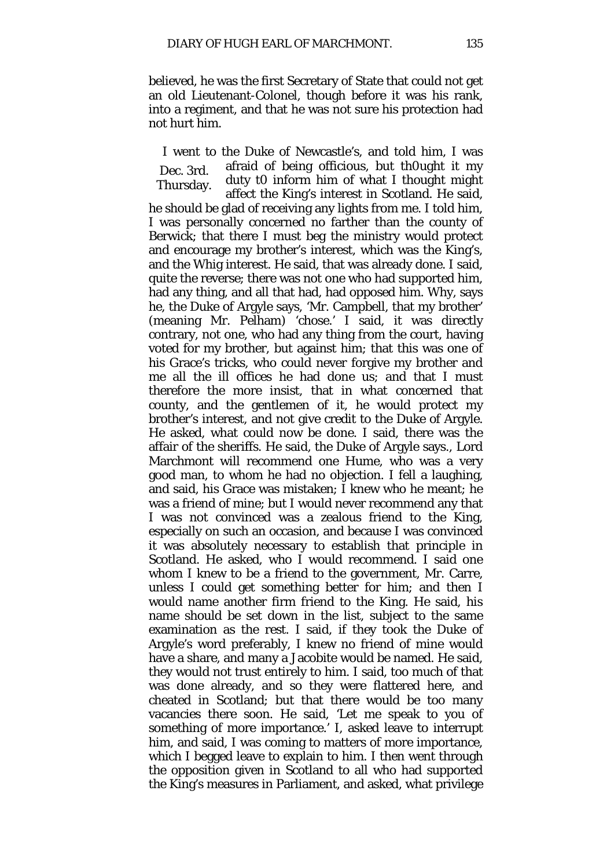believed, he was the first Secretary of State that could not get an old Lieutenant-Colonel, though before it was his rank, into a regiment, and that he was not sure his protection had not hurt him.

Dec. 3rd. Thursday. I went to the Duke of Newcastle's, and told him, I was afraid of being officious, but th0ught it my duty t0 inform him of what I thought might affect the King's interest in Scotland. He said, he should be glad of receiving any lights from me. I told him, I was personally concerned no farther than the county of Berwick; that there I must beg the ministry would protect and encourage my brother's interest, which was the King's, and the Whig interest. He said, that was already done. I said, quite the reverse; there was not one who had supported him, had any thing, and all that had, had opposed him. Why, says he, the Duke of Argyle says, 'Mr. Campbell, that my brother' (meaning Mr. Pelham) 'chose.' I said, it was directly contrary, not one, who had any thing from the court, having voted for my brother, but against him; that this was one of his Grace's tricks, who could never forgive my brother and me all the ill offices he had done us; and that I must therefore the more insist, that in what concerned that county, and the gentlemen of it, he would protect my brother's interest, and not give credit to the Duke of Argyle. He asked, what could now be done. I said, there was the affair of the sheriffs. He said, the Duke of Argyle says., Lord Marchmont will recommend one Hume, who was a very good man, to whom he had no objection. I fell a laughing, and said, his Grace was mistaken; I knew who he meant; he was a friend of mine; but I would never recommend any that I was not convinced was a zealous friend to the King, especially on such an occasion, and because I was convinced it was absolutely necessary to establish that principle in Scotland. He asked, who I would recommend. I said one whom I knew to be a friend to the government, Mr. Carre, unless I could get something better for him; and then I would name another firm friend to the King. He said, his name should be set down in the list, subject to the same examination as the rest. I said, if they took the Duke of Argyle's word preferably, I knew no friend of mine would have a share, and many a Jacobite would be named. He said, they would not trust entirely to him. I said, too much of that was done already, and so they were flattered here, and cheated in Scotland; but that there would be too many vacancies there soon. He said, 'Let me speak to you of something of more importance.' I, asked leave to interrupt him, and said, I was coming to matters of more importance, which I begged leave to explain to him. I then went through the opposition given in Scotland to all who had supported the King's measures in Parliament, and asked, what privilege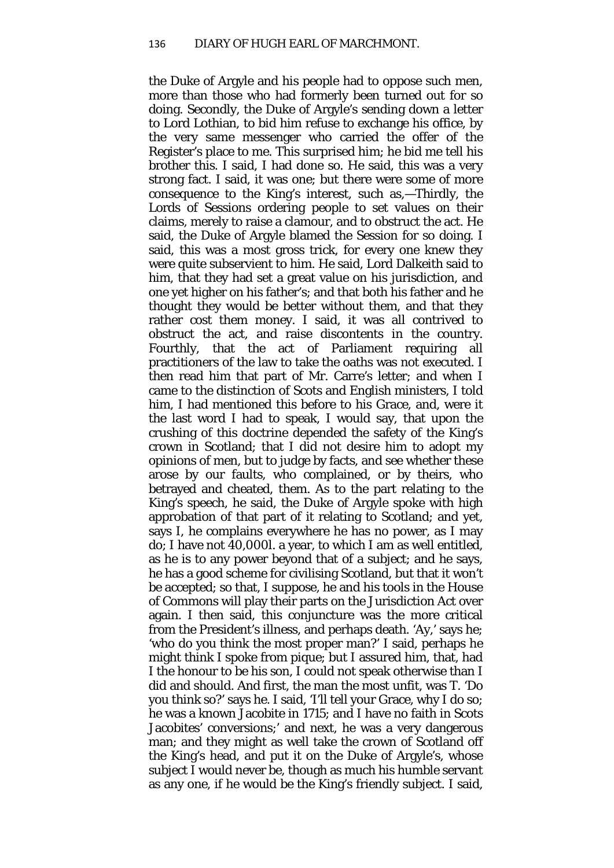the Duke of Argyle and his people had to oppose such men, more than those who had formerly been turned out for so doing. Secondly, the Duke of Argyle's sending down a letter to Lord Lothian, to bid him refuse to exchange his office, by the very same messenger who carried the offer of the Register's place to me. This surprised him; he bid me tell his brother this. I said, I had done so. He said, this was a very strong fact. I said, it was one; but there were some of more consequence to the King's interest, such as,—Thirdly, the Lords of Sessions ordering people to set values on their claims, merely to raise a clamour, and to obstruct the act. He said, the Duke of Argyle blamed the Session for so doing. I said, this was a most gross trick, for every one knew they were quite subservient to him. He said, Lord Dalkeith said to him, that they had set a great value on his jurisdiction, and one yet higher on his father's; and that both his father and he thought they would be better without them, and that they rather cost them money. I said, it was all contrived to obstruct the act, and raise discontents in the country. Fourthly, that the act of Parliament requiring all practitioners of the law to take the oaths was not executed. I then read him that part of Mr. Carre's letter; and when I came to the distinction of Scots and English ministers, I told him, I had mentioned this before to his Grace, and, were it the last word I had to speak, I would say, that upon the crushing of this doctrine depended the safety of the King's crown in Scotland; that I did not desire him to adopt my opinions of men, but to judge by facts, and see whether these arose by our faults, who complained, or by theirs, who betrayed and cheated, them. As to the part relating to the King's speech, he said, the Duke of Argyle spoke with high approbation of that part of it relating to Scotland; and yet, says I, he complains everywhere he has no power, as I may do; I have not 40,000*l*. a year, to which I am as well entitled, as he is to any power beyond that of a subject; and he says, he has a good scheme for civilising Scotland, but that it won't be accepted; so that, I suppose, he and his tools in the House of Commons will play their parts on the Jurisdiction Act over again. I then said, this conjuncture was the more critical from the President's illness, and perhaps death. 'Ay,' says he; 'who do you think the most proper man?' I said, perhaps he might think I spoke from pique; but I assured him, that, had I the honour to be his son, I could not speak otherwise than I did and should. And first, the man the most unfit, was T. 'Do you think so?' says he. I said, 'I'll tell your Grace, why I do so; he was a known Jacobite in 1715; and I have no faith in Scots Jacobites' conversions;' and next, he was a very dangerous man; and they might as well take the crown of Scotland off the King's head, and put it on the Duke of Argyle's, whose subject I would never be, though as much his humble servant as any one, if he would be the King's friendly subject. I said,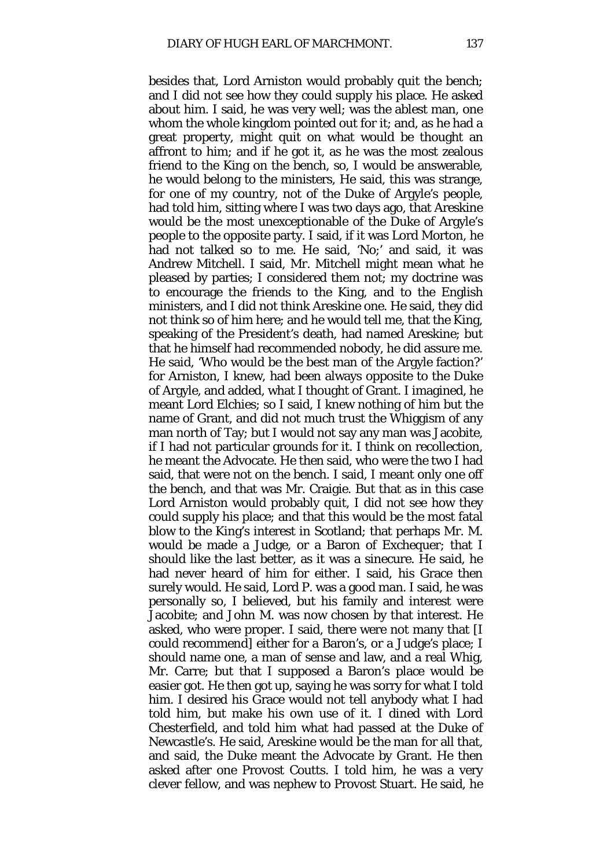besides that, Lord Arniston would probably quit the bench; and I did not see how they could supply his place. He asked about him. I said, he was very well; was the ablest man, one whom the whole kingdom pointed out for it; and, as he had a great property, might quit on what would be thought an affront to him; and if he got it, as he was the most zealous friend to the King on the bench, so, I would be answerable, he would belong to the ministers, He said, this was strange, for one of my country, not of the Duke of Argyle's people, had told him, sitting where I was two days ago, that Areskine would be the most unexceptionable of the Duke of Argyle's people to the opposite party. I said, if it was Lord Morton, he had not talked so to me. He said, 'No;' and said, it was Andrew Mitchell. I said, Mr. Mitchell might mean what he pleased by parties; I considered them not; my doctrine was to encourage the friends to the King, and to the English ministers, and I did not think Areskine one. He said, they did not think so of him here; and he would tell me, that the King, speaking of the President's death, had named Areskine; but that he himself had recommended nobody, he did assure me. He said, 'Who would be the best man of the Argyle faction?' for Arniston, I knew, had been always opposite to the Duke of Argyle, and added, what I thought of Grant. I imagined, he meant Lord Elchies; so I said, I knew nothing of him but the name of Grant, and did not much trust the Whiggism of any man north of Tay; but I would not say any man was Jacobite, if I had not particular grounds for it. I think on recollection, he meant the Advocate. He then said, who were the two I had said, that were not on the bench. I said, I meant only one off the bench, and that was Mr. Craigie. But that as in this case Lord Arniston would probably quit, I did not see how they could supply his place; and that this would be the most fatal blow to the King's interest in Scotland; that perhaps Mr. M. would be made a Judge, or a Baron of Exchequer; that I should like the last better, as it was a sinecure. He said, he had never heard of him for either. I said, his Grace then surely would. He said, Lord P. was a good man. I said, he was personally so, I believed, but his family and interest were Jacobite; and John M. was now chosen by that interest. He asked, who were proper. I said, there were not many that [I could recommend] either for a Baron's, or a Judge's place; I should name one, a man of sense and law, and a real Whig, Mr. Carre; but that I supposed a Baron's place would be easier got. He then got up, saying he was sorry for what I told him. I desired his Grace would not tell anybody what I had told him, but make his own use of it. I dined with Lord Chesterfield, and told him what had passed at the Duke of Newcastle's. He said, Areskine would be the man for all that, and said, the Duke meant the Advocate by Grant. He then asked after one Provost Coutts. I told him, he was a very clever fellow, and was nephew to Provost Stuart. He said, he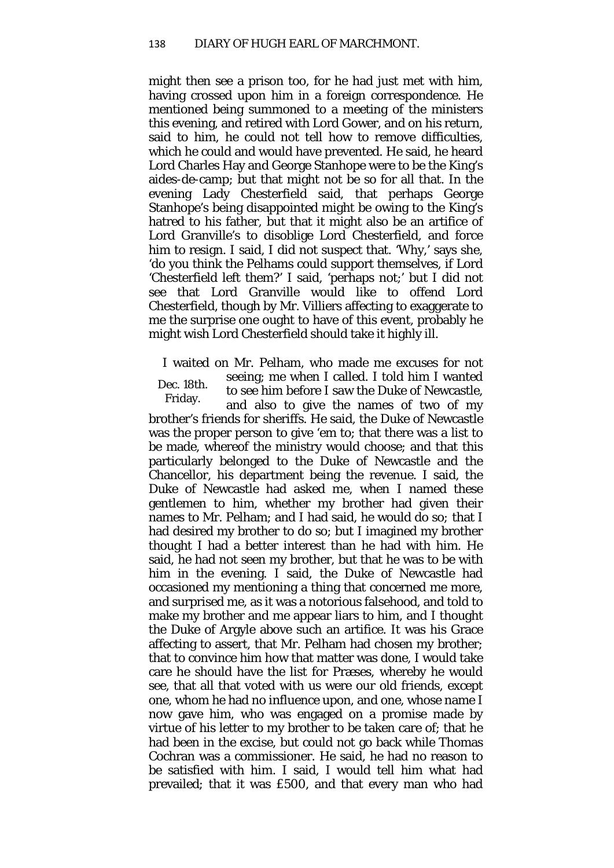might then see a prison too, for he had just met with him, having crossed upon him in a foreign correspondence. He mentioned being summoned to a meeting of the ministers this evening, and retired with Lord Gower, and on his return, said to him, he could not tell how to remove difficulties, which he could and would have prevented. He said, he heard Lord Charles Hay and George Stanhope were to be the King's aides-de-camp; but that might not be so for all that. In the evening Lady Chesterfield said, that perhaps George Stanhope's being disappointed might be owing to the King's hatred to his father, but that it might also be an artifice of Lord Granville's to disoblige Lord Chesterfield, and force him to resign. I said, I did not suspect that. 'Why,' says she, 'do you think the Pelhams could support themselves, if Lord 'Chesterfield left them?' I said, 'perhaps not;' but I did not see that Lord Granville would like to offend Lord Chesterfield, though by Mr. Villiers affecting to exaggerate to me the surprise one ought to have of this event, probably he might wish Lord Chesterfield should take it highly ill.

Dec. 18th. Friday. I waited on Mr. Pelham, who made me excuses for not seeing; me when I called. I told him I wanted to see him before I saw the Duke of Newcastle, and also to give the names of two of my brother's friends for sheriffs. He said, the Duke of Newcastle was the proper person to give 'em to; that there was a list to be made, whereof the ministry would choose; and that this particularly belonged to the Duke of Newcastle and the Chancellor, his department being the revenue. I said, the Duke of Newcastle had asked me, when I named these gentlemen to him, whether my brother had given their names to Mr. Pelham; and I had said, he would do so*;* that I had desired my brother to do so; but I imagined my brother thought I had a better interest than he had with him. He said, he had not seen my brother, but that he was to be with him in the evening. I said, the Duke of Newcastle had occasioned my mentioning a thing that concerned me more, and surprised me, as it was a notorious falsehood, and told to make my brother and me appear liars to him, and I thought the Duke of Argyle above such an artifice. It was his Grace affecting to assert, that Mr. Pelham had chosen my brother; that to convince him how that matter was done, I would take care he should have the list for Præses, whereby he would see, that all that voted with us were our old friends, except one, whom he had no influence upon, and one, whose name I now gave him, who was engaged on a promise made by virtue of his letter to my brother to be taken care of; that he had been in the excise, but could not go back while Thomas Cochran was a commissioner. He said, he had no reason to be satisfied with him. I said, I would tell him what had prevailed; that it was £500, and that every man who had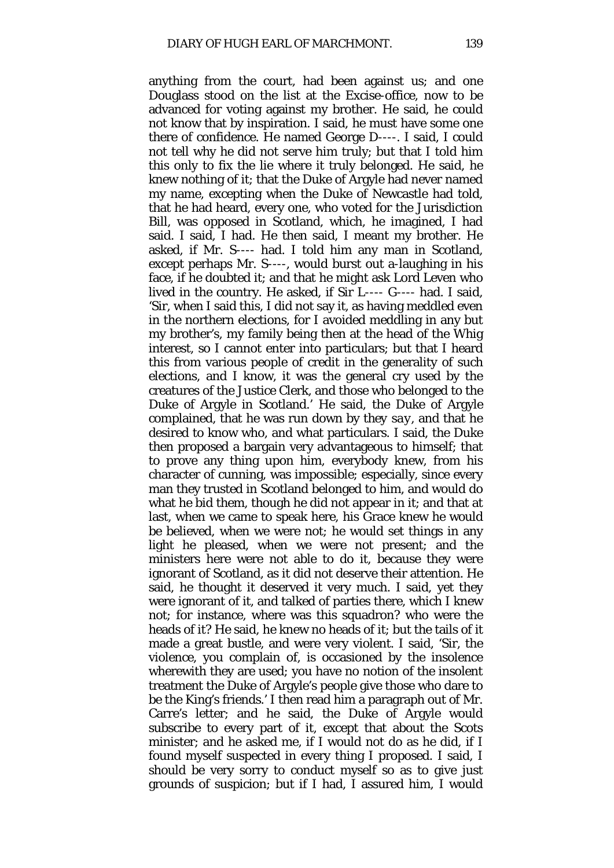anything from the court, had been against us; and one Douglass stood on the list at the Excise-office, now to be advanced for voting against my brother. He said, he could not know that by inspiration. I said, he must have some one there of confidence. He named George D----. I said, I could not tell why he did not serve him truly; but that I told him this only to fix the lie where it truly belonged. He said, he knew nothing of it; that the Duke of Argyle had never named my name, excepting when the Duke of Newcastle had told, that he had heard, every one, who voted for the Jurisdiction Bill, was opposed in Scotland, which, he imagined, I had said. I said, I had. He then said, I meant my brother. He asked, if Mr. S---- had. I told him any man in Scotland, except perhaps Mr. S----, would burst out a-laughing in his face, if he doubted it; and that he might ask Lord Leven who lived in the country. He asked, if Sir L---- G---- had. I said, 'Sir, when I said this, I did not say it, as having meddled even in the northern elections, for I avoided meddling in any but my brother's, my family being then at the head of the Whig interest, so I cannot enter into particulars; but that I heard this from various people of credit in the generality of such elections, and I know, it was the general cry used by the creatures of the Justice Clerk, and those who belonged to the Duke of Argyle in Scotland.' He said, the Duke of Argyle complained, that he was run down by *they say,* and that he desired to know who, and what particulars. I said, the Duke then proposed a bargain very advantageous to himself; that to prove any thing upon him, everybody knew, from his character of cunning, was impossible; especially, since every man they trusted in Scotland belonged to him, and would do what he bid them, though he did not appear in it; and that at last, when we came to speak here, his Grace knew he would be believed, when we were not; he would set things in any light he pleased, when we were not present; and the ministers here were not able to do it, because they were ignorant of Scotland, as it did not deserve their attention. He said, he thought it deserved it very much. I said, yet they were ignorant of it, and talked of parties there, which I knew not; for instance, where was this squadron? who were the heads of it? He said, he knew no heads of it; but the tails of it made a great bustle, and were very violent. I said, 'Sir, the violence, you complain of, is occasioned by the insolence wherewith they are used; you have no notion of the insolent treatment the Duke of Argyle's people give those who dare to be the King's friends.' I then read him a paragraph out of Mr. Carre's letter; and he said, the Duke of Argyle would subscribe to every part of it, except that about the Scots minister; and he asked me, if I would not do as he did, if I found myself suspected in every thing I proposed. I said, I should be very sorry to conduct myself so as to give just grounds of suspicion; but if I had, I assured him, I would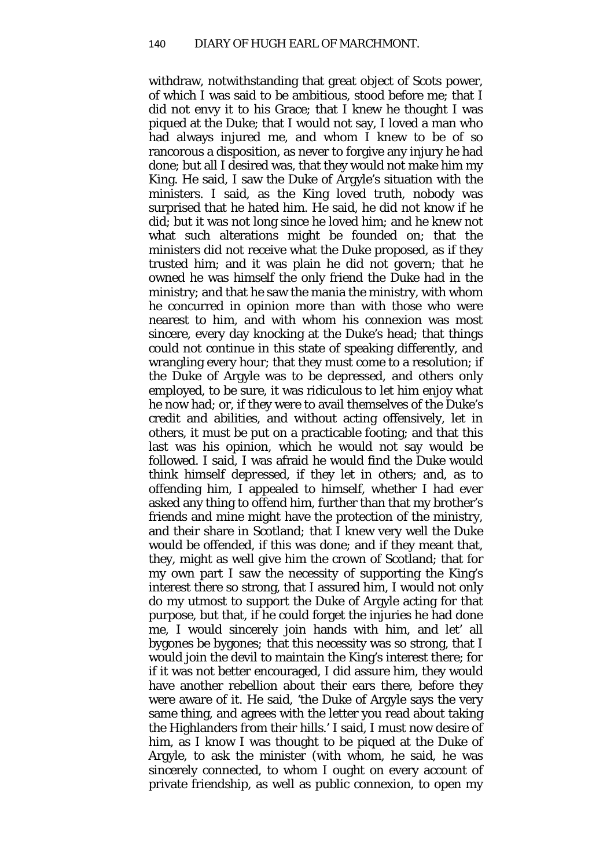withdraw, notwithstanding that great object of Scots power, of which I was said to be ambitious, stood before me; that I did not envy it to his Grace; that I knew he thought I was piqued at the Duke; that I would not say, I loved a man who had always injured me, and whom I knew to be of so rancorous a disposition, as never to forgive any injury he had done; but all I desired was, that they would not make him my King. He said, I saw the Duke of Argyle's situation with the ministers. I said, as the King loved truth, nobody was surprised that he hated him. He said, he did not know if he did; but it was not long since he loved him; and he knew not what such alterations might be founded on; that the ministers did not receive what the Duke proposed, as if they trusted him; and it was plain he did not govern; that he owned he was himself the only friend the Duke had in the ministry; and that he saw the mania the ministry, with whom he concurred in opinion more than with those who were nearest to him, and with whom his connexion was most sincere, every day knocking at the Duke's head; that things could not continue in this state of speaking differently, and wrangling every hour; that they must come to a resolution; if the Duke of Argyle was to be depressed, and others only employed, to be sure, it was ridiculous to let him enjoy what he now had; or, if they were to avail themselves of the Duke's credit and abilities, and without acting offensively, let in others, it must be put on a practicable footing; and that this last was his opinion, which he would not say would be followed. I said, I was afraid he would find the Duke would think himself *depressed,* if they let in others; and, as to offending him, I appealed to himself, whether I had ever asked any thing to offend him, further than that my brother's friends and mine might have the protection of the ministry, and their share in Scotland*;* that I knew very well the Duke would be offended, if this was done; and if they meant that, they, might as well give him the crown of Scotland; that for my own part I saw the necessity of supporting the King's interest there so strong, that I assured him, I would not only do my utmost to support the Duke of Argyle acting for that purpose, but that, if he could forget the injuries he had done me, I would sincerely join hands with him, and let' all bygones be bygones*;* that this necessity was so strong, that I would join the devil to maintain the King's interest there; for if it was not better encouraged, I did assure him, they would have another rebellion about their ears there, before they were aware of it. He said, 'the Duke of Argyle says the very same thing, and agrees with the letter you read about taking the Highlanders from their hills.' I said, I must now desire of him, as I know I was thought to be piqued at the Duke of Argyle, to ask the minister (with whom, he said, he was sincerely connected, to whom I ought on every account of private friendship, as well as public connexion, to open my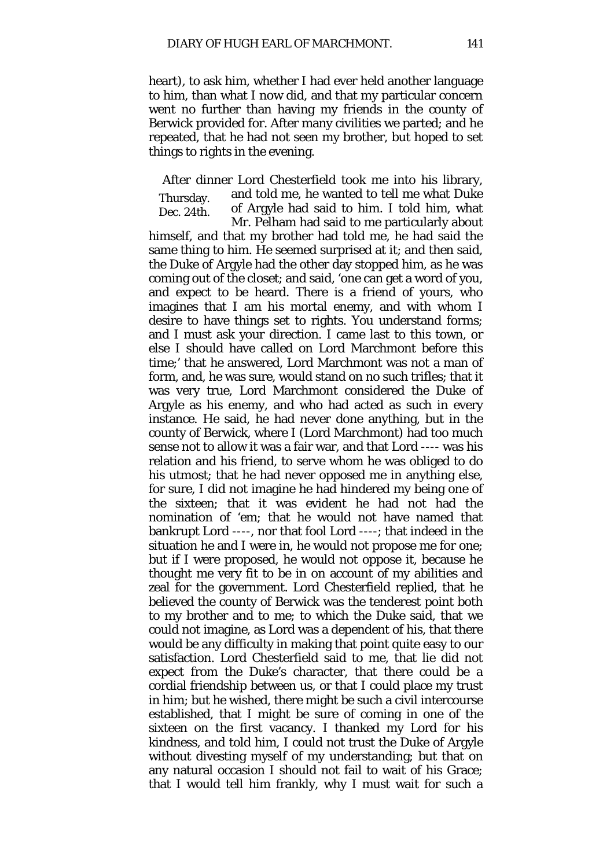heart), to ask him, whether I had ever held another language to him, than what I now did, and that my particular concern went no further than having my friends in the county of Berwick provided for. After many civilities we parted; and he repeated, that he had not seen my brother, but hoped to set things to rights in the evening.

Thursday. Dec. 24th. After dinner Lord Chesterfield took me into his library, and told me, he wanted to tell me what Duke of Argyle had said to him. I told him, what Mr. Pelham had said to me particularly about himself, and that my brother had told me, he had said the same thing to him. He seemed surprised at it; and then said, the Duke of Argyle had the other day stopped him, as he was coming out of the closet; and said, 'one can get a word of you, and expect to be heard. There is a friend of yours, who imagines that I am his mortal enemy, and with whom I desire to have things set to rights. You understand forms; and I must ask your direction. I came last to this town, or else I should have called on Lord Marchmont before this time;' that he answered, Lord Marchmont was not a man of form, and, he was sure, would stand on no such trifles; that it was very true, Lord Marchmont considered the Duke of Argyle as his enemy, and who had acted as such in every instance. He said, he had never done anything, but in the county of Berwick, where I (Lord Marchmont) had too much sense not to allow it was a fair war, and that Lord ---- was his relation and his friend, to serve whom he was obliged to do his utmost; that he had never opposed me in anything else, for sure, I did not imagine he had hindered my being one of the sixteen; that it was evident he had not had the nomination of 'em; that he would not have named that bankrupt Lord ----, nor that fool Lord ----; that indeed in the situation he and I were in, he would not propose me for one; but if I were proposed, he would not oppose it, because he thought me very fit to be in on account of my abilities and zeal for the government. Lord Chesterfield replied, that he believed the county of Berwick was the tenderest point both to my brother and to me; to which the Duke said, that we could not imagine, as Lord was a dependent of his, that there would be any difficulty in making that point quite easy to our satisfaction. Lord Chesterfield said to me, that lie did not expect from the Duke's character, that there could be a cordial friendship between us, or that I could place my trust in him; but he wished, there might be such a civil intercourse established, that I might be sure of coming in one of the sixteen on the first vacancy. I thanked my Lord for his kindness, and told him, I could not trust the Duke of Argyle without divesting myself of my understanding; but that on any natural occasion I should not fail to wait of his Grace; that I would tell him frankly, why I must wait for such a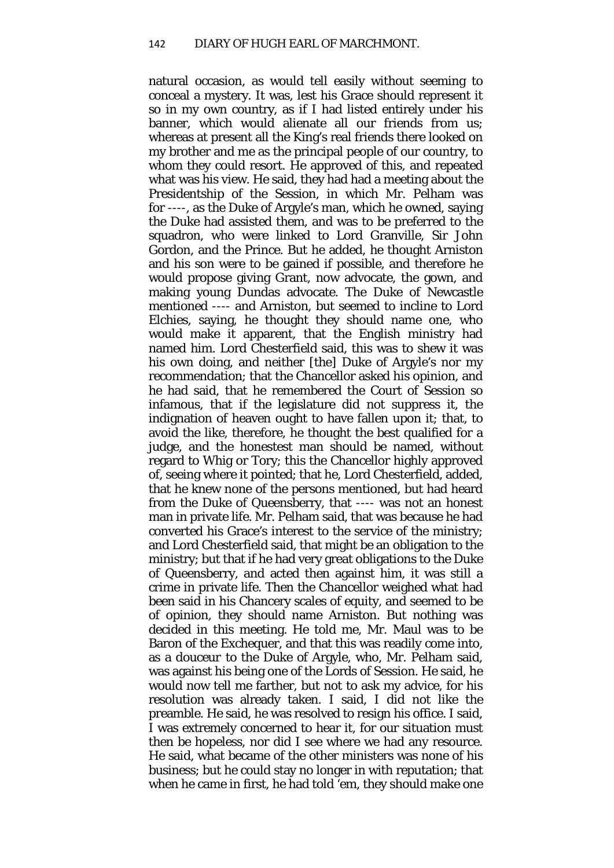natural occasion, as would tell easily without seeming to conceal a mystery. It was, lest his Grace should represent it so in my own country, as if I had listed entirely under his banner, which would alienate all our friends from us; whereas at present all the King's real friends there looked on my brother and me as the principal people of our country, to whom they could resort. He approved of this, and repeated what was his view. He said, they had had a meeting about the Presidentship of the Session, in which Mr. Pelham was for ----, as the Duke of Argyle's man, which he owned, saying the Duke had assisted them, and was to be preferred to the squadron, who were linked to Lord Granville, Sir John Gordon, and the Prince. But he added, he thought Arniston and his son were to be gained if possible, and therefore he would propose giving Grant, now advocate, the gown, and making young Dundas advocate. The Duke of Newcastle mentioned ---- and Arniston, but seemed to incline to Lord Elchies, saying, he thought they should name one, who would make it apparent, that the English ministry had named him. Lord Chesterfield said, this was to shew it was his own doing, and neither [the] Duke of Argyle's nor my recommendation; that the Chancellor asked his opinion, and he had said, that he remembered the Court of Session so infamous, that if the legislature did not suppress it, the indignation of heaven ought to have fallen upon it; that, to avoid the like, therefore, he thought the best qualified for a judge, and the honestest man should be named, without regard to Whig or Tory; this the Chancellor highly approved of, seeing where it pointed; that he, Lord Chesterfield, added, that he knew none of the persons mentioned, but had heard from the Duke of Queensberry, that ---- was not an honest man in private life. Mr. Pelham said, that was because he had converted his Grace's interest to the service of the ministry; and Lord Chesterfield said, that might be an obligation to the ministry; but that if he had very great obligations to the Duke of Queensberry, and acted then against him, it was still a crime in private life. Then the Chancellor weighed what had been said in his Chancery scales of equity, and seemed to be of opinion, they should name Arniston. But nothing was decided in this meeting. He told me, Mr. Maul was to be Baron of the Exchequer, and that this was readily come into, as a *douceur* to the Duke of Argyle, who, Mr. Pelham said, was against his being one of the Lords of Session. He said, he would now tell me farther, but not to ask my advice, for his resolution was already taken. I said, I did not like the preamble. He said, he was resolved to resign his office. I said, I was extremely concerned to hear it, for our situation must then be hopeless, nor did I see where we had any resource. He said, what became of the other ministers was none of his business; but he could stay no longer in with reputation; that when he came in first, he had told 'em, they should make one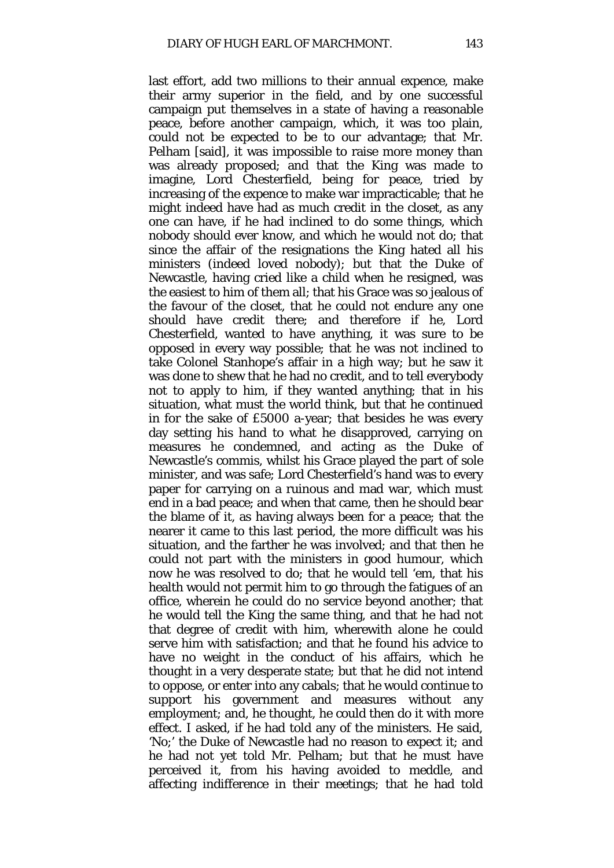last effort, add two millions to their annual expence, make their army superior in the field, and by one successful campaign put themselves in a state of having a reasonable peace, before another campaign, which, it was too plain, could not be expected to be to our advantage; that Mr. Pelham [said], it was impossible to raise more money than was already proposed; and that the King was made to imagine, Lord Chesterfield, being for peace, tried by increasing of the expence to make war impracticable; that he might indeed have had as much credit in the closet, as any one can have, if he had inclined to do some things, which nobody should ever know, and which he would not do; that since the affair of the resignations the King hated all his ministers (indeed loved nobody); but that the Duke of Newcastle, having cried like a child when he resigned, was the easiest to him of them all; that his Grace was so jealous of the favour of the closet, that he could not endure any one should have credit there; and therefore if he, Lord Chesterfield, wanted to have anything, it was sure to be opposed in every way possible; that he was not inclined to take Colonel Stanhope's affair in a high way; but he saw it was done to shew that he had no credit, and to tell everybody not to apply to him, if they wanted anything; that in his situation, what must the world think, but that he continued in for the sake of £5000 a-year; that besides he was every day setting his hand to what he disapproved, carrying on measures he condemned, and acting as the Duke of Newcastle's *commis,* whilst his Grace played the part of sole minister, and was safe; Lord Chesterfield's hand was to every paper for carrying on a ruinous and mad war, which must end in a bad peace; and when that came, then he should bear the blame of it, as having always been for a peace; that the nearer it came to this last period, the more difficult was his situation, and the farther he was involved; and that then he could not part with the ministers in good humour, which now he was resolved to do; that he would tell 'em, that his health would not permit him to go through the fatigues of an office, wherein he could do no service beyond another; that he would tell the King the same thing, and that he had not that degree of credit with him, wherewith alone he could serve him with satisfaction; and that he found his advice to have no weight in the conduct of his affairs, which he thought in a very desperate state; but that he did not intend to oppose, or enter into any cabals; that he would continue to support his government and measures without any employment; and, he thought, he could then do it with more effect. I asked, if he had told any of the ministers. He said, 'No;' the Duke of Newcastle had no reason to expect it; and he had not yet told Mr. Pelham; but that he must have perceived it, from his having avoided to meddle, and affecting indifference in their meetings; that he had told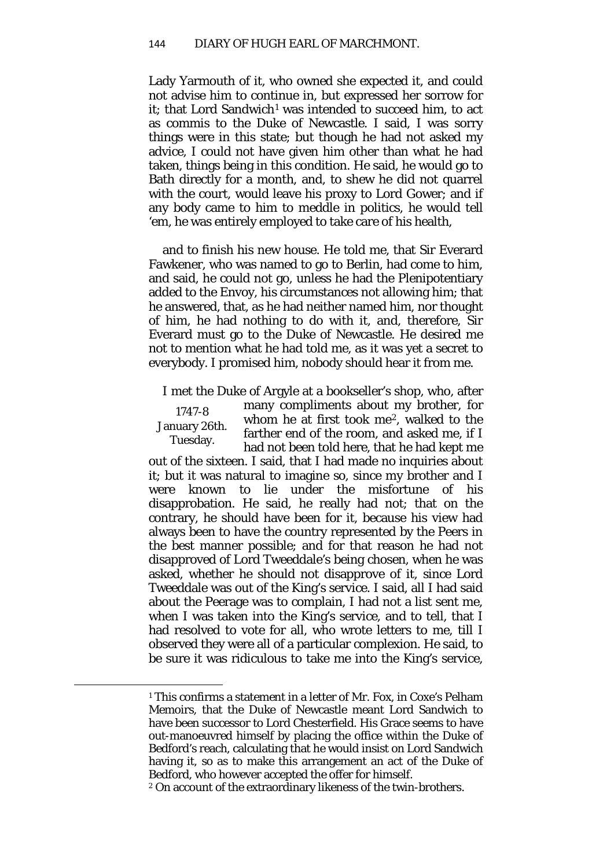Lady Yarmouth of it, who owned she expected it, and could not advise him to continue in, but expressed her sorrow for it; that Lord Sandwich<sup>[1](#page-89-0)</sup> was intended to succeed him, to act as *commis* to the Duke of Newcastle. I said, I was sorry things were in this state; but though he had not asked my advice, I could not have given him other than what he had taken, things being in this condition. He said, he would go to Bath directly for a month, and, to shew he did not quarrel with the court, would leave his proxy to Lord Gower; and if any body came to him to meddle in politics, he would tell 'em, he was entirely employed to take care of his health,

and to finish his new house. He told me, that Sir Everard Fawkener, who was named to go to Berlin, had come to him, and said, he could not go, unless he had the Plenipotentiary added to the Envoy, his circumstances not allowing him; that he answered, that, as he had neither named him, nor thought of him, he had nothing to do with it, and, therefore, Sir Everard must go to the Duke of Newcastle. He desired me not to mention what he had told me, as it was yet a secret to everybody. I promised him, nobody should hear it from me.

I met the Duke of Argyle at a bookseller's shop, who, after

1747-8 January 26th. Tuesday.

<span id="page-89-1"></span><span id="page-89-0"></span> $\overline{a}$ 

many compliments about my brother, for whom he at first took me[2](#page-89-1), walked to the farther end of the room, and asked me, if I had not been told here, that he had kept me

out of the sixteen. I said, that I had made no inquiries about it; but it was natural to imagine so, since my brother and I were known to lie under the misfortune of his disapprobation. He said, he really had not; that on the contrary, he should have been for it, because his view had always been to have the country represented by the Peers in the best manner possible; and for that reason he had not disapproved of Lord Tweeddale's being chosen, when he was asked, whether he should not disapprove of it, since Lord Tweeddale was out of the King's service. I said, all I had said about the Peerage was to complain, I had not a list sent me, when I was taken into the King's service, and to tell, that I had resolved to vote for all, who wrote letters to me, till I observed they were all of a particular complexion. He said, to be sure it was ridiculous to take me into the King's service,

<sup>1</sup> This confirms a statement in a letter of Mr. Fox, in Coxe's Pelham Memoirs, that the Duke of Newcastle meant Lord Sandwich to have been successor to Lord Chesterfield. His Grace seems to have out-manoeuvred himself by placing the office within the Duke of Bedford's reach, calculating that he would insist on Lord Sandwich having it, so as to make this arrangement an act of the Duke of Bedford, who however accepted the offer for himself.

<sup>2</sup> On account of the extraordinary likeness of the twin-brothers.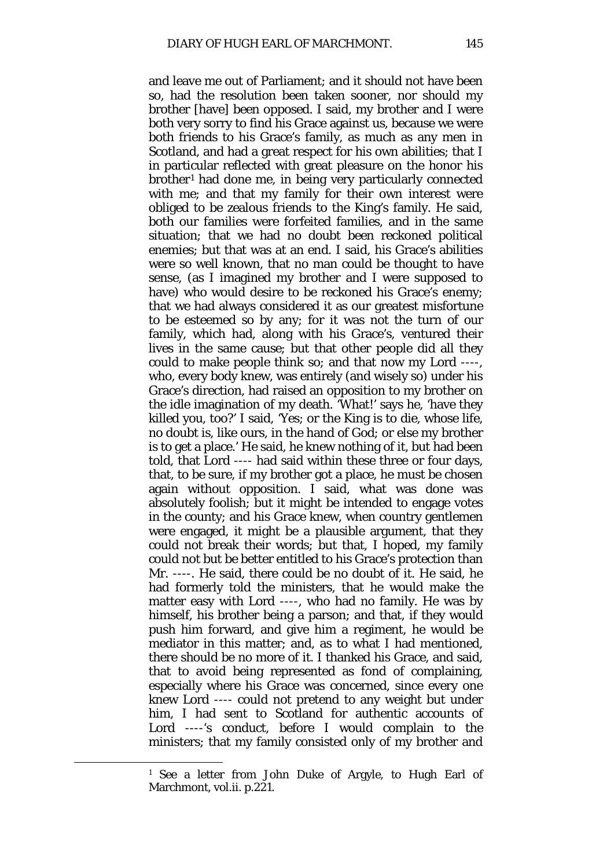and leave me out of Parliament; and it should not have been so, had the resolution been taken sooner, nor should my brother [have] been opposed. I said, my brother and I were both very sorry to find his Grace against us, because we were both friends to his Grace's family, as much as any men in Scotland, and had a great respect for his own abilities; that I in particular reflected with great pleasure on the honor his brother[1](#page-90-0) had done me, in being very particularly connected with me; and that my family for their own interest were obliged to be zealous friends to the King's family. He said, both our families were forfeited families, and in the same situation; that we had no doubt been reckoned political enemies; but that was at an end. I said, his Grace's abilities were so well known, that no man could be thought to have sense, (as I imagined my brother and I were supposed to have) who would desire to be reckoned his Grace's enemy; that we had always considered it as our greatest misfortune to be esteemed so by any; for it was not the turn of our family, which had, along with his Grace's, ventured their lives in the same cause; but that other people did all they could to make people think so; and that now my Lord ----, who, every body knew, was entirely (and wisely so) under his Grace's direction, had raised an opposition to my brother on the idle imagination of my death. 'What!' says he, 'have they killed you, too?' I said, 'Yes; or the King is to die, whose life, no doubt is, like ours, in the hand of God; or else my brother is to get a place.' He said, he knew nothing of it, but had been told, that Lord ---- had said within these three or four days, that, to be sure, if my brother got a place, he must be chosen again without opposition. I said, what was done was absolutely foolish; but it might be intended to engage votes in the county; and his Grace knew, when country gentlemen were engaged, it might be a plausible argument, that they could not break their words; but that, I hoped, my family could not but be better entitled to his Grace's protection than Mr. ----. He said, there could be no doubt of it. He said, he had formerly told the ministers, that he would make the matter easy with Lord ----, who had no family. He was by himself, his brother being a parson; and that, if they would push him forward, and give him a regiment, he would be mediator in this matter; and, as to what I had mentioned, there should be no more of it. I thanked his Grace, and said, that to avoid being represented as fond of complaining, especially where his Grace was concerned, since every one knew Lord ---- could not pretend to any weight but under him, I had sent to Scotland for authentic accounts of Lord ----'s conduct, before I would complain to the ministers; that my family consisted only of my brother and

<span id="page-90-0"></span><sup>1</sup> See a letter from John Duke of Argyle, to Hugh Earl of Marchmont, vol.ii. p.221.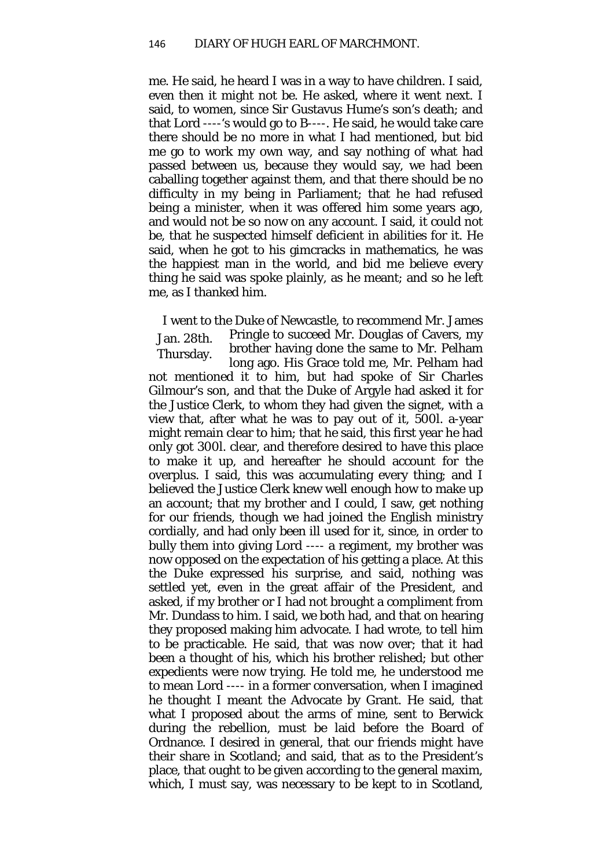me. He said, he heard I was in a way to have children. I said, even then it might not be. He asked, where it went next. I said, to women, since Sir Gustavus Hume's son's death; and that Lord ----'s would go to B----. He said, he would take care there should be no more in what I had mentioned, but bid me go to work my own way, and say nothing of what had passed between us, because they would say, we had been caballing together against them, and that there should be no difficulty in my being in Parliament; that he had refused being a minister, when it was offered him some years ago, and would not be so now on any account. I said, it could not be, that he suspected himself deficient in abilities for it. He said, when he got to his gimcracks in mathematics, he was the happiest man in the world, and bid me believe every thing he said was spoke plainly, as he meant; and so he left me, as I thanked him.

Jan. 28th. Thursday. I went to the Duke of Newcastle, to recommend Mr. James Pringle to succeed Mr. Douglas of Cavers, my brother having done the same to Mr. Pelham long ago. His Grace told me, Mr. Pelham had not mentioned it to him, but had spoke of Sir Charles Gilmour's son, and that the Duke of Argyle had asked it for the Justice Clerk, to whom they had given the signet, with a view that, after what he was to pay out of it, 500*l*. a-year might remain clear to him; that he said, this first year he had only got 300*l*. clear, and therefore desired to have this place to make it up, and hereafter he should account for the overplus. I said, this was accumulating every thing; and I believed the Justice Clerk knew well enough how to make up an account; that my brother and I could, I saw, get nothing for our friends, though we had joined the English ministry cordially, and had only been ill used for it, since, in order to bully them into giving Lord ---- a regiment, my brother was now opposed on the expectation of his getting a place. At this the Duke expressed his surprise, and said, nothing was settled yet, even in the great affair of the President, and asked, if my brother or I had not brought a compliment from Mr. Dundass to him. I said, we both had, and that on hearing they proposed making him advocate. I had wrote, to tell him to be practicable. He said, that was now over; that it had been a thought of his, which his brother relished; but other expedients were now trying. He told me, he understood me to mean Lord ---- in a former conversation, when I imagined he thought I meant the Advocate by Grant. He said, that what I proposed about the arms of mine, sent to Berwick during the rebellion, must be laid before the Board of Ordnance. I desired in general, that our friends might have their share in Scotland; and said, that as to the President's place, that ought to be given according to the general maxim, which, I must say, was necessary to be kept to in Scotland,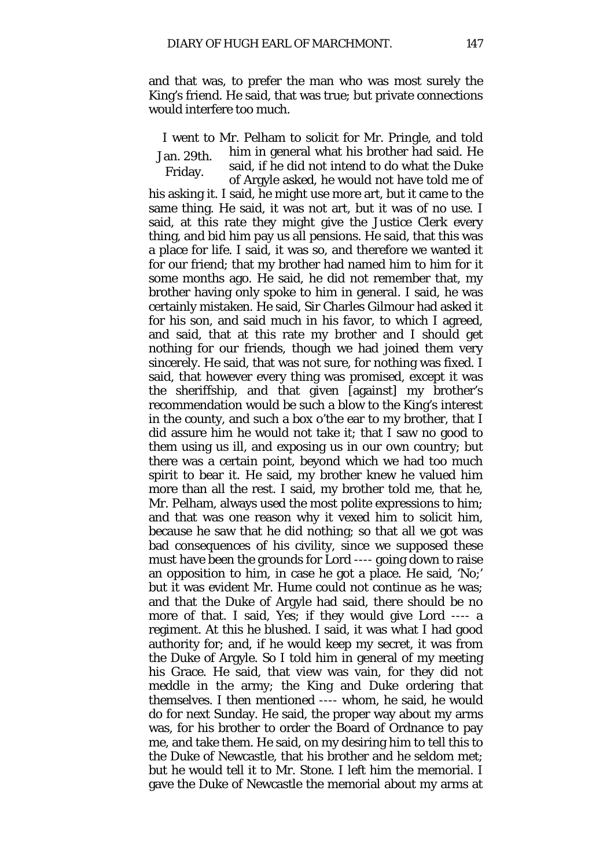and that was, to prefer the man who was most surely the King's friend. He said, that was true; but private connections would interfere too much.

Jan. 29th. I went to Mr. Pelham to solicit for Mr. Pringle, and told him in general what his brother had said. He said, if he did not intend to do what the Duke

Friday. of Argyle asked, he would not have told me of his asking it. I said, he might use more art, but it came to the same thing. He said, it was not art, but it was of no use. I said, at this rate they might give the Justice Clerk every thing, and bid him pay us all pensions. He said, that this was a place for life. I said, it was so, and therefore we wanted it for our friend; that my brother had named him to him for it some months ago. He said, he did not remember that, my brother having only spoke to him in general. I said, he was certainly mistaken. He said, Sir Charles Gilmour had asked it for his son, and said much in his favor, to which I agreed, and said, that at this rate my brother and I should get nothing for our friends, though we had joined them very sincerely. He said, that was not sure, for nothing was fixed. I said, that however every thing was promised, except it was the sheriffship, and that given [against] my brother's recommendation would be such a blow to the King's interest in the county, and such a box o'the ear to my brother, that I did assure him he would not take it; that I saw no good to them using us ill, and exposing us in our own country; but there was a certain point, beyond which we had too much spirit to bear it. He said, my brother knew he valued him more than all the rest. I said, my brother told me, that he, Mr. Pelham, always used the most polite expressions to him; and that was one reason why it vexed him to solicit him, because he saw that he did nothing; so that all we got was bad consequences of his civility, since we supposed these must have been the grounds for Lord ---- going down to raise an opposition to him, in case he got a place. He said, 'No;' but it was evident Mr. Hume could not continue as he was; and that the Duke of Argyle had said, there should be no more of that. I said, Yes; if they would give Lord ---- a regiment. At this he blushed. I said, it was what I had good authority for; and, if he would keep my secret, it was from the Duke of Argyle. So I told him in general of my meeting his Grace. He said, that view was vain, for they did not meddle in the army; the King and Duke ordering that themselves. I then mentioned ---- whom, he said, he would do for next Sunday. He said, the proper way about my arms was, for his brother to order the Board of Ordnance to pay me, and take them. He said, on my desiring him to tell this to the Duke of Newcastle, that his brother and he seldom met; but he would tell it to Mr. Stone. I left him the memorial. I gave the Duke of Newcastle the memorial about my arms at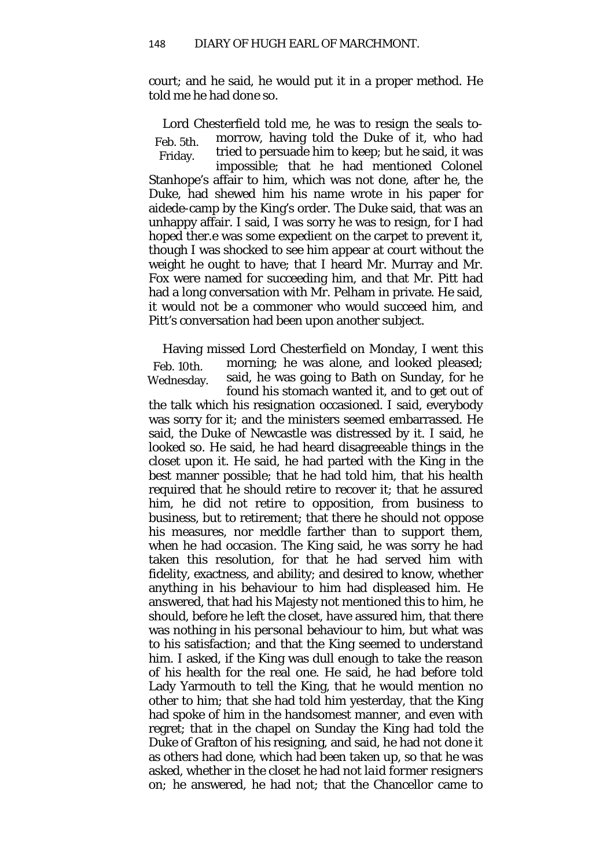court; and he said, he would put it in a proper method. He told me he had done so.

Feb. 5th. Friday. Lord Chesterfield told me, he was to resign the seals tomorrow, having told the Duke of it, who had tried to persuade him *to* keep; but he said, it was impossible; that he had mentioned Colonel Stanhope's affair to him, which was not done, after he, the Duke, had shewed him his name wrote in his paper for aidede-camp by the King's order. The Duke said, that was an unhappy affair. I said, I was sorry he was to resign, for I had hoped ther.e was some expedient on the carpet to prevent it, though I was shocked to see him appear at court without the weight he ought to have; that I heard Mr. Murray and Mr. Fox were named for succeeding him, and that Mr. Pitt had had a long conversation with Mr. Pelham in private. He said, it would not be a commoner who would succeed him, and Pitt's conversation had been upon another subject.

Feb. 10th. Wednesday. Having missed Lord Chesterfield on Monday, I went this morning; he was alone, and looked pleased; said, he was going to Bath on Sunday, for he found his stomach wanted it, and to get out of

the talk which his resignation occasioned. I said, everybody was sorry for it; and the ministers seemed embarrassed. He said, the Duke of Newcastle was distressed by it. I said, he looked so. He said, he had heard disagreeable things in the closet upon it. He said, he had parted with the King in the best manner possible; that he had told him, that his health required that he should retire to recover it; that he assured him, he did not retire to opposition, from business to business, but to retirement; that there he should not oppose his measures, nor meddle farther than to support them, when he had occasion. The King said, he was sorry he had taken this resolution, for that he had served him with fidelity, exactness, and ability; and desired to know, whether anything in his behaviour to him had displeased him. He answered, that had his Majesty not mentioned this to him, he should, before he left the closet, have assured him, that there was nothing in his *personal* behaviour to him, but what was to his satisfaction; and that the King seemed to understand him. I asked, if the King was dull enough to take the reason of his health for the real one. He said, he had before told Lady Yarmouth to tell the King, that he would mention no other to him; that she had told him yesterday, that the King had spoke of him in the handsomest manner, and even with regret; that in the chapel on Sunday the King had told the Duke of Grafton of his resigning, and said, he had not done it as others had done, which had been taken up, so that he was asked, whether in the closet he had not *laid former resigners on;* he answered, he had not; that the Chancellor came to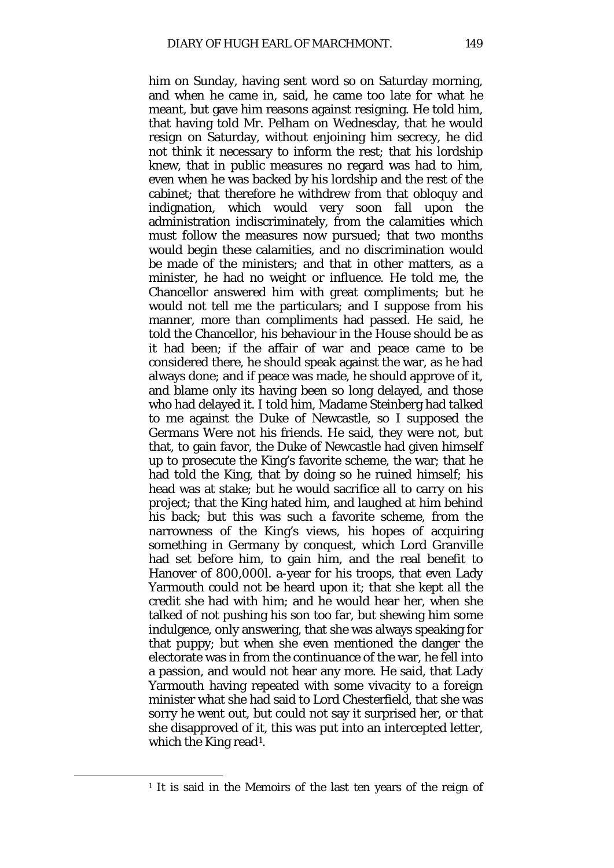him on Sunday, having sent word so on Saturday morning, and when he came in, said, he came too late for what he meant, but gave him reasons against resigning. He told him, that having told Mr. Pelham on Wednesday, that he would resign on Saturday, without enjoining him secrecy, he did not think it necessary to inform the rest; that his lordship knew, that in public measures no regard was had to him, even when he was backed by his lordship and the rest of the cabinet; that therefore he withdrew from that obloquy and indignation, which would very soon fall upon the administration indiscriminately, from the calamities which must follow the measures now pursued; that two months would begin these calamities, and no discrimination would be made of the ministers; and that in other matters, as a minister, he had no weight or influence. He told me, the Chancellor answered him with great compliments; but he would not tell me the particulars; and I suppose from his manner, more than compliments had passed. He said, he told the Chancellor, his behaviour in the House should be as it had been; if the affair of war and peace came to be considered there, he should speak against the war, as he had always done; and if peace was made, he should approve of it, and blame only its having been so long delayed, and those who had delayed it. I told him, Madame Steinberg had talked to me against the Duke of Newcastle, so I supposed the Germans Were not his friends. He said, they were not, but that, to gain favor, the Duke of Newcastle had given himself up to prosecute the King's favorite scheme, the war; that he had told the King, that by doing so he ruined himself; his head was at stake; but he would sacrifice all to carry on his project; that the King hated him, and laughed at him behind his back; but this was such a favorite scheme, from the narrowness of the King's views, his hopes of acquiring something in Germany by conquest, which Lord Granville had set before him, to gain him, and the real benefit to Hanover of 800,000*l*. a-year for his troops, that even Lady Yarmouth could not be heard upon it; that she kept all the credit she had with him; and he would hear her, when she talked of not pushing his son too far, but shewing him some indulgence, only answering, that she was always speaking for that puppy; but when she even mentioned the danger the electorate was in from the continuance of the war, he fell into a passion, and would not hear any more. He said, that Lady Yarmouth having repeated with some vivacity to a foreign minister what she had said to Lord Chesterfield, that she was sorry he went out, but could not say it surprised her, or that she disapproved of it, this was put into an intercepted letter, which the King read<sup>[1](#page-94-0)</sup>.

<span id="page-94-0"></span><sup>1</sup> It is said in the Memoirs of the last ten years of the reign of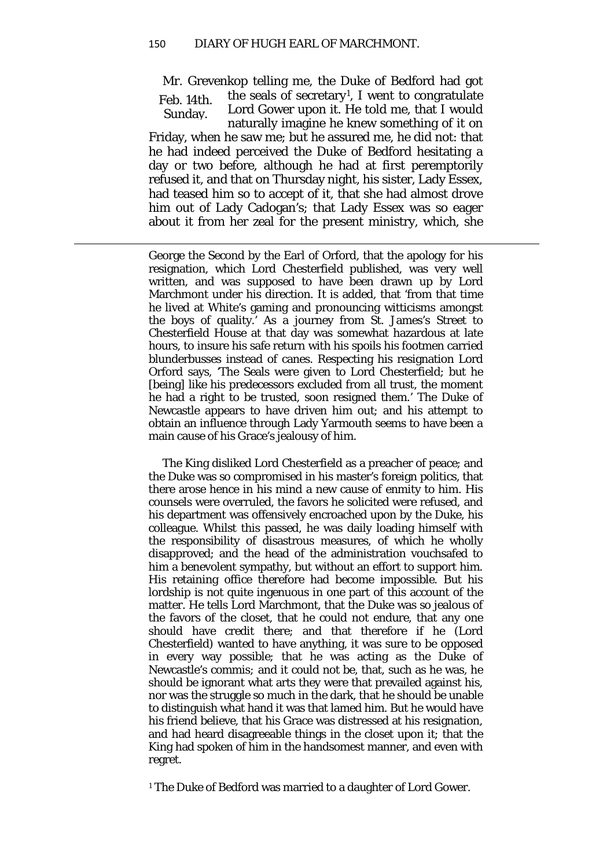$\overline{a}$ 

Feb. 14th. Sunday. Mr. Grevenkop telling me, the Duke of Bedford had got the seals of secretary<sup>[1](#page-95-0)</sup>, I went to congratulate Lord Gower upon it. He told me, that I would naturally imagine he knew something of it on Friday, when he saw me; but he assured me, he did not: that he had indeed perceived the Duke of Bedford hesitating a day or two before, although he had at first peremptorily refused it, and that on Thursday night, his sister, Lady Essex, had teased him so to accept of it, that she had almost drove him out of Lady Cadogan's; that Lady Essex was so eager about it from her zeal for the present ministry, which, she

George the Second by the Earl of Orford, that the apology for his resignation, which Lord Chesterfield published, was very well written, and was supposed to have been drawn up by Lord Marchmont under his direction. It is added, that 'from that time he lived at White's gaming and pronouncing witticisms amongst the boys of quality.' As a journey from St. James's Street to Chesterfield House at that day was somewhat hazardous at late hours, to insure his safe return with his spoils his footmen carried blunderbusses instead of canes. Respecting his resignation Lord Orford says, 'The Seals were given to Lord Chesterfield; but he [being] like his predecessors excluded from all trust, the moment he had a right to be trusted, soon resigned them.' The Duke of Newcastle appears to have driven him out; and his attempt to obtain an influence through Lady Yarmouth seems to have been a main cause of his Grace's jealousy of him.

The King disliked Lord Chesterfield as a preacher of peace; and the Duke was so compromised in his master's foreign politics, that there arose hence in his mind a new cause of enmity to him. His counsels were overruled, the favors he solicited were refused, and his department was offensively encroached upon by the Duke, his colleague. Whilst this passed, he was daily loading himself with the responsibility of disastrous measures, of which he wholly disapproved; and the head of the administration vouchsafed to him a benevolent sympathy, but without an effort to support him. His retaining office therefore had become impossible. But his lordship is not quite ingenuous in one part of this account of the matter. He tells Lord Marchmont, that the Duke was so jealous of the favors of the closet, that he could not endure, that any one should have credit there; and that therefore if he (Lord Chesterfield) wanted to have anything, it was sure to be opposed in every way possible; that he was acting as the Duke of Newcastle's *commis;* and it could not be, that, such as he was, he should be ignorant what arts they were that prevailed against his, nor was the struggle so much in the dark, that he should be unable to distinguish what hand it was that lamed him. But he would have his friend believe, that his Grace was distressed at his resignation, and had heard disagreeable things in the closet upon it; that the King had spoken of him in the handsomest manner, and even with regret.

<span id="page-95-0"></span><sup>1</sup> The Duke of Bedford was married to a daughter of Lord Gower.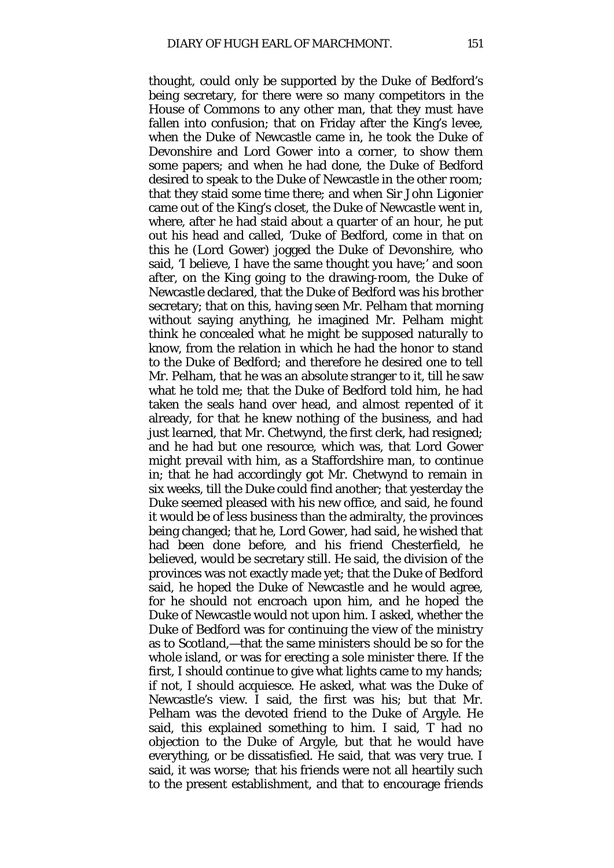thought, could only be supported by the Duke of Bedford's being secretary, for there were so many competitors in the House of Commons to any other man, that they must have fallen into confusion; that on Friday after the King's levee, when the Duke of Newcastle came in, he took the Duke of Devonshire and Lord Gower into a corner, to show them some papers; and when he had done, the Duke of Bedford desired to speak to the Duke of Newcastle in the other room; that they staid some time there; and when Sir John Ligonier came out of the King's closet, the Duke of Newcastle went in, where, after he had staid about a quarter of an hour, he put out his head and called, 'Duke of Bedford, come in that on this he (Lord Gower) jogged the Duke of Devonshire, who said, 'I believe, I have the same thought you have;' and soon after, on the King going to the drawing-room, the Duke of Newcastle declared, that the Duke of Bedford was his brother secretary; that on this, having seen Mr. Pelham that morning without saying anything, he imagined Mr. Pelham might think he concealed what he might be supposed naturally to know, from the relation in which he had the honor to stand to the Duke of Bedford; and therefore he desired one to tell Mr. Pelham, that he was an absolute stranger to it, till he saw what he told me; that the Duke of Bedford told him, he had taken the seals hand over head, and almost repented of it already, for that he knew nothing of the business, and had just learned, that Mr. Chetwynd, the first clerk, had resigned; and he had but one resource, which was, that Lord Gower might prevail with him, as a Staffordshire man, to continue in; that he had accordingly got Mr. Chetwynd to remain in six weeks, till the Duke could find another; that yesterday the Duke seemed pleased with his new office, and said, he found it would be of less business than the admiralty, the provinces being changed; that he, Lord Gower, had said, he wished that had been done before, and his friend Chesterfield, he believed, would be secretary still. He said, the division of the provinces was not exactly made yet; that the Duke of Bedford said, he hoped the Duke of Newcastle and he would agree, for he should not encroach upon him, and he hoped the Duke of Newcastle would not upon him. I asked, whether the Duke of Bedford was for continuing the view of the ministry as to Scotland,—that the same ministers should be so for the whole island, or was for erecting a sole minister there. If the first, I should continue to give what lights came to my hands; if not, I should acquiesce. He asked, what was the Duke of Newcastle's view. I said, the first was his; but that Mr. Pelham was the devoted friend to the Duke of Argyle. He said, this explained something to him. I said, T had no objection to the Duke of Argyle, but that he would have everything, or be dissatisfied. He said, that was very true. I said, it was worse*;* that his friends were not all heartily such to the present establishment, and that to encourage friends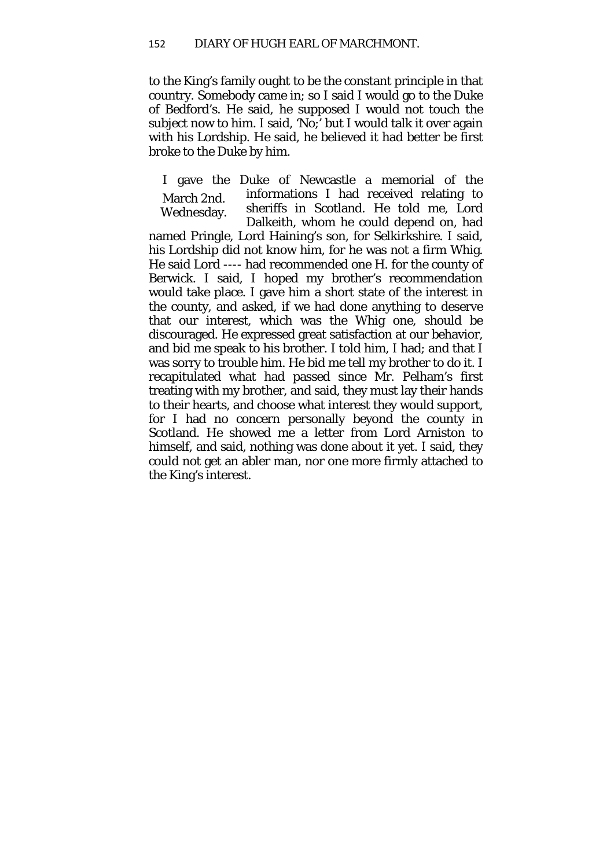to the King's family ought to be the constant principle in that country. Somebody came in; so I said I would go to the Duke of Bedford's. He said, he supposed I would not touch the subject now to him. I said, 'No;' but I would talk it over again with his Lordship. He said, he believed it had better be first broke to the Duke by him.

March 2nd. Wednesday. I gave the Duke of Newcastle a memorial of the informations I had received relating to sheriffs in Scotland. He told me, Lord Dalkeith, whom he could depend on, had named Pringle, Lord Haining's son, for Selkirkshire. I said, his Lordship did not know him, for he was not a firm Whig. He said Lord ---- had recommended one H. for the county of Berwick. I said, I hoped my brother's recommendation would take place. I gave him a short state of the interest in the county, and asked, if we had done anything to deserve that our interest, which was the Whig one, should be discouraged. He expressed great satisfaction at our behavior, and bid me speak to his brother. I told him, I had; and that I was sorry to trouble him. He bid me tell my brother to do it. I recapitulated what had passed since Mr. Pelham's first treating with my brother, and said, they must lay their hands to their hearts, and choose what interest they would support, for I had no concern personally beyond the county in Scotland. He showed me a letter from Lord Arniston to himself, and said, nothing was done about it yet. I said, they could not get an abler man, nor one more firmly attached to the King's interest.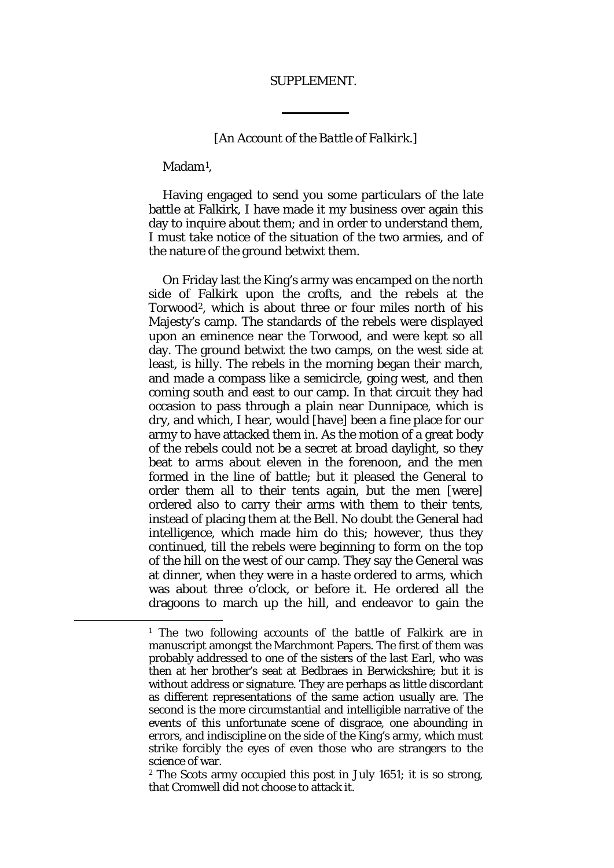## SUPPLEMENT.

## *[An Account of the Battle of Falkirk.]*

Madam<sup>[1](#page-99-0)</sup>.

<span id="page-99-0"></span> $\overline{a}$ 

Having engaged to send you some particulars of the late battle at Falkirk, I have made it my business over again this day to inquire about them; and in order to understand them. I must take notice of the situation of the two armies, and of the nature of the ground betwixt them.

On Friday last the King's army was encamped on the north side of Falkirk upon the crofts, and the rebels at the Torwood[2](#page-99-1), which is about three or four miles north of his Majesty's camp. The standards of the rebels were displayed upon an eminence near the Torwood, and were kept so all day. The ground betwixt the two camps, on the west side at least, is hilly. The rebels in the morning began their march, and made a compass like a semicircle, going west, and then coming south and east to our camp. In that circuit they had occasion to pass through a plain near Dunnipace, which is dry, and which, I hear, would [have] been a fine place for our army to have attacked them in. As the motion of a great body of the rebels could not be a secret at broad daylight, so they beat to arms about eleven in the forenoon, and the men formed in the line of battle; but it pleased the General to order them all to their tents again, but the men [were] ordered also to carry their arms with them to their tents, instead of placing them at the Bell. No doubt the General had intelligence, which made him do this; however, thus they continued, till the rebels were beginning to form on the top of the hill on the west of our camp. They say the General was at dinner, when they were in a haste ordered to arms, which was about three o'clock, or before it. He ordered all the dragoons to march up the hill, and endeavor to gain the

<sup>1</sup> The two following accounts of the battle of Falkirk are in manuscript amongst the Marchmont Papers. The first of them was probably addressed to one of the sisters of the last Earl, who was then at her brother's seat at Bedbraes in Berwickshire; but it is without address or signature. They are perhaps as little discordant as different representations of the same action usually are. The second is the more circumstantial and intelligible narrative of the events of this unfortunate scene of disgrace, one abounding in errors, and indiscipline on the side of the King's army, which must strike forcibly the eyes of even those who are strangers to the science of war.

<span id="page-99-1"></span><sup>2</sup> The Scots army occupied this post in July 1651; it is so strong, that Cromwell did not choose to attack it.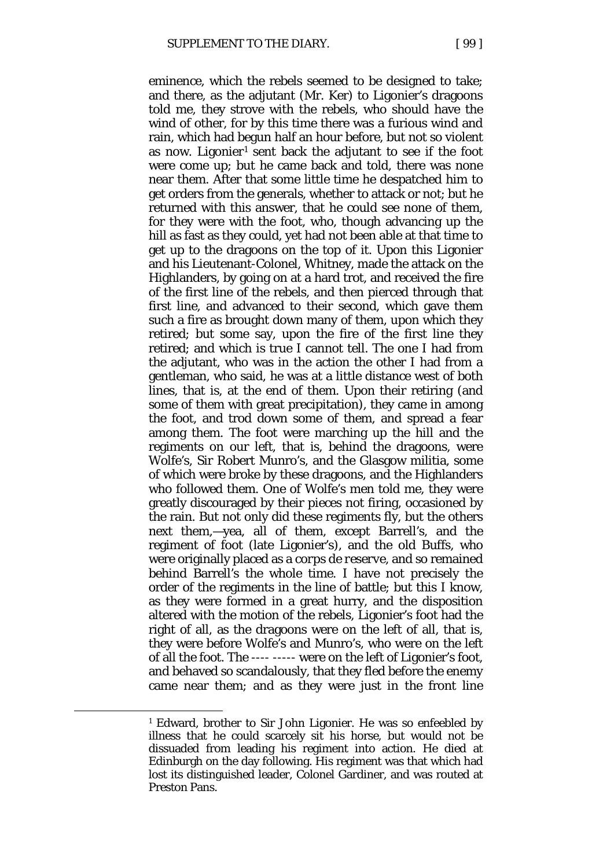eminence, which the rebels seemed to be designed to take; and there, as the adjutant (Mr. Ker) to Ligonier's dragoons told me, they strove with the rebels, who should have the wind of other, for by this time there was a furious wind and rain, which had begun half an hour before, but not so violent as now. Ligonier<sup>[1](#page-100-0)</sup> sent back the adjutant to see if the foot were come up; but he came back and told, there was none near them. After that some little time he despatched him to get orders from the generals, whether to attack or not; but he returned with this answer, that he could see none of them, for they were with the foot, who, though advancing up the hill as fast as they could, yet had not been able at that time to get up to the dragoons on the top of it. Upon this Ligonier and his Lieutenant-Colonel, Whitney, made the attack on the Highlanders, by going on at a hard trot, and received the fire of the first line of the rebels, and then pierced through that first line, and advanced to their second, which gave them such a fire as brought down many of them, upon which they retired; but some say, upon the fire of the first line they retired; and which is true I cannot tell. The one I had from the adjutant, who was in the action the other I had from a gentleman, who said, he was at a little distance west of both lines, that is, at the end of them. Upon their retiring (and some of them with great precipitation), they came in among the foot, and trod down some of them, and spread a fear among them. The foot were marching up the hill and the regiments on our left, that is, behind the dragoons, were Wolfe's, Sir Robert Munro's, and the Glasgow militia, some of which were broke by these dragoons, and the Highlanders who followed them. One of Wolfe's men told me, they were greatly discouraged by their pieces not firing, occasioned by the rain. But not only did these regiments fly, but the others next them,—yea, all of them, except Barrell's, and the regiment of foot (late Ligonier's), and the old Buffs, who were originally placed as a *corps de reserve,* and so remained

behind Barrell's the whole time. I have not precisely the order of the regiments in the line of battle; but this I know, as they were formed in a great hurry, and the disposition altered with the motion of the rebels, Ligonier's foot had the right of all, as the dragoons were on the left of all, that is, they were before Wolfe's and Munro's, who were on the left of all the foot. The ---- ----- were on the left of Ligonier's foot, and behaved so scandalously, that they fled before the enemy came near them; and as they were just in the front line

<span id="page-100-0"></span>**.** 

<sup>1</sup> Edward, brother to Sir John Ligonier. He was so enfeebled by illness that he could scarcely sit his horse, but would not be dissuaded from leading his regiment into action. He died at Edinburgh on the day following. His regiment was that which had lost its distinguished leader, Colonel Gardiner, and was routed at Preston Pans.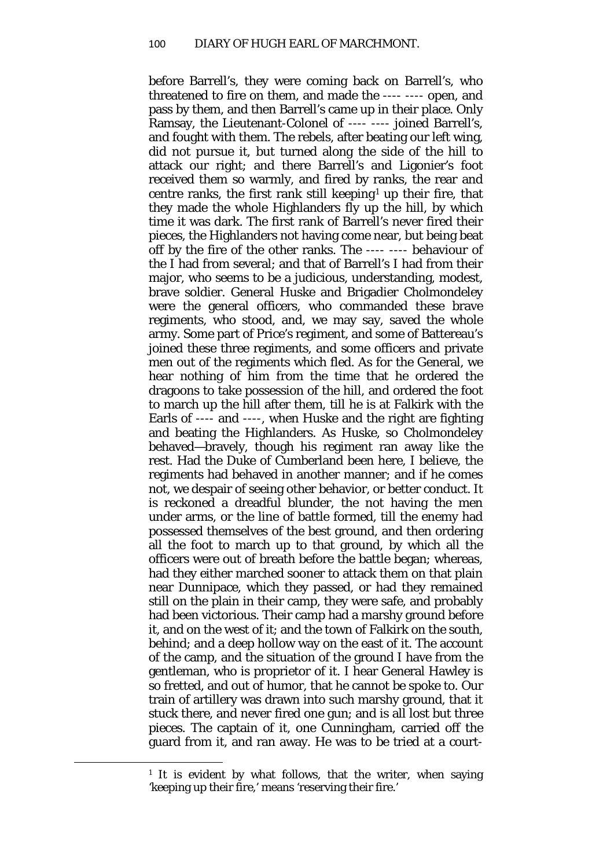before Barrell's, they were coming back on Barrell's, who threatened to fire on them, and made the ---- ---- open, and pass by them, and then Barrell's came up in their place. Only Ramsay, the Lieutenant-Colonel of ---- ---- joined Barrell's, and fought with them. The rebels, after beating our left wing, did not pursue it, but turned along the side of the hill to attack our right; and there Barrell's and Ligonier's foot received them so warmly, and fired by ranks, the rear and centre ranks, the first rank still keeping<sup>[1](#page-101-0)</sup> up their fire, that they made the whole Highlanders fly up the hill, by which time it was dark. The first rank of Barrell's never fired their pieces, the Highlanders not having come near, but being beat off by the fire of the other ranks. The ---- ---- behaviour of the I had from several; and that of Barrell's I had from their major, who seems to be a judicious, understanding, modest, brave soldier. General Huske and Brigadier Cholmondeley were the general officers, who commanded these brave regiments, who stood, and, we may say, saved the whole army. Some part of Price's regiment, and some of Battereau's joined these three regiments, and some officers and private men out of the regiments which fled. As for the General, we hear nothing of him from the time that he ordered the dragoons to take possession of the hill, and ordered the foot to march up the hill after them, till he is at Falkirk with the Earls of ---- and ----, when Huske and the right are fighting and beating the Highlanders. As Huske, so Cholmondeley behaved—bravely, though his regiment ran away like the rest. Had the Duke of Cumberland been here, I believe, the regiments had behaved in another manner; and if he comes not, we despair of seeing other behavior, or better conduct. It is reckoned a dreadful blunder, the not having the men under arms, or the line of battle formed, till the enemy had possessed themselves of the best ground, and then ordering all the foot to march up to that ground, by which all the officers were out of breath before the battle began; whereas, had they either marched sooner to attack them on that plain near Dunnipace, which they passed, or had they remained still on the plain in their camp, they were safe, and probably had been victorious. Their camp had a marshy ground before it, and on the west of it; and the town of Falkirk on the south, behind; and a deep hollow way on the east of it. The account of the camp, and the situation of the ground I have from the gentleman, who is proprietor of it. I hear General Hawley is so fretted, and out of humor, that he cannot be spoke to. Our train of artillery was drawn into such marshy ground, that it stuck there, and never fired one gun; and is all lost but three pieces. The captain of it, one Cunningham, carried off the guard from it, and ran away. He was to be tried at a court-

<span id="page-101-0"></span><sup>&</sup>lt;sup>1</sup> It is evident by what follows, that the writer, when saying 'keeping up their fire,' means 'reserving their fire.'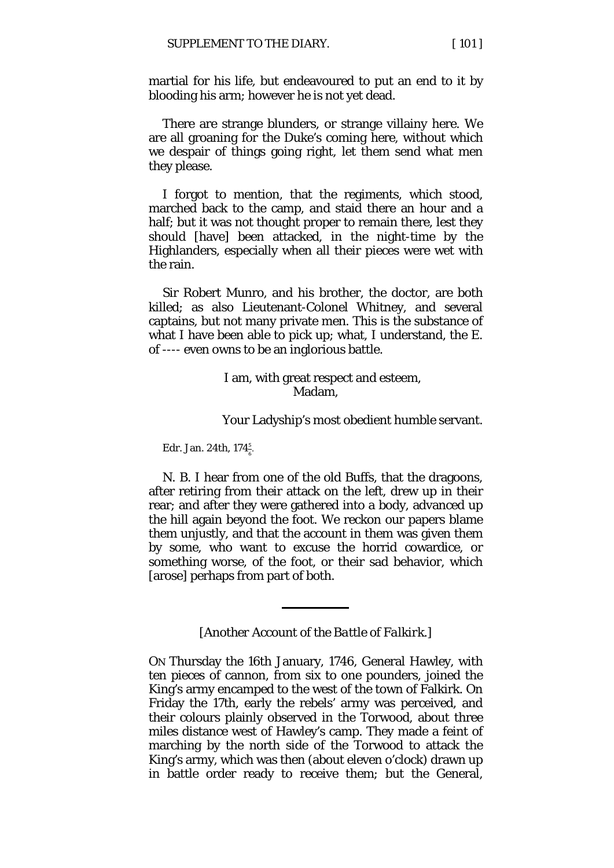martial for his life, but endeavoured to put an end to it by blooding his arm; however he is not yet dead.

There are strange blunders, or strange villainy here. We are all groaning for the Duke's coming here, without which we despair of things going right, let them send what men they please.

I forgot to mention, that the regiments, which stood, marched back to the camp, and staid there an hour and a half; but it was not thought proper to remain there, lest they should [have] been attacked, in the night-time by the Highlanders, especially when all their pieces were wet with the rain.

Sir Robert Munro, and his brother, the doctor, are both killed; as also Lieutenant-Colonel Whitney, and several captains, but not many private men. This is the substance of what I have been able to pick up; what, I understand, the E. of ---- even owns to be an inglorious battle.

## I am, with great respect and esteem, Madam,

Your Ladyship's most obedient humble servant.

Edr. Jan. 24th,  $174\frac{5}{6}$ . 6

N. B. I hear from one of the old Buffs, that the dragoons, after retiring from their attack on the left, drew up in their rear; and after they were gathered into a body, advanced up the hill again beyond the foot. We reckon our papers blame them unjustly, and that the account in them was given them by some, who want to excuse the horrid cowardice, or something worse, of the foot, or their sad behavior, which [arose] perhaps from part of both.

*[Another Account of the Battle of Falkirk.]*

ON Thursday the 16th January, 1746, General Hawley, with ten pieces of cannon, from six to one pounders, joined the King's army encamped to the west of the town of Falkirk. On Friday the 17th, early the rebels' army was perceived, and their colours plainly observed in the Torwood, about three miles distance west of Hawley's camp. They made a feint of marching by the north side of the Torwood to attack the King's army, which was then (about eleven o'clock) drawn up in battle order ready to receive them; but the General,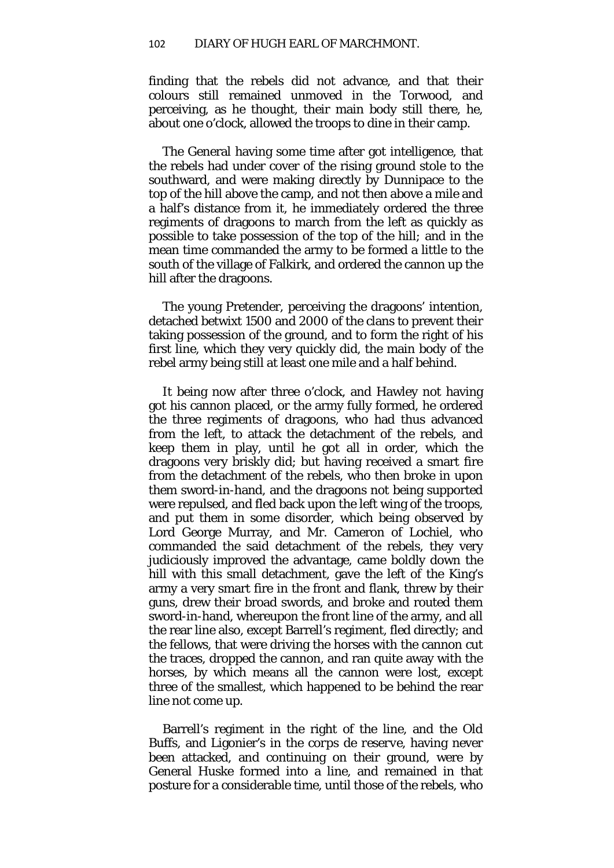finding that the rebels did not advance, and that their colours still remained unmoved in the Torwood, and perceiving, as he thought, their main body still there, he, about one o'clock, allowed the troops to dine in their camp.

The General having some time after got intelligence, that the rebels had under cover of the rising ground stole to the southward, and were making directly by Dunnipace to the top of the hill above the camp, and not then above a mile and a half's distance from it, he immediately ordered the three regiments of dragoons to march from the left as quickly as possible to take possession of the top of the hill*;* and in the mean time commanded the army to be formed a little to the south of the village of Falkirk, and ordered the cannon up the hill after the dragoons.

The young Pretender, perceiving the dragoons' intention, detached betwixt 1500 and 2000 of the clans to prevent their taking possession of the ground, and to form the right of his first line, which they very quickly did, the main body of the rebel army being still at least one mile and a half behind.

It being now after three o'clock, and Hawley not having got his cannon placed, or the army fully formed, he ordered the three regiments of dragoons, who had thus advanced from the left, to attack the detachment of the rebels, and keep them in play, until he got all in order, which the dragoons very briskly did; but having received a smart fire from the detachment of the rebels, who then broke in upon them sword-in-hand, and the dragoons not being supported were repulsed, and fled back upon the left wing of the troops, and put them in some disorder, which being observed by Lord George Murray, and Mr. Cameron of Lochiel, who commanded the said detachment of the rebels, they very judiciously improved the advantage, came boldly down the hill with this small detachment, gave the left of the King's army a very smart fire in the front and flank, threw by their guns, drew their broad swords, and broke and routed them sword-in-hand, whereupon the front line of the army, and all the rear line also, except Barrell's regiment, fled directly; and the fellows, that were driving the horses with the cannon cut the traces, dropped the cannon, and ran quite away with the horses, by which means all the cannon were lost, except three of the smallest, which happened to be behind the rear line not come up.

Barrell's regiment in the right of the line, and the Old Buffs, and Ligonier's in the *corps de reserve,* having never been attacked, and continuing on their ground, were by General Huske formed into a line, and remained in that posture for a considerable time, until those of the rebels, who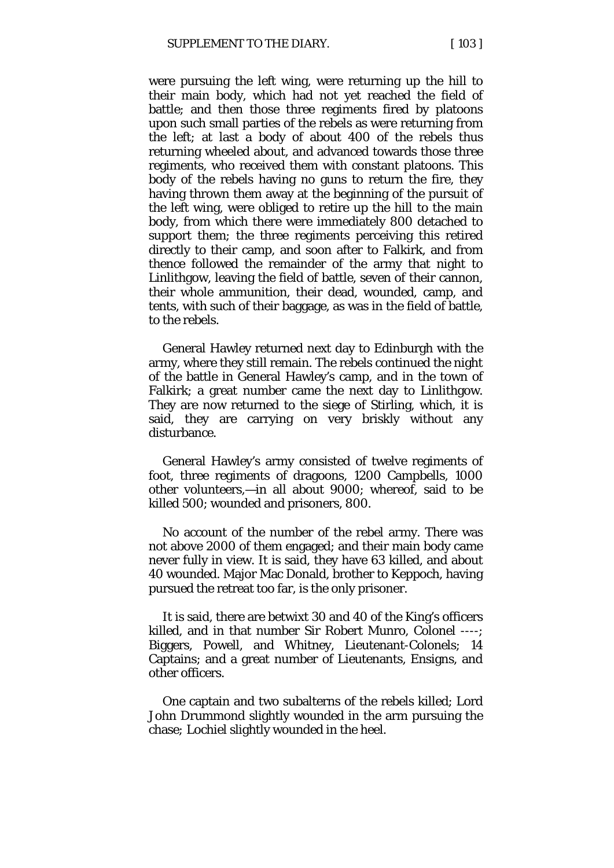were pursuing the left wing, were returning up the hill to their main body, which had not yet reached the field of battle; and then those three regiments fired by platoons upon such small parties of the rebels as were returning from the left; at last a body of about 400 of the rebels thus returning wheeled about, and advanced towards those three regiments, who received them with constant platoons. This body of the rebels having no guns to return the fire, they having thrown them away at the beginning of the pursuit of the left wing, were obliged to retire up the hill to the main body, from which there were immediately 800 detached to support them; the three regiments perceiving this retired directly to their camp, and soon after to Falkirk, and from thence followed the remainder of the army that night to Linlithgow, leaving the field of battle, seven of their cannon, their whole ammunition, their dead, wounded, camp, and tents, with such of their baggage, as was in the field of battle, to the rebels.

General Hawley returned next day to Edinburgh with the army, where they still remain. The rebels continued the night of the battle in General Hawley's camp, and in the town of Falkirk; a great number came the next day to Linlithgow. They are now returned to the siege of Stirling, which, it is said, they are carrying on very briskly without any disturbance.

General Hawley's army consisted of twelve regiments of foot, three regiments of dragoons, 1200 Campbells, 1000 other volunteers,—in all about 9000; whereof, said to be killed 500; wounded and prisoners, 800.

No account of the number of the rebel army. There was not above 2000 of them engaged; and their main body came never fully in view. It is said, they have 63 killed, and about 40 wounded. Major Mac Donald, brother to Keppoch, having pursued the retreat too far, is the only prisoner.

It is said, there are betwixt 30 and 40 of the King's officers killed, and in that number Sir Robert Munro, Colonel ----; Biggers, Powell, and Whitney, Lieutenant-Colonels; 14 Captains; and a great number of Lieutenants, Ensigns, and other officers.

One captain and two subalterns of the rebels killed; Lord John Drummond slightly wounded in the arm pursuing the chase*;* Lochiel slightly wounded in the heel.